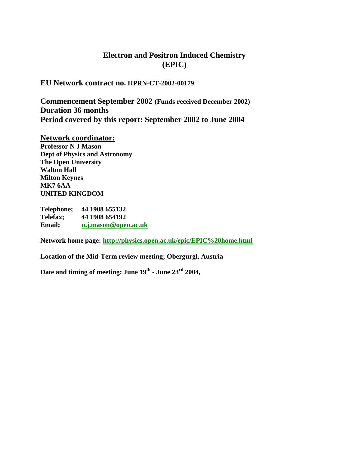# **Electron and Positron Induced Chemistry (EPIC)**

**EU Network contract no. HPRN-CT-2002-00179**

**Commencement September 2002 (Funds received December 2002) Duration 36 months Period covered by this report: September 2002 to June 2004**

**Network coordinator: Professor N J Mason Dept of Physics and Astronomy The Open University Walton Hall Milton Keynes MK7 6AA UNITED KINGDOM**

**Telephone; 44 1908 655132 Telefax; 44 1908 654192 Email; [n.j.mason@open.ac.uk](mailto:n.j.mason@open.ac.uk)**

**Network home page:<http://physics.open.ac.uk/epic/EPIC%20home.html>**

**Location of the Mid-Term review meeting; Obergurgl, Austria**

**Date and timing of meeting: June 19th - June 23rd 2004,**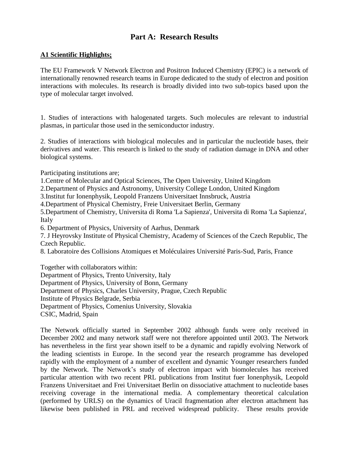# **Part A: Research Results**

# **A1 Scientific Highlights;**

The EU Framework V Network Electron and Positron Induced Chemistry (EPIC) is a network of internationally renowned research teams in Europe dedicated to the study of electron and position interactions with molecules. Its research is broadly divided into two sub-topics based upon the type of molecular target involved.

1. Studies of interactions with halogenated targets. Such molecules are relevant to industrial plasmas, in particular those used in the semiconductor industry.

2. Studies of interactions with biological molecules and in particular the nucleotide bases, their derivatives and water. This research is linked to the study of radiation damage in DNA and other biological systems.

Participating institutions are;

1.Centre of Molecular and Optical Sciences, The Open University, United Kingdom

2.Department of Physics and Astronomy, University College London, United Kingdom

3.Institut fur Ionenphysik, Leopold Franzens Universitaet Innsbruck, Austria

4.Department of Physical Chemistry, Freie Universitaet Berlin, Germany

5.Department of Chemistry, Universita di Roma 'La Sapienza', Universita di Roma 'La Sapienza', Italy

6. Department of Physics, University of Aarhus, Denmark

7. J Heyrovsky Institute of Physical Chemistry, Academy of Sciences of the Czech Republic, The Czech Republic.

8. Laboratoire des Collisions Atomiques et Moléculaires Université Paris-Sud, Paris, France

Together with collaborators within:

Department of Physics, Trento University, Italy Department of Physics, University of Bonn, Germany Department of Physics, Charles University, Prague, Czech Republic Institute of Physics Belgrade, Serbia Department of Physics, Comenius University, Slovakia CSIC, Madrid, Spain

The Network officially started in September 2002 although funds were only received in December 2002 and many network staff were not therefore appointed until 2003. The Network has nevertheless in the first year shown itself to be a dynamic and rapidly evolving Network of the leading scientists in Europe. In the second year the research programme has developed rapidly with the employment of a number of excellent and dynamic Younger researchers funded by the Network. The Network's study of electron impact with biomolecules has received particular attention with two recent PRL publications from Institut fuer Ionenphysik, Leopold Franzens Universitaet and Frei Universitaet Berlin on dissociative attachment to nucleotide bases receiving coverage in the international media. A complementary theoretical calculation (performed by URLS) on the dynamics of Uracil fragmentation after electron attachment has likewise been published in PRL and received widespread publicity. These results provide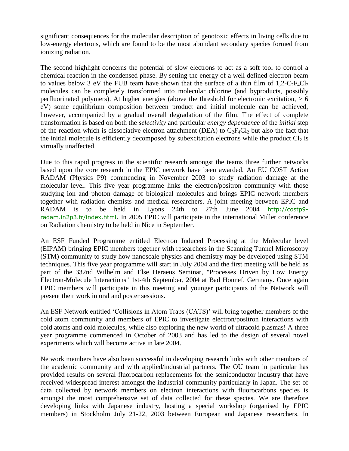significant consequences for the molecular description of genotoxic effects in living cells due to low-energy electrons, which are found to be the most abundant secondary species formed from ionizing radiation.

The second highlight concerns the potential of slow electrons to act as a soft tool to control a chemical reaction in the condensed phase. By setting the energy of a well defined electron beam to values below 3 eV the FUB team have shown that the surface of a thin film of  $1,2-C_2F_4Cl_2$ molecules can be completely transformed into molecular chlorine (and byproducts, possibly perfluorinated polymers). At higher energies (above the threshold for electronic excitation, > 6 eV) some equilibrium composition between product and initial molecule can be achieved, however, accompanied by a gradual overall degradation of the film. The effect of complete transformation is based on both the *selectivity* and particular *energy dependence* of the *initial* step of the reaction which is dissociative electron attachment (DEA) to  $C_2F_4Cl_2$  but also the fact that the initial molecule is efficiently decomposed by subexcitation electrons while the product  $Cl_2$  is virtually unaffected.

Due to this rapid progress in the scientific research amongst the teams three further networks based upon the core research in the EPIC network have been awarded. An EU COST Action RADAM (Physics P9) commencing in November 2003 to study radiation damage at the molecular level. This five year programme links the electron/positron community with those studying ion and photon damage of biological molecules and brings EPIC network members together with radiation chemists and medical researchers. A joint meeting between EPIC and RADAM is to be held in Lyons 24th to 27th June 2004 [http://costp9](http://costp9-radam.in2p3.fr/index.html) [radam.in2p3.fr/index.html.](http://costp9-radam.in2p3.fr/index.html) In 2005 EPIC will participate in the international Miller conference on Radiation chemistry to be held in Nice in September.

An ESF Funded Programme entitled Electron Induced Processing at the Molecular level (EIPAM) bringing EPIC members together with researchers in the Scanning Tunnel Microscopy (STM) community to study how nanoscale physics and chemistry may be developed using STM techniques. This five year programme will start in July 2004 and the first meeting will be held as part of the 332nd [Wilhelm and Else Heraeus Seminar,](http://www.chemie.uni-bremen.de/swiderek/weh332/program.html) "Processes Driven by Low Energy Electron-Molecule Interactions" 1st-4th September, 2004 at Bad Honnef, Germany. Once again EPIC members will participate in this meeting and younger participants of the Network will present their work in oral and poster sessions.

An ESF Network entitled 'Collisions in Atom Traps (CATS)' will bring together members of the cold atom community and members of EPIC to investigate electron/positron interactions with cold atoms and cold molecules, while also exploring the new world of ultracold plasmas! A three year programme commenced in October of 2003 and has led to the design of several novel experiments which will become active in late 2004.

Network members have also been successful in developing research links with other members of the academic community and with applied/industrial partners. The OU team in particular has provided results on several fluorocarbon replacements for the semiconductor industry that have received widespread interest amongst the industrial community particularly in Japan. The set of data collected by network members on electron interactions with fluorocarbons species is amongst the most comprehensive set of data collected for these species. We are therefore developing links with Japanese industry, hosting a special workshop (organised by EPIC members) in Stockholm July 21-22, 2003 between European and Japanese researchers. In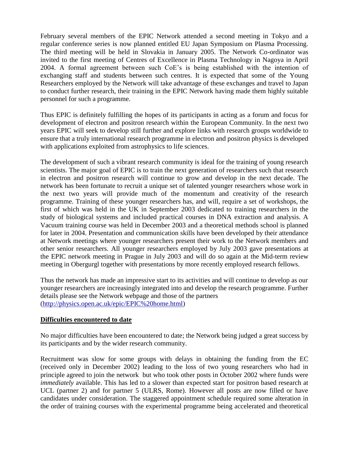February several members of the EPIC Network attended a second meeting in Tokyo and a regular conference series is now planned entitled EU Japan Symposium on Plasma Processing. The third meeting will be held in Slovakia in January 2005. The Network Co-ordinator was invited to the first meeting of Centres of Excellence in Plasma Technology in Nagoya in April 2004. A formal agreement between such CoE's is being established with the intention of exchanging staff and students between such centres. It is expected that some of the Young Researchers employed by the Network will take advantage of these exchanges and travel to Japan to conduct further research, their training in the EPIC Network having made them highly suitable personnel for such a programme.

Thus EPIC is definitely fulfilling the hopes of its participants in acting as a forum and focus for development of electron and positron research within the European Community. In the next two years EPIC will seek to develop still further and explore links with research groups worldwide to ensure that a truly international research programme in electron and positron physics is developed with applications exploited from astrophysics to life sciences.

The development of such a vibrant research community is ideal for the training of young research scientists. The major goal of EPIC is to train the next generation of researchers such that research in electron and positron research will continue to grow and develop in the next decade. The network has been fortunate to recruit a unique set of talented younger researchers whose work in the next two years will provide much of the momentum and creativity of the research programme. Training of these younger researchers has, and will, require a set of workshops, the first of which was held in the UK in September 2003 dedicated to training researchers in the study of biological systems and included practical courses in DNA extraction and analysis. A Vacuum training course was held in December 2003 and a theoretical methods school is planned for later in 2004. Presentation and communication skills have been developed by their attendance at Network meetings where younger researchers present their work to the Network members and other senior researchers. All younger researchers employed by July 2003 gave presentations at the EPIC network meeting in Prague in July 2003 and will do so again at the Mid-term review meeting in Obergurgl together with presentations by more recently employed research fellows.

Thus the network has made an impressive start to its activities and will continue to develop as our younger researchers are increasingly integrated into and develop the research programme. Further details please see the Network webpage and those of the partners [\(http://physics.open.ac.uk/epic/EPIC%20home.html\)](http://physics.open.ac.uk/epic/EPIC%20home.html)

### **Difficulties encountered to date**

No major difficulties have been encountered to date; the Network being judged a great success by its participants and by the wider research community.

Recruitment was slow for some groups with delays in obtaining the funding from the EC (received only in December 2002) leading to the loss of two young researchers who had in principle agreed to join the network but who took other posts in October 2002 where funds were *immediately* available. This has led to a slower than expected start for positron based research at UCL (partner 2) and for partner 5 (ULRS, Rome). However all posts are now filled or have candidates under consideration. The staggered appointment schedule required some alteration in the order of training courses with the experimental programme being accelerated and theoretical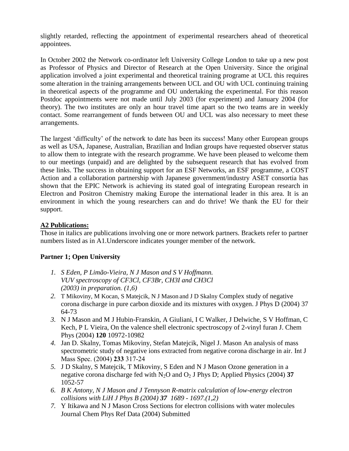slightly retarded, reflecting the appointment of experimental researchers ahead of theoretical appointees.

In October 2002 the Network co-ordinator left University College London to take up a new post as Professor of Physics and Director of Research at the Open University. Since the original application involved a joint experimental and theoretical training programe at UCL this requires some alteration in the training arrangements between UCL and OU with UCL continuing training in theoretical aspects of the programme and OU undertaking the experimental. For this reason Postdoc appointments were not made until July 2003 (for experiment) and January 2004 (for theory). The two institutes are only an hour travel time apart so the two teams are in weekly contact. Some rearrangement of funds between OU and UCL was also necessary to meet these arrangements.

The largest 'difficulty' of the network to date has been its success! Many other European groups as well as USA, Japanese, Australian, Brazilian and Indian groups have requested observer status to allow them to integrate with the research programme. We have been pleased to welcome them to our meetings (unpaid) and are delighted by the subsequent research that has evolved from these links. The success in obtaining support for an ESF Networks, an ESF programme, a COST Action and a collaboration partnership with Japanese government/industry ASET consortia has shown that the EPIC Network is achieving its stated goal of integrating European research in Electron and Positron Chemistry making Europe the international leader in this area. It is an environment in which the young researchers can and do thrive! We thank the EU for their support.

# **A2 Publications:**

Those in italics are publications involving one or more network partners. Brackets refer to partner numbers listed as in A1.Underscore indicates younger member of the network.

# **Partner 1; Open University**

- *1. S Eden, P Limão-Vieira, N J Mason and S V Hoffmann. VUV spectroscopy of CF3Cl, CF3Br, CH3I and CH3Cl (2003) in preparation. (1,6)*
- *2.* T Mikoviny, M Kocan, S Matejcik, N J Mason and J D Skalny Complex study of negative corona discharge in pure carbon dioxide and its mixtures with oxygen. J Phys D (2004) 37 64-73
- *3.* N J Mason and M J Hubin-Franskin*,* A Giuliani, I C Walker, J Delwiche, S V Hoffman, C Kech, P L Vieira, On the valence shell electronic spectroscopy of 2-vinyl furan J. Chem Phys (2004) **120** 10972-10982
- *4.* Jan D. Skalny, Tomas Mikoviny, Stefan Matejcik, Nigel J. Mason An analysis of mass spectrometric study of negative ions extracted from negative corona discharge in air. Int J Mass Spec. (2004) **233** 317-24
- *5.* J D Skalny, S Matejcik, T Mikoviny, S Eden and N J Mason Ozone generation in a negative corona discharge fed with  $N_2O$  and  $O_2$  J Phys D; Applied Physics (2004) **37** 1052-57
- *6. B K Antony, N J Mason and J Tennyson R-matrix calculation of low-energy electron collisions with LiH J Phys B (2004) 37 1689 - 1697.(1,2)*
- *7.* Y Itikawa and N J Mason Cross Sections for electron collisions with water molecules Journal Chem Phys Ref Data (2004) Submitted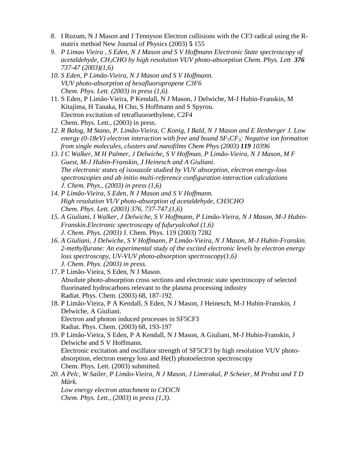- *8.* I Rozum, N J Mason and J Tennyson Electron collisions with the CF3 radical using the Rmatrix method New Journal of Physics (2003) **5** 155
- *9. P Limao Vieira , S Eden, N J Mason and S V Hoffmann Electronic State spectroscopy of acetaldehyde, CH3CHO by high resolution VUV photo-absorption Chem. Phys. Lett 376 737-47 (2003)(1,6)*
- *10. S Eden, P Limão-Vieira, N J Mason and S V Hoffmann. VUV photo-absorption of hexafluoropropene C3F6 Chem. Phys. Lett. (2003) in press (1,6).*
- 11. S Eden, P Limão-Vieira, P Kendall, N J Mason, J Delwiche, M-J Hubin-Franskin, M Kitajima, H Tanaka, H Cho, S Hoffmann and S Spyrou. Electron excitation of tetrafluoroethylene, C2F4 Chem. Phys. Lett., (2003) in press.
- *12. R Balog, M Stano, P. Limão-Vieira, C Konig, I Bald, N J Mason and E Ilenberger J. Low energy (0-18eV) electron interaction with free and bound SF5CF3: Negative ion formation from single molecules, clusters and nanofilms Chem Phys (2003) 119 10396*
- *13. I C Walker, M H Palmer, J Delwiche, S V Hoffman, P Limão-Vieira, N J Mason, M F Guest, M-J Hubin-Franskin, J Heinesch and A Giuliani. The electronic states of isoxazole studied by VUV absorption, electron energy-loss spectroscopies and ab initio multi-reference configuration interaction calculations J. Chem. Phys., (2003) in press (1,6)*
- *14. P Limão-Vieira, S Eden, N J Mason and S V Hoffmann. High resolution VUV photo-absorption of acetaldehyde, CH3CHO Chem. Phys. Lett. (2003) 376, 737-747.(1,6)*
- *15. A Giuliani, I Walker, J Delwiche, S V Hoffmann, P Limão-Vieira, N J Mason, M-J Hubin-Franskin.Electronic spectroscopy of fufuryalcohol (1,6) J. Chem. Phys. (2003)* J. Chem. Phys. 119 (2003) 7282
- *16. A Giuliani, J Delwiche, S V Hoffmann, P Limão-Vieira, N J Mason, M-J Hubin-Franskin. 2-methylfurane: An experimental study of the excited electronic levels by electron energy loss spectroscopy, UV-VUV photo-absorption spectroscopy(1,6) J. Chem. Phys. (2003) in press.*
- 17. P Limão-Vieira, S Eden, N J Mason. Absolute photo-absorption cross sections and electronic state spectroscopy of selected fluorinated hydrocarbons relevant to the plasma processing industry Radiat. Phys. Chem. (2003) 68, 187-192.
- 18. P Limão-Vieira, P A Kendall, S Eden, N J Mason, J Heinesch, M-J Hubin-Franskin, J Delwiche, A Giuliani. Electron and photon induced processes in SF5CF3 Radiat. Phys. Chem. (2003) 68, 193-197
- 19. P Limão-Vieira, S Eden, P A Kendall, N J Mason, A Giuliani, M-J Hubin-Franskin, J Delwiche and S V Hoffmann. Electronic excitation and oscillator strength of SF5CF3 by high resolution VUV photoabsorption, electron energy loss and He(I) photoelectron spectroscopy Chem. Phys. Lett. (2003) submitted.
- *20. A Pelc, W Sailer, P Limão-Vieira, N J Mason, J Limtrakul, P Scheier, M Probst and T D Märk.*

*Low energy electron attachment to CH3CN Chem. Phys. Lett., (2003) in press (1,3).*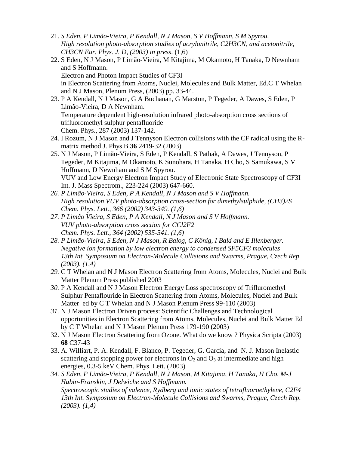- 21. *S Eden, P Limão-Vieira, P Kendall, N J Mason, S V Hoffmann, S M Spyrou. High resolution photo-absorption studies of acrylonitrile, C2H3CN, and acetonitrile, CH3CN Eur. Phys. J. D, (2003) in press*. (1,6)
- 22. S Eden, N J Mason, P Limão-Vieira, M Kitajima, M Okamoto, H Tanaka, D Newnham and S Hoffmann. Electron and Photon Impact Studies of CF3I in Electron Scattering from Atoms, Nuclei, Molecules and Bulk Matter, Ed.C T Whelan and N J Mason, Plenum Press, (2003) pp. 33-44.
- 23. P A Kendall, N J Mason, G A Buchanan, G Marston, P Tegeder, A Dawes, S Eden, P Limão-Vieira, D A Newnham. Temperature dependent high-resolution infrared photo-absorption cross sections of trifluoromethyl sulphur pentafluoride Chem. Phys., 287 (2003) 137-142.
- 24. I Rozum, N J Mason and J Tennyson Electron collisions with the CF radical using the Rmatrix method J. Phys B **36** 2419-32 (2003)
- 25. N J Mason, P Limão-Vieira, S Eden, P Kendall, S Pathak, A Dawes, J Tennyson, P Tegeder, M Kitajima, M Okamoto, K Sunohara, H Tanaka, H Cho, S Samukawa, S V Hoffmann, D Newnham and S M Spyrou. VUV and Low Energy Electron Impact Study of Electronic State Spectroscopy of CF3I Int. J. Mass Spectrom., 223-224 (2003) 647-660.
- *26. P Limão-Vieira, S Eden, P A Kendall, N J Mason and S V Hoffmann. High resolution VUV photo-absorption cross-section for dimethylsulphide, (CH3)2S Chem. Phys. Lett., 366 (2002) 343-349. (1,6)*
- *27. P Limão Vieira, S Eden, P A Kendall, N J Mason and S V Hoffmann. VUV photo-absorption cross section for CCl2F2 Chem. Phys. Lett., 364 (2002) 535-541. (1,6)*
- *28. P Limão-Vieira, S Eden, N J Mason, R Balog, C König, I Bald and E Illenberger. Negative ion formation by low electron energy to condensed SF5CF3 molecules 13th Int. Symposium on Electron-Molecule Collisions and Swarms, Prague, Czech Rep. (2003). (1,4)*
- *29.* C T Whelan and N J Mason Electron Scattering from Atoms, Molecules, Nuclei and Bulk Matter Plenum Press published 2003
- *30.* P A Kendall and N J Mason Electron Energy Loss spectroscopy of Trifluromethyl Sulphur Pentaflouride in Electron Scattering from Atoms, Molecules, Nuclei and Bulk Matter ed by C T Whelan and N J Mason Plenum Press 99-110 (2003)
- *31.* N J Mason Electron Driven process: Scientific Challenges and Technological opportunities in Electron Scattering from Atoms, Molecules, Nuclei and Bulk Matter Ed by C T Whelan and N J Mason Plenum Press 179-190 (2003)
- 32. N J Mason Electron Scattering from Ozone. What do we know ? Physica Scripta (2003) **68** C37-43
- 33. A. Williart, P. A. Kendall, F. Blanco, P. Tegeder, G. García, and N. J. Mason Inelastic scattering and stopping power for electrons in  $O_2$  and  $O_3$  at intermediate and high energies, 0.3-5 keV Chem. Phys. Lett. (2003)
- *34. S Eden, P Limão-Vieira, P Kendall, N J Mason, M Kitajima, H Tanaka, H Cho, M-J Hubin-Franskin, J Delwiche and S Hoffmann. Spectroscopic studies of valence, Rydberg and ionic states of tetrafluoroethylene, C2F4 13th Int. Symposium on Electron-Molecule Collisions and Swarms, Prague, Czech Rep. (2003). (1,4)*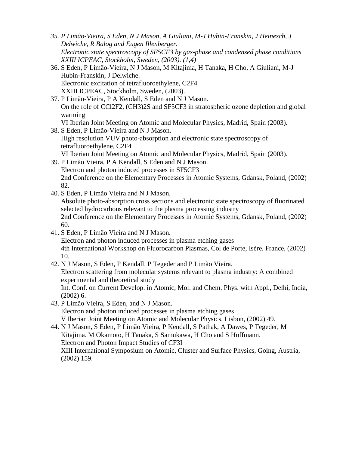- *35. P Limão-Vieira, S Eden, N J Mason, A Giuliani, M-J Hubin-Franskin, J Heinesch, J Delwiche, R Balog and Eugen Illenberger. Electronic state spectroscopy of SF5CF3 by gas-phase and condensed phase conditions XXIII ICPEAC, Stockholm, Sweden, (2003). (1,4)*
- 36. S Eden, P Limão-Vieira, N J Mason, M Kitajima, H Tanaka, H Cho, A Giuliani, M-J Hubin-Franskin, J Delwiche. Electronic excitation of tetrafluoroethylene, C2F4 XXIII ICPEAC, Stockholm, Sweden, (2003).
- 37. P Limão-Vieira, P A Kendall, S Eden and N J Mason. On the role of CCl2F2, (CH3)2S and SF5CF3 in stratospheric ozone depletion and global warming
	- VI Iberian Joint Meeting on Atomic and Molecular Physics, Madrid, Spain (2003).
- 38. S Eden, P Limão-Vieira and N J Mason. High resolution VUV photo-absorption and electronic state spectroscopy of tetrafluoroethylene, C2F4 VI Iberian Joint Meeting on Atomic and Molecular Physics, Madrid, Spain (2003).
- 39. P Limão Vieira, P A Kendall, S Eden and N J Mason. Electron and photon induced processes in SF5CF3 2nd Conference on the Elementary Processes in Atomic Systems, Gdansk, Poland, (2002) 82.
- 40. S Eden, P Limão Vieira and N J Mason.

Absolute photo-absorption cross sections and electronic state spectroscopy of fluorinated selected hydrocarbons relevant to the plasma processing industry 2nd Conference on the Elementary Processes in Atomic Systems, Gdansk, Poland, (2002) 60.

- 41. S Eden, P Limão Vieira and N J Mason. Electron and photon induced processes in plasma etching gases 4th International Workshop on Fluorocarbon Plasmas, Col de Porte, Isère, France, (2002) 10.
- 42. N J Mason, S Eden, P Kendall. P Tegeder and P Limão Vieira.

Electron scattering from molecular systems relevant to plasma industry: A combined experimental and theoretical study

Int. Conf. on Current Develop. in Atomic, Mol. and Chem. Phys. with Appl., Delhi, India,  $(2002)$  6.

43. P Limão Vieira, S Eden, and N J Mason. Electron and photon induced processes in plasma etching gases V Iberian Joint Meeting on Atomic and Molecular Physics, Lisbon, (2002) 49.

44. N J Mason, S Eden, P Limão Vieira, P Kendall, S Pathak, A Dawes, P Tegeder, M Kitajima. M Okamoto, H Tanaka, S Samukawa, H Cho and S Hoffmann. Electron and Photon Impact Studies of CF3I XIII International Symposium on Atomic, Cluster and Surface Physics, Going, Austria, (2002) 159.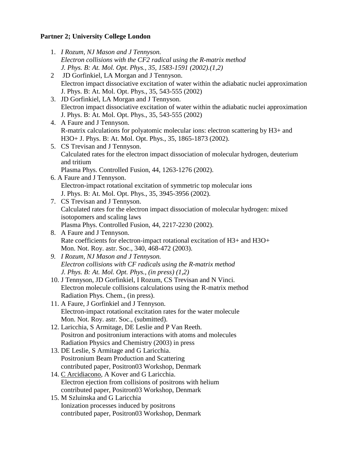# **Partner 2; University College London**

- 1. *I Rozum, NJ Mason and J Tennyson. Electron collisions with the CF2 radical using the R-matrix method J. Phys. B: At. Mol. Opt. Phys., 35, 1583-1591 (2002).(1,2)*
- 2 JD Gorfinkiel, LA Morgan and J Tennyson. Electron impact dissociative excitation of water within the adiabatic nuclei approximation J. Phys. B: At. Mol. Opt. Phys., 35, 543-555 (2002)
- 3. JD Gorfinkiel, LA Morgan and J Tennyson. Electron impact dissociative excitation of water within the adiabatic nuclei approximation J. Phys. B: At. Mol. Opt. Phys., 35, 543-555 (2002)
- 4. A Faure and J Tennyson. R-matrix calculations for polyatomic molecular ions: electron scattering by H3+ and H3O+ J. Phys. B: At. Mol. Opt. Phys., 35, 1865-1873 (2002).
- 5. CS Trevisan and J Tennyson. Calculated rates for the electron impact dissociation of molecular hydrogen, deuterium and tritium Plasma Phys. Controlled Fusion, 44, 1263-1276 (2002).
- 6. A Faure and J Tennyson. Electron-impact rotational excitation of symmetric top molecular ions J. Phys. B: At. Mol. Opt. Phys., 35, 3945-3956 (2002).
- 7. CS Trevisan and J Tennyson. Calculated rates for the electron impact dissociation of molecular hydrogen: mixed isotopomers and scaling laws Plasma Phys. Controlled Fusion, 44, 2217-2230 (2002).
- 8. A Faure and J Tennyson. Rate coefficients for electron-impact rotational excitation of H3+ and H3O+ Mon. Not. Roy. astr. Soc., 340, 468-472 (2003).
- *9. I Rozum, NJ Mason and J Tennyson. Electron collisions with CF radicals using the R-matrix method J. Phys. B: At. Mol. Opt. Phys., (in press) (1,2)*
- 10. J Tennyson, JD Gorfinkiel, I Rozum, CS Trevisan and N Vinci. Electron molecule collisions calculations using the R-matrix method Radiation Phys. Chem., (in press).
- 11. A Faure, J Gorfinkiel and J Tennyson. Electron-impact rotational excitation rates for the water molecule Mon. Not. Roy. astr. Soc., (submitted).
- 12. Laricchia, S Armitage, DE Leslie and P Van Reeth. Positron and positronium interactions with atoms and molecules Radiation Physics and Chemistry (2003) in press
- 13. DE Leslie, S Armitage and G Laricchia. Positronium Beam Production and Scattering contributed paper, Positron03 Workshop, Denmark
- 14. C Arcidiacono, A Kover and G Laricchia. Electron ejection from collisions of positrons with helium contributed paper, Positron03 Workshop, Denmark
- 15. M Szluinska and G Laricchia Ionization processes induced by positrons contributed paper, Positron03 Workshop, Denmark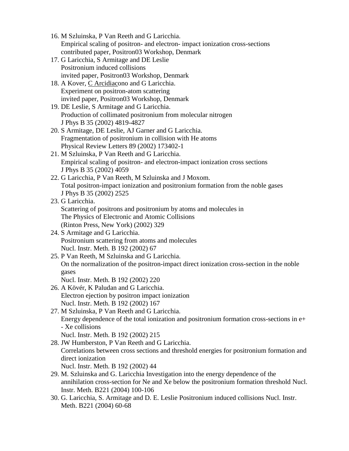- 16. M Szluinska, P Van Reeth and G Laricchia. Empirical scaling of positron- and electron- impact ionization cross-sections contributed paper, Positron03 Workshop, Denmark
- 17. G Laricchia, S Armitage and DE Leslie Positronium induced collisions invited paper, Positron03 Workshop, Denmark
- 18. A Kover, C Arcidiacono and G Laricchia. Experiment on positron-atom scattering invited paper, Positron03 Workshop, Denmark
- 19. DE Leslie, S Armitage and G Laricchia. Production of collimated positronium from molecular nitrogen J Phys B 35 (2002) 4819-4827
- 20. S Armitage, DE Leslie, AJ Garner and G Laricchia. Fragmentation of positronium in collision with He atoms Physical Review Letters 89 (2002) 173402-1
- 21. M Szluinska, P Van Reeth and G Laricchia. Empirical scaling of positron- and electron-impact ionization cross sections J Phys B 35 (2002) 4059
- 22. G Laricchia, P Van Reeth, M Szluinska and J Moxom. Total positron-impact ionization and positronium formation from the noble gases J Phys B 35 (2002) 2525

# 23. G Laricchia.

Scattering of positrons and positronium by atoms and molecules in The Physics of Electronic and Atomic Collisions (Rinton Press, New York) (2002) 329

- 24. S Armitage and G Laricchia. Positronium scattering from atoms and molecules Nucl. Instr. Meth. B 192 (2002) 67
- 25. P Van Reeth, M Szluinska and G Laricchia. On the normalization of the positron-impact direct ionization cross-section in the noble gases

Nucl. Instr. Meth. B 192 (2002) 220

- 26. A Kövér, K Paludan and G Laricchia. Electron ejection by positron impact ionization Nucl. Instr. Meth. B 192 (2002) 167
- 27. M Szluinska, P Van Reeth and G Laricchia. Energy dependence of the total ionization and positronium formation cross-sections in e+ - Xe collisions

Nucl. Instr. Meth. B 192 (2002) 215

28. JW Humberston, P Van Reeth and G Laricchia. Correlations between cross sections and threshold energies for positronium formation and direct ionization

Nucl. Instr. Meth. B 192 (2002) 44

- 29. M. Szluinska and G. Laricchia Investigation into the energy dependence of the annihilation cross-section for Ne and Xe below the positronium formation threshold Nucl. Instr. Meth. B221 (2004) 100-106
- 30. G. Laricchia, S. Armitage and D. E. Leslie Positronium induced collisions Nucl. Instr. Meth. B221 (2004) 60-68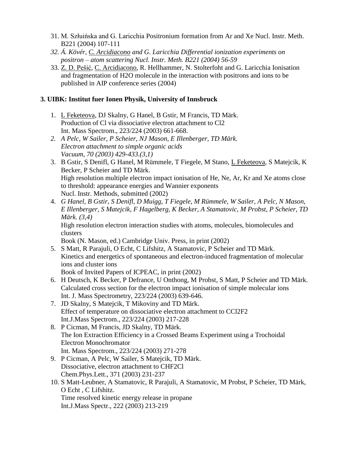- 31. M. Szłuińska and G. Laricchia Positronium formation from Ar and Xe Nucl. Instr. Meth. B221 (2004) 107-111
- *32. Á. Kövér, C. Arcidiacono and G. Laricchia Differential ionization experiments on positron – atom scattering Nucl. Instr. Meth. B221 (2004) 56-59*
- 33. Z. D. Pešić, C. Arcidiacono, R. Hellhammer, N. Stolterfoht and G. Laricchia Ionisation and fragmentation of H2O molecule in the interaction with positrons and ions to be published in AIP conference series (2004)

# **3. UIBK: Institut fuer Ionen Physik, University of Innsbruck**

- 1. L Feketeova, DJ Skalny, G Hanel, B Gstir, M Francis, TD Märk. Production of Cl via dissociative electron attachment to Cl2 Int. Mass Spectrom., 223/224 (2003) 661-668.
- *2. A Pelc, W Sailer, P Scheier, NJ Mason, E Illenberger, TD Märk. Electron attachment to simple organic acids Vacuum, 70 (2003) 429-433.(3,1)*
- 3. B Gstir, S Denifl, G Hanel, M Rümmele, T Fiegele, M Stano, L Feketeova, S Matejcik, K Becker, P Scheier and TD Märk. High resolution multiple electron impact ionisation of He, Ne, Ar, Kr and Xe atoms close to threshold: appearance energies and Wannier exponents Nucl. Instr. Methods, submitted (2002)
- 4. *G Hanel, B Gstir, S Denifl, D Muigg, T Fiegele, M Rümmele, W Sailer, A Pelc, N Mason, E Illenberger, S Matejcik, F Hagelberg, K Becker, A Stamatovic, M Probst, P Scheier, TD Märk. (3,4)* High resolution electron interaction studies with atoms, molecules, biomolecules and clusters

Book (N. Mason, ed.) Cambridge Univ. Press, in print (2002)

5. S Matt, R Parajuli, O Echt, C Lifshitz, A Stamatovic, P Scheier and TD Märk. Kinetics and energetics of spontaneous and electron-induced fragmentation of molecular ions and cluster ions

Book of Invited Papers of ICPEAC, in print (2002)

- 6. H Deutsch, K Becker, P Defrance, U Onthong, M Probst, S Matt, P Scheier and TD Märk. Calculated cross section for the electron impact ionisation of simple molecular ions Int. J. Mass Spectrometry, 223/224 (2003) 639-646.
- 7. JD Skalny, S Matejcik, T Mikoviny and TD Märk. Effect of temperature on dissociative electron attachment to CCl2F2 Int.J.Mass Spectrom., 223/224 (2003) 217-228
- 8. P Cicman, M Francis, JD Skalny, TD Märk. The Ion Extraction Efficiency in a Crossed Beams Experiment using a Trochoidal Electron Monochromator Int. Mass Spectrom., 223/224 (2003) 271-278
- 9. P Cicman, A Pelc, W Sailer, S Matejcik, TD Märk. Dissociative, electron attachment to CHF2Cl Chem.Phys.Lett., 371 (2003) 231-237
- 10. S Matt-Leubner, A Stamatovic, R Parajuli, A Stamatovic, M Probst, P Scheier, TD Märk, O Echt , C Lifshitz. Time resolved kinetic energy release in propane Int.J.Mass Spectr., 222 (2003) 213-219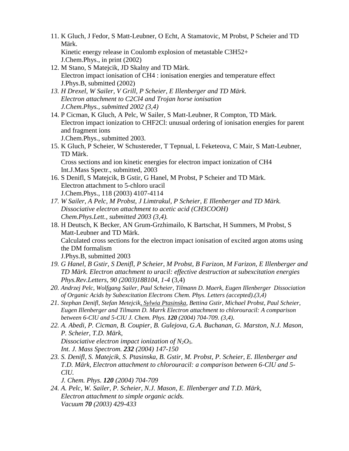- 11. K Gluch, J Fedor, S Matt-Leubner, O Echt, A Stamatovic, M Probst, P Scheier and TD Märk. Kinetic energy release in Coulomb explosion of metastable C3H52+ J.Chem.Phys., in print (2002)
- 12. M Stano, S Matejcik, JD Skalny and TD Märk. Electron impact ionisation of CH4 : ionisation energies and temperature effect J.Phys.B, submitted (2002)
- *13. H Drexel, W Sailer, V Grill, P Scheier, E Illenberger and TD Märk. Electron attachment to C2Cl4 and Trojan horse ionisation J.Chem.Phys., submitted 2002 (3,4)*
- 14. P Cicman, K Gluch, A Pelc, W Sailer, S Matt-Leubner, R Compton, TD Märk. Electron impact ionization to CHF2Cl: unusual ordering of ionisation energies for parent and fragment ions

J.Chem.Phys., submitted 2003.

15. K Gluch, P Scheier, W Schustereder, T Tepnual, L Feketeova, C Mair, S Matt-Leubner, TD Märk.

Cross sections and ion kinetic energies for electron impact ionization of CH4 Int.J.Mass Spectr., submitted, 2003

- 16. S Denifl, S Matejcik, B Gstir, G Hanel, M Probst, P Scheier and TD Märk. Electron attachment to 5-chloro uracil J.Chem.Phys., 118 (2003) 4107-4114
- *17. W Sailer, A Pelc, M Probst, J Limtrakul, P Scheier, E Illenberger and TD Märk. Dissociative electron attachment to acetic acid (CH3COOH) Chem.Phys.Lett., submitted 2003 (3,4).*
- 18. H Deutsch, K Becker, AN Grum-Grzhimailo, K Bartschat, H Summers, M Probst, S Matt-Leubner and TD Märk. Calculated cross sections for the electron impact ionisation of excited argon atoms using the DM formalism J.Phys.B, submitted 2003
- *19. G Hanel, B Gstir, S Denifl, P Scheier, M Probst, B Farizon, M Farizon, E Illenberger and TD Märk. Electron attachment to uracil: effective destruction at subexcitation energies Phys.Rev.Letters, 90 (2003)188104, 1-4* (3,4)
- *20. Andrzej Pelc, Wolfgang Sailer, Paul Scheier, Tilmann D. Maerk, Eugen Illenberger Dissociation of Organic Acids by Subexcitation Electrons Chem. Phys. Letters (accepted).(3,4)*
- *21. Stephan Denifl, Stefan Metejcik, Sylwia Ptasinska, Bettina Gstir, Michael Probst, Paul Scheier, Eugen Illenberger and Tilmann D. Marrk Electron attachment to chlorouracil: A comparison between 6-ClU and 5-ClU J. Chem. Phys. 120 (2004) 704-709. (3,4)*.
- *22. A. Abedi, P. Cicman, B. Coupier, B. Gulejova, G.A. Buchanan, G. Marston, N.J. Mason, P. Scheier, T.D. Märk, Dissociative electron impact ionization of N2O5. Int. J. Mass Spectrom. 232 (2004) 147-150*
- *23. S. Denifl, S. Matejcik, S. Ptasinska, B. Gstir, M. Probst, P. Scheier, E. Illenberger and T.D. Märk, Electron attachment to chlorouracil: a comparison between 6-ClU and 5- ClU.* 
	- *J. Chem. Phys. 120 (2004) 704-709*
- *24. A. Pelc, W. Sailer, P. Scheier, N.J. Mason, E. Illenberger and T.D. Märk, Electron attachment to simple organic acids. Vacuum 70 (2003) 429-433*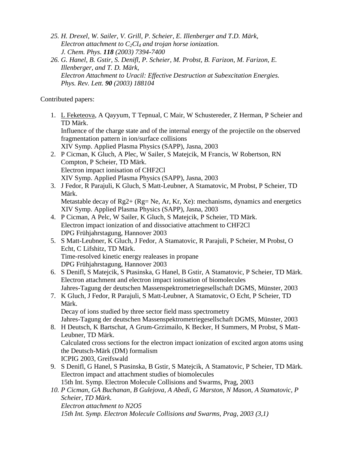- *25. H. Drexel, W. Sailer, V. Grill, P. Scheier, E. Illenberger and T.D. Märk, Electron attachment to C2Cl<sup>4</sup> and trojan horse ionization. J. Chem. Phys. 118 (2003) 7394-7400*
- *26. G. Hanel, B. Gstir, S. Denifl, P. Scheier, M. Probst, B. Farizon, M. Farizon, E. Illenberger, and T. D. Märk, Electron Attachment to Uracil: Effective Destruction at Subexcitation Energies. Phys. Rev. Lett. 90 (2003) 188104*

### Contributed papers:

1. L Feketeova, A Qayyum, T Tepnual, C Mair, W Schustereder, Z Herman, P Scheier and TD Märk. Influence of the charge state and of the internal energy of the projectile on the observed fragmentation pattern in ion/surface collisions

XIV Symp. Applied Plasma Physics (SAPP), Jasna, 2003

- 2. P Cicman, K Gluch, A Plec, W Sailer, S Matejcik, M Francis, W Robertson, RN Compton, P Scheier, TD Märk. Electron impact ionisation of CHF2Cl XIV Symp. Applied Plasma Physics (SAPP), Jasna, 2003
- 3. J Fedor, R Parajuli, K Gluch, S Matt-Leubner, A Stamatovic, M Probst, P Scheier, TD Märk. Metastable decay of  $Rg2 + (Rg = Ne, Ar, Kr, Xe)$ : mechanisms, dynamics and energetics

XIV Symp. Applied Plasma Physics (SAPP), Jasna, 2003

- 4. P Cicman, A Pelc, W Sailer, K Gluch, S Matejcik, P Scheier, TD Märk. Electron impact ionization of and dissociative attachment to CHF2Cl DPG Frühjahrstagung, Hannover 2003
- 5. S Matt-Leubner, K Gluch, J Fedor, A Stamatovic, R Parajuli, P Scheier, M Probst, O Echt, C Lifshitz, TD Märk. Time-resolved kinetic energy realeases in propane DPG Frühjahrstagung, Hannover 2003
- 6. S Denifl, S Matejcik, S Ptasinska, G Hanel, B Gstir, A Stamatovic, P Scheier, TD Märk. Electron attachment and electron impact ionisation of biomolecules Jahres-Tagung der deutschen Massenspektrometriegesellschaft DGMS, Münster, 2003
- 7. K Gluch, J Fedor, R Parajuli, S Matt-Leubner, A Stamatovic, O Echt, P Scheier, TD Märk. Decay of ions studied by three sector field mass spectrometry

Jahres-Tagung der deutschen Massenspektrometriegesellschaft DGMS, Münster, 2003

- 8. H Deutsch, K Bartschat, A Grum-Grzimailo, K Becker, H Summers, M Probst, S Matt-Leubner, TD Märk. Calculated cross sections for the electron impact ionization of excited argon atoms using the Deutsch-Märk (DM) formalism ICPIG 2003, Greifswald
- 9. S Denifl, G Hanel, S Ptasinska, B Gstir, S Matejcik, A Stamatovic, P Scheier, TD Märk. Electron impact and attachment studies of biomolecules 15th Int. Symp. Electron Molecule Collisions and Swarms, Prag, 2003
- *10. P Cicman, GA Buchanan, B Gulejova, A Abedi, G Marston, N Mason, A Stamatovic, P Scheier, TD Märk. Electron attachment to N2O5 15th Int. Symp. Electron Molecule Collisions and Swarms, Prag, 2003 (3,1)*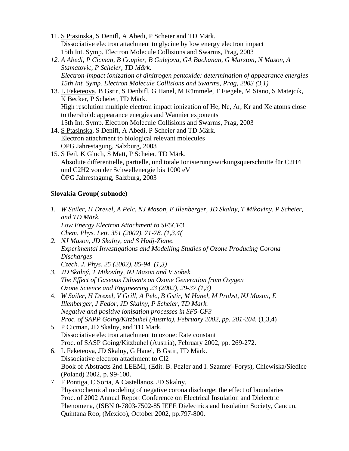- 11. S Ptasinska, S Denifl, A Abedi, P Scheier and TD Märk. Dissociative electron attachment to glycine by low energy electron impact 15th Int. Symp. Electron Molecule Collisions and Swarms, Prag, 2003
- *12. A Abedi, P Cicman, B Coupier, B Gulejova, GA Buchanan, G Marston, N Mason, A Stamatovic, P Scheier, TD Märk. Electron-impact ionization of dinitrogen pentoxide: determination of appearance energies 15th Int. Symp. Electron Molecule Collisions and Swarms, Prag, 2003 (3,1)*
- 13. L Feketeova, B Gstir, S Denbifl, G Hanel, M Rümmele, T Fiegele, M Stano, S Matejcik, K Becker, P Scheier, TD Märk. High resolution multiple electron impact ionization of He, Ne, Ar, Kr and Xe atoms close to thershold: appearance energies and Wannier exponents 15th Int. Symp. Electron Molecule Collisions and Swarms, Prag, 2003
- 14. S Ptasinska, S Denifl, A Abedi, P Scheier and TD Märk. Electron attachment to biological relevant molecules ÖPG Jahrestagung, Salzburg, 2003
- 15. S Feil, K Gluch, S Matt, P Scheier, TD Märk. Absolute differentielle, partielle, und totale Ionisierungswirkungsquerschnitte für C2H4 und C2H2 von der Schwellenergie bis 1000 eV ÖPG Jahrestagung, Salzburg, 2003

# S**lovakia Group( subnode)**

- *1. W Sailer, H Drexel, A Pelc, NJ Mason, E Illenberger, JD Skalny, T Mikoviny, P Scheier, and TD Märk. Low Energy Electron Attachment to SF5CF3 Chem. Phys. Lett. 351 (2002), 71-78. (1,3,4(*
- *2. NJ Mason, JD Skalny, and S Hadj-Ziane. Experimental Investigations and Modelling Studies of Ozone Producing Corona Discharges Czech. J. Phys. 25 (2002), 85-94. (1,3)*
- *3. JD Skalný, T Mikovíny, NJ Mason and V Sobek. The Effect of Gaseous Diluents on Ozone Generation from Oxygen Ozone Science and Engineering 23 (2002), 29-37.(1,3)*
- 4. *W Sailer, H Drexel, V Grill, A Pelc, B Gstir, M Hanel, M Probst, NJ Mason, E Illenberger, J Fedor, JD Skalny, P Scheier, TD Mark. Negative and positive ionisation processes in SF5-CF3 Proc. of SAPP Going/Kitzbuhel (Austria), February 2002, pp. 201-204.* (1,3,4)
- 5. P Cicman, JD Skalny, and TD Mark. Dissociative electron attachment to ozone: Rate constant Proc. of SASP Going/Kitzbuhel (Austria), February 2002, pp. 269-272.
- 6. L Feketeova, JD Skalny, G Hanel, B Gstir, TD Märk. Dissociative electron attachment to Cl2 Book of Abstracts 2nd LEEMI, (Edit. B. Pezler and I. Szamrej-Forys), Chlewiska/Siedlce (Poland) 2002, p. 99-100.
- 7. F Pontiga, C Soria, A Castellanos, JD Skalny. Physicochemical modeling of negative corona discharge: the effect of boundaries Proc. of 2002 Annual Report Conference on Electrical Insulation and Dielectric Phenomena, (ISBN 0-7803-7502-85 IEEE Dielectrics and Insulation Society, Cancun, Quintana Roo, (Mexico), October 2002, pp.797-800.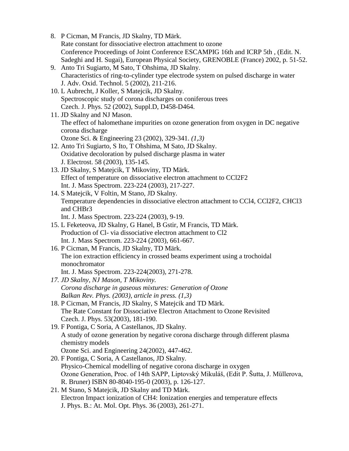- 8. P Cicman, M Francis, JD Skalny, TD Märk. Rate constant for dissociative electron attachment to ozone Conference Proceedings of Joint Conference ESCAMPIG 16th and ICRP 5th , (Edit. N. Sadeghi and H. Sugai), European Physical Society, GRENOBLE (France) 2002, p. 51-52. 9. Anto Tri Sugiarto, M Sato, T Ohshima, JD Skalny.
- Characteristics of ring-to-cylinder type electrode system on pulsed discharge in water J. Adv. Oxid. Technol. 5 (2002), 211-216.
- 10. L Aubrecht, J Koller, S Matejcik, JD Skalny. Spectroscopic study of corona discharges on coniferous trees Czech. J. Phys. 52 (2002), Suppl.D, D458-D464.
- 11. JD Skalny and NJ Mason. The effect of halomethane impurities on ozone generation from oxygen in DC negative corona discharge Ozone Sci. & Engineering 23 (2002), 329-341. *(1,3)*
- 12. Anto Tri Sugiarto, S Ito, T Ohshima, M Sato, JD Skalny. Oxidative decoloration by pulsed discharge plasma in water J. Electrost. 58 (2003), 135-145.
- 13. JD Skalny, S Matejcik, T Mikoviny, TD Märk. Effect of temperature on dissociative electron attachment to CCl2F2 Int. J. Mass Spectrom. 223-224 (2003), 217-227.
- 14. S Matejcik, V Foltin, M Stano, JD Skalny. Temperature dependencies in dissociative electron attachment to CCl4, CCl2F2, CHCl3 and CHBr3
	- Int. J. Mass Spectrom. 223-224 (2003), 9-19.
- 15. L Feketeova, JD Skalny, G Hanel, B Gstir, M Francis, TD Märk. Production of Cl- via dissociative electron attachment to Cl2 Int. J. Mass Spectrom. 223-224 (2003), 661-667.
- 16. P Cicman, M Francis, JD Skalny, TD Märk. The ion extraction efficiency in crossed beams experiment using a trochoidal monochromator Int. J. Mass Spectrom. 223-224(2003), 271-278.
- *17. JD Skalny, NJ Mason, T Mikoviny. Corona discharge in gaseous mixtures: Generation of Ozone Balkan Rev. Phys. (2003), article in press. (1,3)*
- 18. P Cicman, M Francis, JD Skalny, S Matejcik and TD Märk. The Rate Constant for Dissociative Electron Attachment to Ozone Revisited Czech. J. Phys. 53(2003), 181-190.
- 19. F Pontiga, C Soria, A Castellanos, JD Skalny. A study of ozone generation by negative corona discharge through different plasma chemistry models Ozone Sci. and Engineering 24(2002), 447-462.
- 20. F Pontiga, C Soria, A Castellanos, JD Skalny. Physico-Chemical modelling of negative corona discharge in oxygen Ozone Generation, Proc. of 14th SAPP, Liptovský Mikuláš, (Edit P. Šutta, J. Müllerova, R. Bruner) ISBN 80-8040-195-0 (2003), p. 126-127.
- 21. M Stano, S Matejcik, JD Skalny and TD Märk. Electron Impact ionization of CH4: Ionization energies and temperature effects J. Phys. B.: At. Mol. Opt. Phys. 36 (2003), 261-271.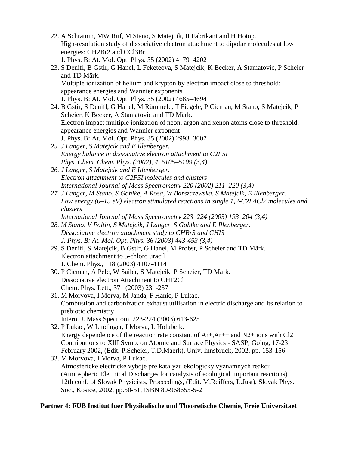- 22. A Schramm, MW Ruf, M Stano, S Matejcik, II Fabrikant and H Hotop. High-resolution study of dissociative electron attachment to dipolar molecules at low energies: CH2Br2 and CCl3Br J. Phys. B: At. Mol. Opt. Phys. 35 (2002) 4179–4202
- 23. S Denifl, B Gstir, G Hanel, L Feketeova, S Matejcik, K Becker, A Stamatovic, P Scheier and TD Märk. Multiple ionization of helium and krypton by electron impact close to threshold: appearance energies and Wannier exponents J. Phys. B: At. Mol. Opt. Phys. 35 (2002) 4685–4694
- 24. B Gstir, S Denifl, G Hanel, M Rümmele, T Fiegele, P Cicman, M Stano, S Matejcik, P Scheier, K Becker, A Stamatovic and TD Märk. Electron impact multiple ionization of neon, argon and xenon atoms close to threshold: appearance energies and Wannier exponent J. Phys. B: At. Mol. Opt. Phys. 35 (2002) 2993–3007
- *25. J Langer, S Matejcik and E Illenberger. Energy balance in dissociative electron attachment to C2F5I Phys. Chem. Chem. Phys. (2002), 4, 5105–5109 (3,4)*
- *26. J Langer, S Matejcik and E Illenberger. Electron attachment to C2F5I molecules and clusters International Journal of Mass Spectrometry 220 (2002) 211–220 (3,4)*
- *27. J Langer, M Stano, S Gohlke, A Rosa, W Barszczewska, S Matejcik, E Illenberger. Low energy (0–15 eV) electron stimulated reactions in single 1,2-C2F4Cl2 molecules and clusters*
	- *International Journal of Mass Spectrometry 223–224 (2003) 193–204 (3,4)*
- *28. M Stano, V Foltin, S Matejcik, J Langer, S Gohlke and E Illenberger. Dissociative electron attachment study to CHBr3 and CHI3 J. Phys. B: At. Mol. Opt. Phys. 36 (2003) 443-453 (3,4)*
- 29. S Denifl, S Matejcik, B Gstir, G Hanel, M Probst, P Scheier and TD Märk. Electron attachment to 5-chloro uracil J. Chem. Phys., 118 (2003) 4107-4114
- 30. P Cicman, A Pelc, W Sailer, S Matejcik, P Scheier, TD Märk. Dissociative electron Attachment to CHF2Cl Chem. Phys. Lett., 371 (2003) 231-237
- 31. M Morvova, I Morva, M Janda, F Hanic, P Lukac. Combustion and carbonization exhaust utilisation in electric discharge and its relation to prebiotic chemistry Intern. J. Mass Spectrom. 223-224 (2003) 613-625
- 32. P Lukac, W Lindinger, I Morva, L Holubcik. Energy dependence of the reaction rate constant of Ar+,Ar++ and N2+ ions with Cl2 Contributions to XIII Symp. on Atomic and Surface Physics - SASP, Going, 17-23 February 2002, (Edit. P.Scheier, T.D.Maerk), Univ. Innsbruck, 2002, pp. 153-156

33. M Morvova, I Morva, P Lukac. Atmosfericke electricke vyboje pre katalyzu ekologicky vyznamnych reakcii (Atmospheric Electrical Discharges for catalysis of ecological important reactions) 12th conf. of Slovak Physicists, Proceedings, (Edit. M.Reiffers, L.Just), Slovak Phys. Soc., Kosice, 2002, pp.50-51, ISBN 80-968655-5-2

# **Partner 4: FUB Institut fuer Physikalische und Theoretische Chemie, Freie Universitaet**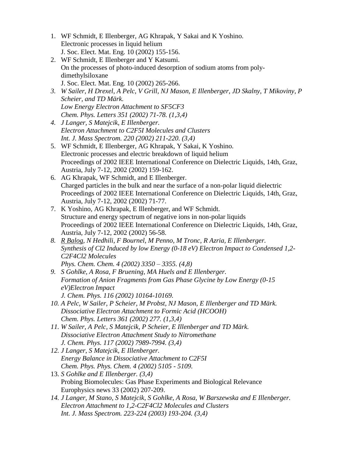- 1. WF Schmidt, E Illenberger, AG Khrapak, Y Sakai and K Yoshino. Electronic processes in liquid helium J. Soc. Elect. Mat. Eng. 10 (2002) 155-156.
- 2. WF Schmidt, E Illenberger and Y Katsumi. On the processes of photo-induced desorption of sodium atoms from polydimethylsiloxane J. Soc. Elect. Mat. Eng. 10 (2002) 265-266.
- *3. W Sailer, H Drexel, A Pelc, V Grill, NJ Mason, E Illenberger, JD Skalny, T Mikoviny, P Scheier, and TD Märk. Low Energy Electron Attachment to SF5CF3 Chem. Phys. Letters 351 (2002) 71-78. (1,3,4)*
- *4. J Langer, S Matejcik, E Illenberger. Electron Attachment to C2F5I Molecules and Clusters Int. J. Mass Spectrom. 220 (2002) 211-220. (3,4)*
- 5. WF Schmidt, E Illenberger, AG Khrapak, Y Sakai, K Yoshino. Electronic processes and electric breakdown of liquid helium Proceedings of 2002 IEEE International Conference on Dielectric Liquids, 14th, Graz, Austria, July 7-12, 2002 (2002) 159-162.
- 6. AG Khrapak, WF Schmidt, and E Illenberger. Charged particles in the bulk and near the surface of a non-polar liquid dielectric Proceedings of 2002 IEEE International Conference on Dielectric Liquids, 14th, Graz, Austria, July 7-12, 2002 (2002) 71-77.
- 7. K Yoshino, AG Khrapak, E Illenberger, and WF Schmidt. Structure and energy spectrum of negative ions in non-polar liquids Proceedings of 2002 IEEE International Conference on Dielectric Liquids, 14th, Graz, Austria, July 7-12, 2002 (2002) 56-58.
- *8. R Balog, N Hedhili, F Bournel, M Penno, M Tronc, R Azria, E Illenberger. Synthesis of Cl2 Induced by low Energy (0-18 eV) Electron Impact to Condensed 1,2- C2F4Cl2 Molecules Phys. Chem. Chem. 4 (2002) 3350 – 3355. (4,8)*
- *9. S Gohlke, A Rosa, F Bruening, MA Huels and E Illenberger. Formation of Anion Fragments from Gas Phase Glycine by Low Energy (0-15 eV)Electron Impact J. Chem. Phys. 116 (2002) 10164-10169.*
- *10. A Pelc, W Sailer, P Scheier, M Probst, NJ Mason, E Illenberger and TD Märk. Dissociative Electron Attachment to Formic Acid (HCOOH) Chem. Phys. Letters 361 (2002) 277. (1,3,4)*
- *11. W Sailer, A Pelc, S Matejcik, P Scheier, E Illenberger and TD Märk. Dissociative Electron Attachment Study to Nitromethane J. Chem. Phys. 117 (2002) 7989-7994. (3,4)*
- *12. J Langer, S Matejcik, E Illenberger. Energy Balance in Dissociative Attachment to C2F5I Chem. Phys. Phys. Chem. 4 (2002) 5105 - 5109.*
- 13. *S Gohlke and E Illenberger. (3,4)* Probing Biomolecules: Gas Phase Experiments and Biological Relevance Europhysics news 33 (2002) 207-209.
- *14. J Langer, M Stano, S Matejcik, S Gohlke, A Rosa, W Barszewska and E Illenberger. Electron Attachment to 1,2-C2F4Cl2 Molecules and Clusters Int. J. Mass Spectrom. 223-224 (2003) 193-204. (3,4)*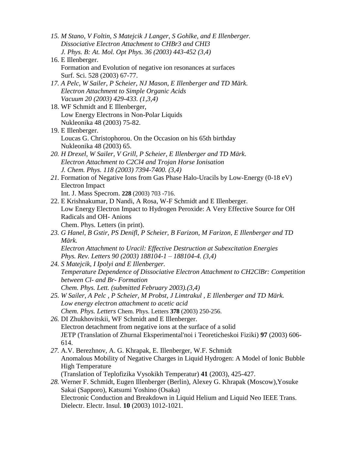- *15. M Stano, V Foltin, S Matejcik J Langer, S Gohlke, and E Illenberger. Dissociative Electron Attachment to CHBr3 and CHI3 J. Phys. B: At. Mol. Opt Phys. 36 (2003) 443-452 (3,4)*
- 16. E Illenberger. Formation and Evolution of negative ion resonances at surfaces Surf. Sci. 528 (2003) 67-77.
- *17. A Pelc, W Sailer, P Scheier, NJ Mason, E Illenberger and TD Märk. Electron Attachment to Simple Organic Acids Vacuum 20 (2003) 429-433. (1,3,4)*
- 18. WF Schmidt and E Illenberger, Low Energy Electrons in Non-Polar Liquids Nukleonika 48 (2003) 75-82.
- 19. E Illenberger. Loucas G. Christophorou. On the Occasion on his 65th birthday Nukleonika 48 (2003) 65.
- *20. H Drexel, W Sailer, V Grill, P Scheier, E Illenberger and TD Märk. Electron Attachment to C2Cl4 and Trojan Horse Ionisation J. Chem. Phys. 118 (2003) 7394-7400. (3,4)*
- *21.* Formation of Negative Ions from Gas Phase Halo-Uracils by Low-Energy (0-18 eV) Electron Impact Int. J. Mass Specrom. **228** (2003) 703 -716.
- 22. E Krishnakumar, D Nandi, A Rosa, W-F Schmidt and E Illenberger. Low Energy Electron Impact to Hydrogen Peroxide: A Very Effective Source for OH Radicals and OH- Anions Chem. Phys. Letters (in print).
- *23. G Hanel, B Gstir, PS Denifl, P Scheier, B Farizon, M Farizon, E Illenberger and TD Märk. Electron Attachment to Uracil: Effective Destruction at Subexcitation Energies Phys. Rev. Letters 90 (2003) 188104-1 – 188104-4. (3,4)*
- *24. S Matejcik, I Ipolyi and E Illenberger. Temperature Dependence of Dissociative Electron Attachment to CH2ClBr: Competition between Cl- and Br- Formation Chem. Phys. Lett. (submitted February 2003).(3,4)*
- *25. W Sailer, A Pelc , P Scheier, M Probst, J Limtrakul , E Illenberger and TD Märk. Low energy electron attachment to acetic acid Chem. Phys. Letters* Chem. Phys. Letters **378** (2003) 250-256.
- *26.* DI Zhukhovitskii, WF Schmidt and E Illenberger. Electron detachment from negative ions at the surface of a solid JETP (Translation of Zhurnal Eksperimental'noi i Teoreticheskoi Fiziki) **97** (2003) 606- 614.
- *27.* A.V. Berezhnov, A. G. Khrapak, E. Illenberger, W.F. Schmidt Anomalous Mobility of Negative Charges in Liquid Hydrogen: A Model of Ionic Bubble High Temperature (Translation of Teplofizika Vysokikh Temperatur) **41** (2003), 425-427.
- *28.* Werner F. Schmidt, Eugen Illenberger (Berlin), Alexey G. Khrapak (Moscow),Yosuke Sakai (Sapporo), Katsumi Yoshino (Osaka) Electronic Conduction and Breakdown in Liquid Helium and Liquid Neo IEEE Trans. Dielectr. Electr. Insul. **10** (2003) 1012-1021.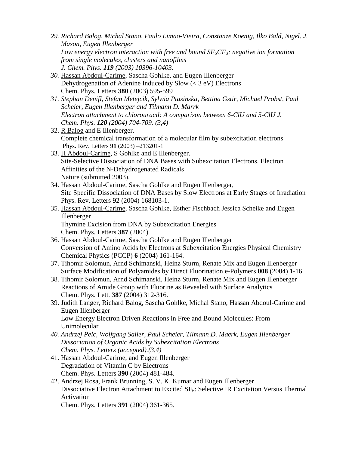- *29. Richard Balog, Michal Stano, Paulo Limao-Vieira, Constanze Koenig, Ilko Bald, Nigel. J. Mason, Eugen Illenberger Low energy electron interaction with free and bound SF5CF3: negative ion formation from single molecules, clusters and nanofilms J. Chem. Phys. 119 (2003) 10396-10403.*
- *30.* Hassan Abdoul-Carime, Sascha Gohlke, and Eugen Illenberger Dehydrogenation of Adenine Induced by Slow  $(< 3 \text{ eV})$  Electrons Chem. Phys. Letters **380** (2003) 595-599
- *31. Stephan Denifl, Stefan Metejcik, Sylwia Ptasinska, Bettina Gstir, Michael Probst, Paul Scheier, Eugen Illenberger and Tilmann D. Marrk Electron attachment to chlorouracil: A comparison between 6-ClU and 5-ClU J. Chem. Phys. 120 (2004) 704-709. (3,4)*
- 32. R Balog and E Illenberger. Complete chemical transformation of a molecular film by subexcitation electrons Phys. Rev. Letters **91** (2003) –213201-1
- 33. H Abdoul-Carime, S Gohlke and E Illenberger. Site-Selective Dissociation of DNA Bases with Subexcitation Electrons. Electron Affinities of the N-Dehydrogenated Radicals Nature (submitted 2003).
- 34. Hassan Abdoul-Carime, Sascha Gohlke and Eugen Illenberger, Site Specific Dissociation of DNA Bases by Slow Electrons at Early Stages of Irradiation Phys. Rev. Letters 92 (2004) 168103-1.
- 35. Hassan Abdoul-Carime, Sascha Gohlke, Esther Fischbach Jessica Scheike and Eugen Illenberger Thymine Excision from DNA by Subexcitation Energies

Chem. Phys. Letters **387** (2004)

- 36. Hassan Abdoul-Carime, Sascha Gohlke and Eugen Illenberger Conversion of Amino Acids by Electrons at Subexcitation Energies Physical Chemistry Chemical Physics (PCCP) **6** (2004) 161-164.
- 37. Tihomir Solomun, Arnd Schimanski, Heinz Sturm, Renate Mix and Eugen Illenberger Surface Modification of Polyamides by Direct Fluorination e-Polymers **008** (2004) 1-16.
- 38. Tihomir Solomun, Arnd Schimanski, Heinz Sturm, Renate Mix and Eugen Illenberger Reactions of Amide Group with Fluorine as Revealed with Surface Analytics Chem. Phys. Lett. **387** (2004) 312-316.
- 39. Judith Langer, Richard Balog, Sascha Gohlke, Michal Stano, Hassan Abdoul-Carime and Eugen Illenberger Low Energy Electron Driven Reactions in Free and Bound Molecules: From
	- Unimolecular
- *40. Andrzej Pelc, Wolfgang Sailer, Paul Scheier, Tilmann D. Maerk, Eugen Illenberger Dissociation of Organic Acids by Subexcitation Electrons Chem. Phys. Letters (accepted).(3,4)*
- 41. Hassan Abdoul-Carime, and Eugen Illenberger Degradation of Vitamin C by Electrons Chem. Phys. Letters **390** (2004) 481-484.
- 42. Andrzej Rosa, Frank Brunning, S. V. K. Kumar and Eugen Illenberger Dissociative Electron Attachment to Excited SF<sub>6</sub>: Selective IR Excitation Versus Thermal Activation

Chem. Phys. Letters **391** (2004) 361-365.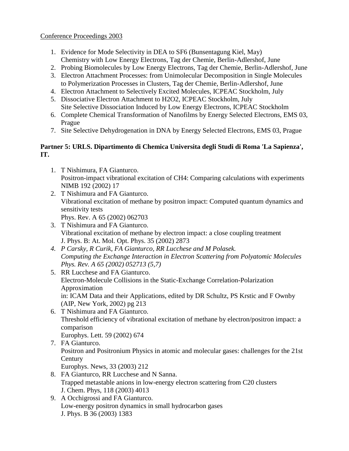# Conference Proceedings 2003

- 1. Evidence for Mode Selectivity in DEA to SF6 (Bunsentagung Kiel, May) Chemistry with Low Energy Electrons, Tag der Chemie, Berlin-Adlershof, June
- 2. Probing Biomolecules by Low Energy Electrons, Tag der Chemie, Berlin-Adlershof, June
- 3. Electron Attachment Processes: from Unimolecular Decomposition in Single Molecules to Polymerization Processes in Clusters, Tag der Chemie, Berlin-Adlershof, June
- 4. Electron Attachment to Selectively Excited Molecules, ICPEAC Stockholm, July
- 5. Dissociative Electron Attachment to H2O2, ICPEAC Stockholm, July Site Selective Dissociation Induced by Low Energy Electrons, ICPEAC Stockholm
- 6. Complete Chemical Transformation of Nanofilms by Energy Selected Electrons, EMS 03, Prague
- 7. Site Selective Dehydrogenation in DNA by Energy Selected Electrons, EMS 03, Prague

# **Partner 5: URLS. Dipartimento di Chemica Universita degli Studi di Roma 'La Sapienza', IT.**

- 1. T Nishimura, FA Gianturco. Positron-impact vibrational excitation of CH4: Comparing calculations with experiments NIMB 192 (2002) 17
- 2. T Nishimura and FA Gianturco. Vibrational excitation of methane by positron impact: Computed quantum dynamics and sensitivity tests Phys. Rev. A 65 (2002) 062703
- 3. T Nishimura and FA Gianturco. Vibrational excitation of methane by electron impact: a close coupling treatment J. Phys. B: At. Mol. Opt. Phys. 35 (2002) 2873
- *4. P Carsky, R Curik, FA Gianturco, RR Lucchese and M Polasek. Computing the Exchange Interaction in Electron Scattering from Polyatomic Molecules Phys. Rev. A 65 (2002) 052713 (5,7)*
- 5. RR Lucchese and FA Gianturco. Electron-Molecule Collisions in the Static-Exchange Correlation-Polarization Approximation in: ICAM Data and their Applications, edited by DR Schultz, PS Krstic and F Ownby (AIP, New York, 2002) pg 213
- 6. T Nishimura and FA Gianturco. Threshold efficiency of vibrational excitation of methane by electron/positron impact: a comparison Europhys. Lett. 59 (2002) 674
- 7. FA Gianturco. Positron and Positronium Physics in atomic and molecular gases: challenges for the 21st **Century** Europhys. News, 33 (2003) 212
- 8. FA Gianturco, RR Lucchese and N Sanna. Trapped metastable anions in low-energy electron scattering from C20 clusters J. Chem. Phys, 118 (2003) 4013
- 9. A Occhigrossi and FA Gianturco. Low-energy positron dynamics in small hydrocarbon gases J. Phys. B 36 (2003) 1383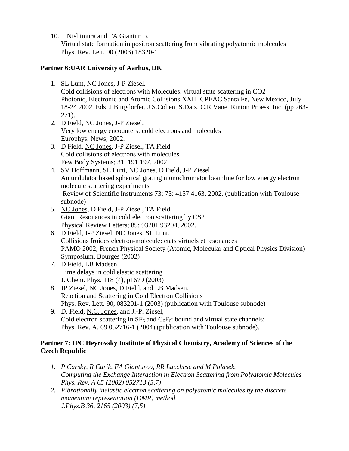10. T Nishimura and FA Gianturco.

Virtual state formation in positron scattering from vibrating polyatomic molecules Phys. Rev. Lett. 90 (2003) 18320-1

# **Partner 6:UAR University of Aarhus, DK**

1. SL Lunt, NC Jones, J-P Ziesel.

Cold collisions of electrons with Molecules: virtual state scattering in CO2 Photonic, Electronic and Atomic Collisions XXII ICPEAC Santa Fe, New Mexico, July 18-24 2002. Eds. J.Burgdorfer, J.S.Cohen, S.Datz, C.R.Vane. Rinton Proess. Inc. (pp 263- 271).

- 2. D Field, NC Jones, J-P Ziesel. Very low energy encounters: cold electrons and molecules Europhys. News, 2002.
- 3. D Field, NC Jones, J-P Ziesel, TA Field. Cold collisions of electrons with molecules Few Body Systems; 31: 191 197, 2002.
- 4. SV Hoffmann, SL Lunt, NC Jones, D Field, J-P Ziesel. An undulator based spherical grating monochromator beamline for low energy electron molecule scattering experiments Review of Scientific Instruments 73; 73: 4157 4163, 2002. (publication with Toulouse subnode)
- 5. NC Jones, D Field, J-P Ziesel, TA Field. Giant Resonances in cold electron scattering by CS2 Physical Review Letters; 89: 93201 93204, 2002.
- 6. D Field, J-P Ziesel, NC Jones, SL Lunt. Collisions froides electron-molecule: etats virtuels et resonances PAMO 2002, French Physical Society (Atomic, Molecular and Optical Physics Division) Symposium, Bourges (2002)
- 7. D Field, LB Madsen. Time delays in cold elastic scattering J. Chem. Phys. 118 (4), p1679 (2003)
- 8. JP Ziesel, NC Jones, D Field, and LB Madsen. Reaction and Scattering in Cold Electron Collisions Phys. Rev. Lett. 90, 083201-1 (2003) (publication with Toulouse subnode)
- 9. D. Field, N.C. Jones, and J.-P. Ziesel, Cold electron scattering in  $SF_6$  and  $C_6F_6$ : bound and virtual state channels: Phys. Rev. A, 69 052716-1 (2004) (publication with Toulouse subnode).

# **Partner 7: IPC Heyrovsky Institute of Physical Chemistry, Academy of Sciences of the Czech Republic**

- *1. P Carsky, R Curik, FA Gianturco, RR Lucchese and M Polasek. Computing the Exchange Interaction in Electron Scattering from Polyatomic Molecules Phys. Rev. A 65 (2002) 052713 (5,7)*
- *2. Vibrationally inelastic electron scattering on polyatomic molecules by the discrete momentum representation (DMR) method J.Phys.B 36, 2165 (2003) (7,5)*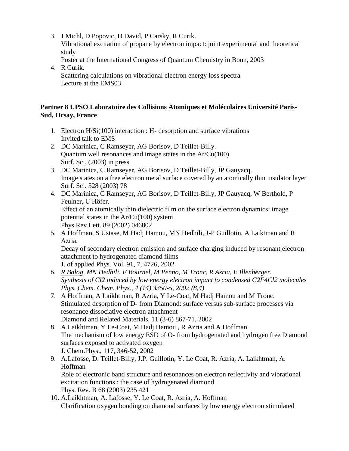- 3. J Michl, D Popovic, D David, P Carsky, R Curik. Vibrational excitation of propane by electron impact: joint experimental and theoretical study
	- Poster at the International Congress of Quantum Chemistry in Bonn, 2003
- 4. R Curik. Scattering calculations on vibrational electron energy loss spectra Lecture at the EMS03

# **Partner 8 UPSO Laboratoire des Collisions Atomiques et Moléculaires Université Paris-Sud, Orsay, France**

- 1. Electron H/Si(100) interaction : H- desorption and surface vibrations Invited talk to EMS
- 2. DC Marinica, C Ramseyer, AG Borisov, D Teillet-Billy. Quantum well resonances and image states in the Ar/Cu(100) Surf. Sci. (2003) in press
- 3. DC Marinica, C Ramseyer, AG Borisov, D Teillet-Billy, JP Gauyacq. Image states on a free electron metal surface covered by an atomically thin insulator layer Surf. Sci. 528 (2003) 78
- 4. DC Marinica, C Ramseyer, AG Borisov, D Teillet-Billy, JP Gauyacq, W Berthold, P Feulner, U Höfer. Effect of an atomically thin dielectric film on the surface electron dynamics: image potential states in the Ar/Cu(100) system Phys.Rev.Lett. 89 (2002) 046802
- 5. A Hoffman, S Ustase, M Hadj Hamou, MN Hedhili, J-P Guillotin, A Laiktman and R Azria.

Decay of secondary electron emission and surface charging induced by resonant electron attachment to hydrogenated diamond films

J. of applied Phys. Vol. 91, 7, 4726, 2002

- *6. R Balog, MN Hedhili, F Bournel, M Penno, M Tronc, R Azria, E Illenberger. Synthesis of Cl2 induced by low energy electron impact to condensed C2F4Cl2 molecules Phys. Chem. Chem. Phys., 4 (14) 3350-5, 2002 (8,4)*
- 7. A Hoffman, A Laikhtman, R Azria, Y Le-Coat, M Hadj Hamou and M Tronc. Stimulated desorption of D- from Diamond: surface versus sub-surface processes via resonance dissociative electron attachment Diamond and Related Materials, 11 (3-6) 867-71, 2002
- 8. A Laikhtman, Y Le-Coat, M Hadj Hamou , R Azria and A Hoffman. The mechanism of low energy ESD of O- from hydrogenated and hydrogen free Diamond surfaces exposed to activated oxygen J. Chem.Phys., 117, 346-52, 2002
- 9. A.Lafosse, D. Teillet-Billy, J.P. Guillotin, Y. Le Coat, R. Azria, A. Laikhtman, A. Hoffman Role of electronic band structure and resonances on electron reflectivity and vibrational excitation functions : the case of hydrogenated diamond Phys. Rev. B 68 (2003) 235 421
- 10. A.Laikhtman, A. Lafosse, Y. Le Coat, R. Azria, A. Hoffman Clarification oxygen bonding on diamond surfaces by low energy electron stimulated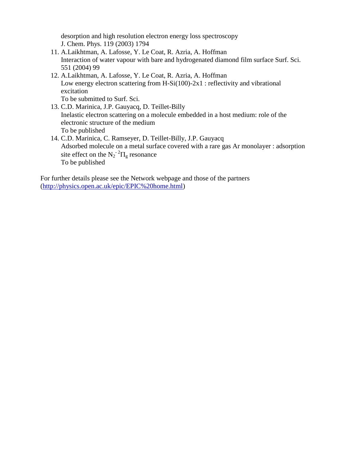desorption and high resolution electron energy loss spectroscopy J. Chem. Phys. 119 (2003) 1794

- 11. A.Laikhtman, A. Lafosse, Y. Le Coat, R. Azria, A. Hoffman Interaction of water vapour with bare and hydrogenated diamond film surface Surf. Sci. 551 (2004) 99
- 12. A.Laikhtman, A. Lafosse, Y. Le Coat, R. Azria, A. Hoffman Low energy electron scattering from H-Si $(100)$ -2x1 : reflectivity and vibrational excitation To be submitted to Surf. Sci.
- 13. C.D. Marinica, J.P. Gauyacq, D. Teillet-Billy Inelastic electron scattering on a molecule embedded in a host medium: role of the electronic structure of the medium To be published
- 14. C.D. Marinica, C. Ramseyer, D. Teillet-Billy, J.P. Gauyacq Adsorbed molecule on a metal surface covered with a rare gas Ar monolayer : adsorption site effect on the  $N_2$ <sup>-2</sup> $\Pi$ <sub>g</sub> resonance To be published

For further details please see the Network webpage and those of the partners [\(http://physics.open.ac.uk/epic/EPIC%20home.html\)](http://physics.open.ac.uk/epic/EPIC%20home.html)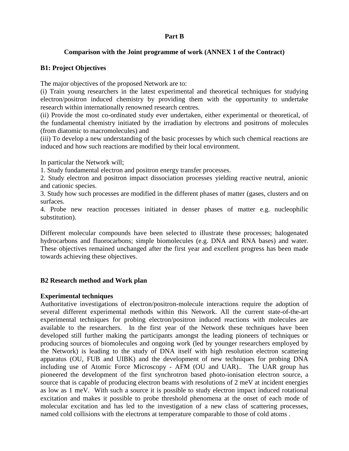#### **Part B**

### **Comparison with the Joint programme of work (ANNEX 1 of the Contract)**

### **B1: Project Objectives**

The major objectives of the proposed Network are to:

(i) Train young researchers in the latest experimental and theoretical techniques for studying electron/positron induced chemistry by providing them with the opportunity to undertake research within internationally renowned research centres.

(ii) Provide the most co-ordinated study ever undertaken, either experimental or theoretical, of the fundamental chemistry initiated by the irradiation by electrons and positrons of molecules (from diatomic to macromolecules) and

(iii) To develop a new understanding of the basic processes by which such chemical reactions are induced and how such reactions are modified by their local environment.

In particular the Network will;

1. Study fundamental electron and positron energy transfer processes.

2. Study electron and positron impact dissociation processes yielding reactive neutral, anionic and cationic species.

3. Study how such processes are modified in the different phases of matter (gases, clusters and on surfaces.

4. Probe new reaction processes initiated in denser phases of matter e.g. nucleophilic substitution).

Different molecular compounds have been selected to illustrate these processes; halogenated hydrocarbons and fluorocarbons; simple biomolecules (e.g. DNA and RNA bases) and water. These objectives remained unchanged after the first year and excellent progress has been made towards achieving these objectives.

# **B2 Research method and Work plan**

### **Experimental techniques**

Authoritative investigations of electron/positron-molecule interactions require the adoption of several different experimental methods within this Network. All the current state-of-the-art experimental techniques for probing electron/positron induced reactions with molecules are available to the researchers. In the first year of the Network these techniques have been developed still further making the participants amongst the leading pioneers of techniques or producing sources of biomolecules and ongoing work (led by younger researchers employed by the Network) is leading to the study of DNA itself with high resolution electron scattering apparatus (OU, FUB and UIBK) and the development of new techniques for probing DNA including use of Atomic Force Microscopy - AFM (OU and UAR).. The UAR group has pioneered the development of the first synchrotron based photo-ionisation electron source, a source that is capable of producing electron beams with resolutions of 2 meV at incident energies as low as 1 meV. With such a source it is possible to study electron impact induced rotational excitation and makes it possible to probe threshold phenomena at the onset of each mode of molecular excitation and has led to the investigation of a new class of scattering processes, named cold collisions with the electrons at temperature comparable to those of cold atoms .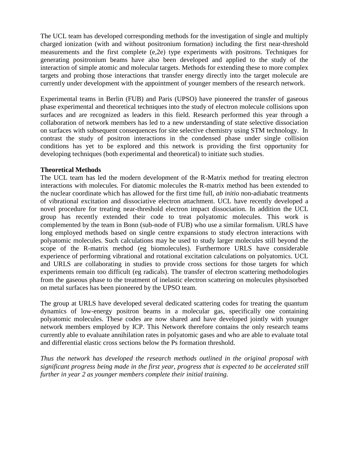The UCL team has developed corresponding methods for the investigation of single and multiply charged ionization (with and without positronium formation) including the first near-threshold measurements and the first complete (e,2e) type experiments with positrons. Techniques for generating positronium beams have also been developed and applied to the study of the interaction of simple atomic and molecular targets. Methods for extending these to more complex targets and probing those interactions that transfer energy directly into the target molecule are currently under development with the appointment of younger members of the research network.

Experimental teams in Berlin (FUB) and Paris (UPSO) have pioneered the transfer of gaseous phase experimental and theoretical techniques into the study of electron molecule collisions upon surfaces and are recognized as leaders in this field. Research performed this year through a collaboration of network members has led to a new understanding of state selective dissociation on surfaces with subsequent consequences for site selective chemistry using STM technology. In contrast the study of positron interactions in the condensed phase under single collision conditions has yet to be explored and this network is providing the first opportunity for developing techniques (both experimental and theoretical) to initiate such studies.

### **Theoretical Methods**

The UCL team has led the modern development of the R-Matrix method for treating electron interactions with molecules. For diatomic molecules the R-matrix method has been extended to the nuclear coordinate which has allowed for the first time full, *ab initio* non-adiabatic treatments of vibrational excitation and dissociative electron attachment. UCL have recently developed a novel procedure for treating near-threshold electron impact dissociation. In addition the UCL group has recently extended their code to treat polyatomic molecules. This work is complemented by the team in Bonn (sub-node of FUB) who use a similar formalism. URLS have long employed methods based on single centre expansions to study electron interactions with polyatomic molecules. Such calculations may be used to study larger molecules still beyond the scope of the R-matrix method (eg biomolecules). Furthermore URLS have considerable experience of performing vibrational and rotational excitation calculations on polyatomics. UCL and URLS are collaborating in studies to provide cross sections for those targets for which experiments remain too difficult (eg radicals). The transfer of electron scattering methodologies from the gaseous phase to the treatment of inelastic electron scattering on molecules physisorbed on metal surfaces has been pioneered by the UPSO team.

The group at URLS have developed several dedicated scattering codes for treating the quantum dynamics of low-energy positron beams in a molecular gas, specifically one containing polyatomic molecules. These codes are now shared and have developed jointly with younger network members employed by ICP. This Network therefore contains the only research teams currently able to evaluate annihilation rates in polyatomic gases and who are able to evaluate total and differential elastic cross sections below the Ps formation threshold.

*Thus the network has developed the research methods outlined in the original proposal with significant progress being made in the first year, progress that is expected to be accelerated still further in year 2 as younger members complete their initial training.*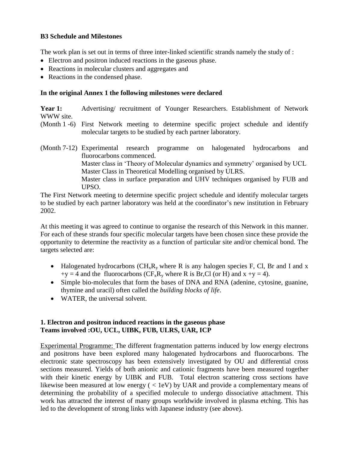# **B3 Schedule and Milestones**

The work plan is set out in terms of three inter-linked scientific strands namely the study of :

- Electron and positron induced reactions in the gaseous phase.
- Reactions in molecular clusters and aggregates and
- Reactions in the condensed phase.

# **In the original Annex 1 the following milestones were declared**

Year 1: Advertising/ recruitment of Younger Researchers. Establishment of Network WWW site.

- (Month 1 -6) First Network meeting to determine specific project schedule and identify molecular targets to be studied by each partner laboratory.
- (Month 7-12) Experimental research programme on halogenated hydrocarbons and fluorocarbons commenced. Master class in 'Theory of Molecular dynamics and symmetry' organised by UCL Master Class in Theoretical Modelling organised by ULRS. Master class in surface preparation and UHV techniques organised by FUB and UPSO.

The First Network meeting to determine specific project schedule and identify molecular targets to be studied by each partner laboratory was held at the coordinator's new institution in February 2002.

At this meeting it was agreed to continue to organise the research of this Network in this manner. For each of these strands four specific molecular targets have been chosen since these provide the opportunity to determine the reactivity as a function of particular site and/or chemical bond. The targets selected are:

- Halogenated hydrocarbons  $(CH_xR_y$  where R is any halogen species F, Cl, Br and I and x  $+y = 4$  and the fluorocarbons (CF<sub>x</sub>R<sub>y</sub> where R is Br,Cl (or H) and x +y = 4).
- Simple bio-molecules that form the bases of DNA and RNA (adenine, cytosine, guanine, thymine and uracil) often called the *building blocks of life*.
- WATER, the universal solvent.

# **1. Electron and positron induced reactions in the gaseous phase Teams involved :OU, UCL, UIBK, FUB, ULRS, UAR, ICP**

Experimental Programme: The different fragmentation patterns induced by low energy electrons and positrons have been explored many halogenated hydrocarbons and fluorocarbons. The electronic state spectroscopy has been extensively investigated by OU and differential cross sections measured. Yields of both anionic and cationic fragments have been measured together with their kinetic energy by UIBK and FUB. Total electron scattering cross sections have likewise been measured at low energy ( < 1eV) by UAR and provide a complementary means of determining the probability of a specified molecule to undergo dissociative attachment. This work has attracted the interest of many groups worldwide involved in plasma etching. This has led to the development of strong links with Japanese industry (see above).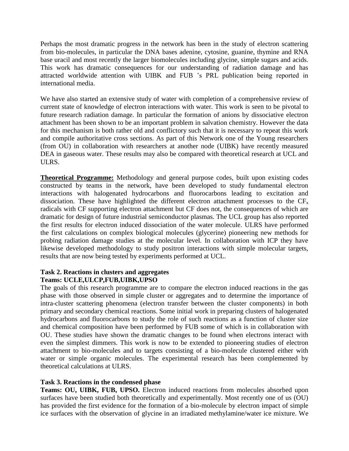Perhaps the most dramatic progress in the network has been in the study of electron scattering from bio-molecules, in particular the DNA bases adenine, cytosine, guanine, thymine and RNA base uracil and most recently the larger biomolecules including glycine, simple sugars and acids. This work has dramatic consequences for our understanding of radiation damage and has attracted worldwide attention with UIBK and FUB 's PRL publication being reported in international media.

We have also started an extensive study of water with completion of a comprehensive review of current state of knowledge of electron interactions with water. This work is seen to be pivotal to future research radiation damage. In particular the formation of anions by dissociative electron attachment has been shown to be an important problem in salvation chemistry. However the data for this mechanism is both rather old and conflictory such that it is necessary to repeat this work and compile authoritative cross sections. As part of this Network one of the Young researchers (from OU) in collaboration with researchers at another node (UIBK) have recently measured DEA in gaseous water. These results may also be compared with theoretical research at UCL and ULRS.

**Theoretical Programme:** Methodology and general purpose codes, built upon existing codes constructed by teams in the network, have been developed to study fundamental electron interactions with halogenated hydrocarbons and fluorocarbons leading to excitation and dissociation. These have highlighted the different electron attachment processes to the  $CF<sub>x</sub>$ radicals with CF supporting electron attachment but CF does not, the consequences of which are dramatic for design of future industrial semiconductor plasmas. The UCL group has also reported the first results for electron induced dissociation of the water molecule. ULRS have performed the first calculations on complex biological molecules (glycerine) pioneering new methods for probing radiation damage studies at the molecular level. In collaboration with ICP they have likewise developed methodology to study positron interactions with simple molecular targets, results that are now being tested by experiments performed at UCL.

## **Task 2. Reactions in clusters and aggregates Teams: UCLE,ULCP,FUB,UIBK,UPSO**

The goals of this research programme are to compare the electron induced reactions in the gas phase with those observed in simple cluster or aggregates and to determine the importance of intra-cluster scattering phenomena (electron transfer between the cluster components) in both primary and secondary chemical reactions. Some initial work in preparing clusters of halogenated hydrocarbons and fluorocarbons to study the role of such reactions as a function of cluster size and chemical composition have been performed by FUB some of which is in collaboration with OU. These studies have shown the dramatic changes to be found when electrons interact with even the simplest dimmers. This work is now to be extended to pioneering studies of electron attachment to bio-molecules and to targets consisting of a bio-molecule clustered either with water or simple organic molecules. The experimental research has been complemented by theoretical calculations at ULRS.

# **Task 3. Reactions in the condensed phase**

**Teams: OU, UIBK, FUB, UPSO.** Electron induced reactions from molecules absorbed upon surfaces have been studied both theoretically and experimentally. Most recently one of us (OU) has provided the first evidence for the formation of a bio-molecule by electron impact of simple ice surfaces with the observation of glycine in an irradiated methylamine/water ice mixture. We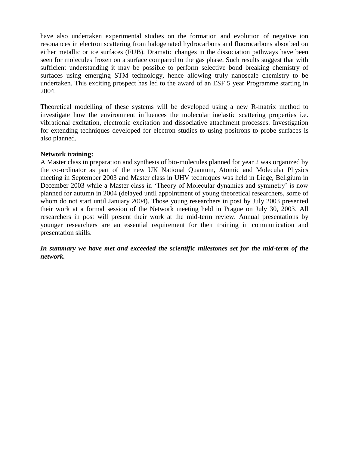have also undertaken experimental studies on the formation and evolution of negative ion resonances in electron scattering from halogenated hydrocarbons and fluorocarbons absorbed on either metallic or ice surfaces (FUB). Dramatic changes in the dissociation pathways have been seen for molecules frozen on a surface compared to the gas phase. Such results suggest that with sufficient understanding it may be possible to perform selective bond breaking chemistry of surfaces using emerging STM technology, hence allowing truly nanoscale chemistry to be undertaken. This exciting prospect has led to the award of an ESF 5 year Programme starting in 2004.

Theoretical modelling of these systems will be developed using a new R-matrix method to investigate how the environment influences the molecular inelastic scattering properties i.e. vibrational excitation, electronic excitation and dissociative attachment processes. Investigation for extending techniques developed for electron studies to using positrons to probe surfaces is also planned.

### **Network training:**

A Master class in preparation and synthesis of bio-molecules planned for year 2 was organized by the co-ordinator as part of the new UK National Quantum, Atomic and Molecular Physics meeting in September 2003 and Master class in UHV techniques was held in Liege, Bel.gium in December 2003 while a Master class in 'Theory of Molecular dynamics and symmetry' is now planned for autumn in 2004 (delayed until appointment of young theoretical researchers, some of whom do not start until January 2004). Those young researchers in post by July 2003 presented their work at a formal session of the Network meeting held in Prague on July 30, 2003. All researchers in post will present their work at the mid-term review. Annual presentations by younger researchers are an essential requirement for their training in communication and presentation skills.

*In summary we have met and exceeded the scientific milestones set for the mid-term of the network.*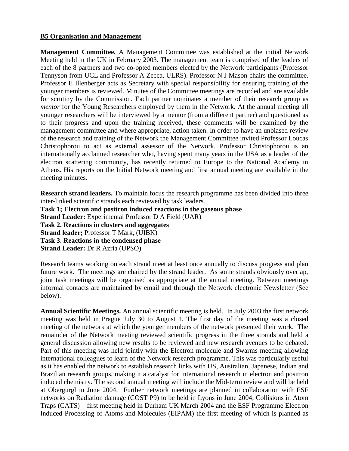### **B5 Organisation and Management**

**Management Committee.** A Management Committee was established at the initial Network Meeting held in the UK in February 2003. The management team is comprised of the leaders of each of the 8 partners and two co-opted members elected by the Network participants (Professor Tennyson from UCL and Professor A Zecca, ULRS). Professor N J Mason chairs the committee. Professor E Illenberger acts as Secretary with special responsibility for ensuring training of the younger members is reviewed. Minutes of the Committee meetings are recorded and are available for scrutiny by the Commission. Each partner nominates a member of their research group as *mentor* for the Young Researchers employed by them in the Network. At the annual meeting all younger researchers will be interviewed by a mentor (from a different partner) and questioned as to their progress and upon the training received, these comments will be examined by the management committee and where appropriate, action taken. In order to have an unbiased review of the research and training of the Network the Management Committee invited Professor Loucas Christophorou to act as external assessor of the Network. Professor Christophorou is an internationally acclaimed researcher who, having spent many years in the USA as a leader of the electron scattering community, has recently returned to Europe to the National Academy in Athens. His reports on the Initial Network meeting and first annual meeting are available in the meeting minutes.

**Research strand leaders.** To maintain focus the research programme has been divided into three inter-linked scientific strands each reviewed by task leaders. **Task 1; Electron and positron induced reactions in the gaseous phase Strand Leader:** Experimental Professor D A Field (UAR)

**Task 2. Reactions in clusters and aggregates Strand leader;** Professor T Märk, (UIBK) **Task 3. Reactions in the condensed phase**

**Strand Leader:** Dr R Azria (UPSO)

Research teams working on each strand meet at least once annually to discuss progress and plan future work. The meetings are chaired by the strand leader. As some strands obviously overlap, joint task meetings will be organised as appropriate at the annual meeting. Between meetings informal contacts are maintained by email and through the Network electronic Newsletter (See below).

**Annual Scientific Meetings.** An annual scientific meeting is held. In July 2003 the first network meeting was held in Prague July 30 to August 1. The first day of the meeting was a closed meeting of the network at which the younger members of the network presented their work. The remainder of the Network meeting reviewed scientific progress in the three strands and held a general discussion allowing new results to be reviewed and new research avenues to be debated. Part of this meeting was held jointly with the Electron molecule and Swarms meeting allowing international colleagues to learn of the Network research programme. This was particularly useful as it has enabled the network to establish research links with US, Australian, Japanese, Indian and Brazilian research groups, making it a catalyst for international research in electron and positron induced chemistry. The second annual meeting will include the Mid-term review and will be held at Obergurgl in June 2004. Further network meetings are planned in collaboration with ESF networks on Radiation damage (COST P9) to be held in Lyons in June 2004, Collisions in Atom Traps (CATS) – first meeting held in Durham UK March 2004 and the ESF Programme Electron Induced Processing of Atoms and Molecules (EIPAM) the first meeting of which is planned as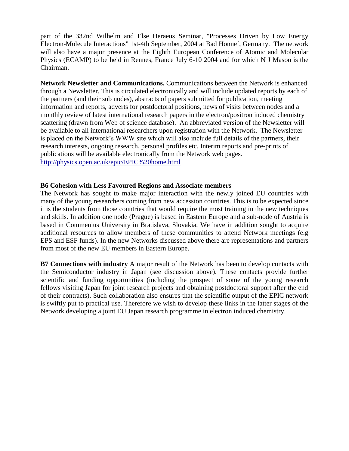part of the 332nd Wilhelm and Else Heraeus Seminar, "Processes Driven by Low Energy Electron-Molecule Interactions" 1st-4th September, 2004 at Bad Honnef, Germany. The network will also have a major presence at the Eighth European Conference of Atomic and Molecular Physics (ECAMP) to be held in Rennes, France July 6-10 2004 and for which N J Mason is the Chairman.

**Network Newsletter and Communications.** Communications between the Network is enhanced through a Newsletter. This is circulated electronically and will include updated reports by each of the partners (and their sub nodes), abstracts of papers submitted for publication, meeting information and reports, adverts for postdoctoral positions, news of visits between nodes and a monthly review of latest international research papers in the electron/positron induced chemistry scattering (drawn from Web of science database). An abbreviated version of the Newsletter will be available to all international researchers upon registration with the Network. The Newsletter is placed on the Network's WWW site which will also include full details of the partners, their research interests, ongoing research, personal profiles etc. Interim reports and pre-prints of publications will be available electronically from the Network web pages. <http://physics.open.ac.uk/epic/EPIC%20home.html>

#### **B6 Cohesion with Less Favoured Regions and Associate members**

The Network has sought to make major interaction with the newly joined EU countries with many of the young researchers coming from new accession countries. This is to be expected since it is the students from those countries that would require the most training in the new techniques and skills. In addition one node (Prague) is based in Eastern Europe and a sub-node of Austria is based in Commenius University in Bratislava, Slovakia. We have in addition sought to acquire additional resources to allow members of these communities to attend Network meetings (e.g EPS and ESF funds). In the new Networks discussed above there are representations and partners from most of the new EU members in Eastern Europe.

**B7 Connections with industry** A major result of the Network has been to develop contacts with the Semiconductor industry in Japan (see discussion above). These contacts provide further scientific and funding opportunities (including the prospect of some of the young research fellows visiting Japan for joint research projects and obtaining postdoctoral support after the end of their contracts). Such collaboration also ensures that the scientific output of the EPIC network is swiftly put to practical use. Therefore we wish to develop these links in the latter stages of the Network developing a joint EU Japan research programme in electron induced chemistry.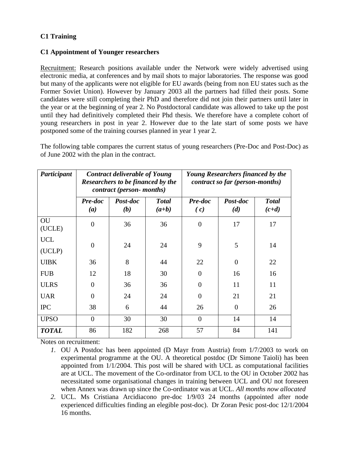# **C1 Training**

# **C1 Appointment of Younger researchers**

Recruitment: Research positions available under the Network were widely advertised using electronic media, at conferences and by mail shots to major laboratories. The response was good but many of the applicants were not eligible for EU awards (being from non EU states such as the Former Soviet Union). However by January 2003 all the partners had filled their posts. Some candidates were still completing their PhD and therefore did not join their partners until later in the year or at the beginning of year 2. No Postdoctoral candidate was allowed to take up the post until they had definitively completed their Phd thesis. We therefore have a complete cohort of young researchers in post in year 2. However due to the late start of some posts we have postponed some of the training courses planned in year 1 year 2.

The following table compares the current status of young researchers (Pre-Doc and Post-Doc) as of June 2002 with the plan in the contract.

| Participant  | <b>Contract deliverable of Young</b><br>Researchers to be financed by the<br>contract (person- months) |                 |                         | <b>Young Researchers financed by the</b><br>contract so far (person-months) |                 |                         |
|--------------|--------------------------------------------------------------------------------------------------------|-----------------|-------------------------|-----------------------------------------------------------------------------|-----------------|-------------------------|
|              | Pre-doc<br>(a)                                                                                         | Post-doc<br>(b) | <b>Total</b><br>$(a+b)$ | Pre-doc<br>(c)                                                              | Post-doc<br>(d) | <b>Total</b><br>$(c+d)$ |
| OU<br>(UCLE) | $\boldsymbol{0}$                                                                                       | 36              | 36                      | $\Omega$                                                                    | 17              | 17                      |
| <b>UCL</b>   | $\overline{0}$                                                                                         | 24              | 24                      | 9                                                                           | 5               | 14                      |
| (UCLP)       |                                                                                                        |                 |                         |                                                                             |                 |                         |
| <b>UIBK</b>  | 36                                                                                                     | 8               | 44                      | 22                                                                          | $\overline{0}$  | 22                      |
| <b>FUB</b>   | 12                                                                                                     | 18              | 30                      | $\Omega$                                                                    | 16              | 16                      |
| <b>ULRS</b>  | $\overline{0}$                                                                                         | 36              | 36                      | $\theta$                                                                    | 11              | 11                      |
| <b>UAR</b>   | 0                                                                                                      | 24              | 24                      | $\Omega$                                                                    | 21              | 21                      |
| <b>IPC</b>   | 38                                                                                                     | 6               | 44                      | 26                                                                          | $\theta$        | 26                      |
| <b>UPSO</b>  | $\overline{0}$                                                                                         | 30              | 30                      | $\overline{0}$                                                              | 14              | 14                      |
| <b>TOTAL</b> | 86                                                                                                     | 182             | 268                     | 57                                                                          | 84              | 141                     |

Notes on recruitment:

- *1.* OU A Postdoc has been appointed (D Mayr from Austria) from 1/7/2003 to work on experimental programme at the OU. A theoretical postdoc (Dr Simone Taioli) has been appointed from 1/1/2004. This post will be shared with UCL as computational facilities are at UCL. The movement of the Co-ordinator from UCL to the OU in October 2002 has necessitated some organisational changes in training between UCL and OU not foreseen when Annex was drawn up since the Co-ordinator was at UCL. *All months now allocated*
- *2.* UCL. Ms Cristiana Arcidiacono pre-doc 1/9/03 24 months (appointed after node experienced difficulties finding an elegible post-doc). Dr Zoran Pesic post-doc 12/1/2004 16 months.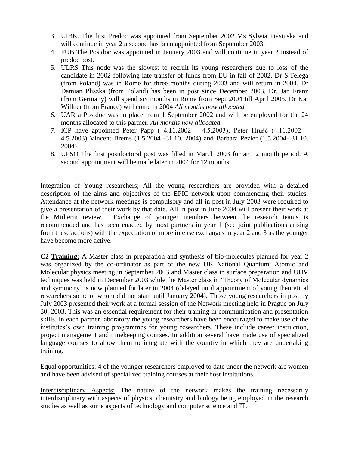- 3. UIBK. The first Predoc was appointed from September 2002 Ms Sylwia Ptasinska and will continue in year 2 a second has been appointed from September 2003.
- 4. FUB The Postdoc was appointed in January 2003 and will continue in year 2 instead of predoc post.
- 5. ULRS This node was the slowest to recruit its young researchers due to loss of the candidate in 2002 following late transfer of funds from EU in fall of 2002. Dr S.Telega (from Poland) was in Rome for three months during 2003 and will return in 2004. Dr Damian Pliszka (from Poland) has been in post since December 2003. Dr. Jan Franz (from Germany) will spend six months in Rome from Sept 2004 till April 2005. Dr Kai Willner (from France) will come in 2004 *All months now allocated*
- *6.* UAR a Postdoc was in place from 1 September 2002 and will be employed for the 24 months allocated to this partner. *All months now allocated*
- 7. ICP have appointed Peter Papp ( 4.11.2002 4.5.2003); Peter Hrušč (4.11.2002 4.5.2003) Vincent Brems (1.5.2004 -31.10. 2004) and Barbara Pezler (1.5.2004- 31.10. 2004)
- 8. UPSO The first postdoctoral post was filled in March 2003 for an 12 month period. A second appointment will be made later in 2004 for 12 months.

Integration of Young researchers; All the young researchers are provided with a detailed description of the aims and objectives of the EPIC network upon commencing their studies. Attendance at the network meetings is compulsory and all in post in July 2003 were required to give a presentation of their work by that date. All in post in June 2004 will present their work at the Midterm review. Exchange of younger members between the research teams is recommended and has been enacted by most partners in year 1 (see joint publications arising from these actions) with the expectation of more intense exchanges in year 2 and 3 as the younger have become more active.

**C2 Training;** A Master class in preparation and synthesis of bio-molecules planned for year 2 was organized by the co-ordinator as part of the new UK National Quantum, Atomic and Molecular physics meeting in September 2003 and Master class in surface preparation and UHV techniques was held in December 2003 while the Master class in 'Theory of Molecular dynamics and symmetry' is now planned for later in 2004 (delayed until appointment of young theoretical researchers some of whom did not start until January 2004). Those young researchers in post by July 2003 presented their work at a formal session of the Network meeting held in Prague on July 30, 2003. This was an essential requirement for their training in communication and presentation skills. In each partner laboratory the young researchers have been encouraged to make use of the institutes's own training programmes for young researchers. These include career instruction, project management and timekeeping courses. In addition several have made use of specialized language courses to allow them to integrate with the country in which they are undertaking training.

Equal opportunities: 4 of the younger researchers employed to date under the network are women and have been advised of specialized training courses at their host institutions.

Interdisciplinary Aspects: The nature of the network makes the training necessarily interdisciplinary with aspects of physics, chemistry and biology being employed in the research studies as well as some aspects of technology and computer science and IT.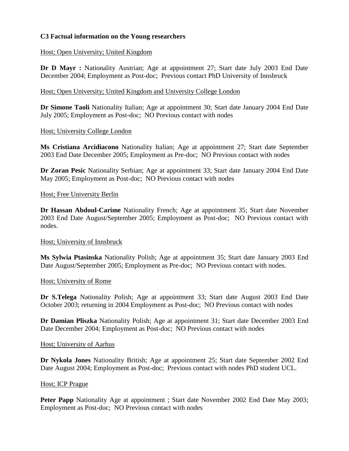# **C3 Factual information on the Young researchers**

## Host; Open University; United Kingdom

**Dr D Mayr :** Nationality Austrian; Age at appointment 27; Start date July 2003 End Date December 2004; Employment as Post-doc; Previous contact PhD University of Innsbruck

## Host; Open University; United Kingdom and University College London

**Dr Simone Taoli** Nationality Italian; Age at appointment 30; Start date January 2004 End Date July 2005; Employment as Post-doc; NO Previous contact with nodes

## Host; University College London

**Ms Cristiana Arcidiacono** Nationality Italian; Age at appointment 27; Start date September 2003 End Date December 2005; Employment as Pre-doc; NO Previous contact with nodes

**Dr Zoran Pesic** Nationality Serbian; Age at appointment 33; Start date January 2004 End Date May 2005; Employment as Post-doc; NO Previous contact with nodes

## Host; Free University Berlin

**Dr Hassan Abdoul-Carime** Nationality French; Age at appointment 35; Start date November 2003 End Date August/September 2005; Employment as Post-doc; NO Previous contact with nodes.

### Host; University of Innsbruck

**Ms Sylwia Ptasinska** Nationality Polish; Age at appointment 35; Start date January 2003 End Date August/September 2005; Employment as Pre-doc; NO Previous contact with nodes.

### Host; University of Rome

**Dr S.Telega** Nationality Polish; Age at appointment 33; Start date August 2003 End Date October 2003; returning in 2004 Employment as Post-doc; NO Previous contact with nodes

**Dr Damian Pliszka** Nationality Polish; Age at appointment 31; Start date December 2003 End Date December 2004; Employment as Post-doc; NO Previous contact with nodes

### Host; University of Aarhus

**Dr Nykola Jones** Nationality British; Age at appointment 25; Start date September 2002 End Date August 2004; Employment as Post-doc; Previous contact with nodes PhD student UCL.

### Host; ICP Prague

**Peter Papp** Nationality Age at appointment; Start date November 2002 End Date May 2003; Employment as Post-doc; NO Previous contact with nodes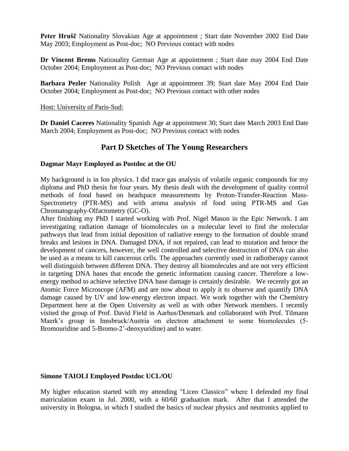**Peter Hrušč** Nationality Slovakian Age at appointment ; Start date November 2002 End Date May 2003; Employment as Post-doc; NO Previous contact with nodes

**Dr Vincent Brems** Nationality German Age at appointment ; Start date may 2004 End Date October 2004; Employment as Post-doc; NO Previous contact with nodes

**Barbara Pezler** Nationality Polish Age at appointment 39; Start date May 2004 End Date October 2004; Employment as Post-doc; NO Previous contact with other nodes

#### Host: University of Paris-Sud:

**Dr Daniel Caceres** Nationality Spanish Age at appointment 30; Start date March 2003 End Date March 2004; Employment as Post-doc; NO Previous contact with nodes

# **Part D Sketches of The Young Researchers**

#### **Dagmar Mayr Employed as Postdoc at the OU**

My background is in Ion physics. I did trace gas analysis of volatile organic compounds for my diploma and PhD thesis for four years. My thesis dealt with the development of quality control methods of food based on headspace measurements by Proton-Transfer-Reaction Mass-Spectrometry (PTR-MS) and with aroma analysis of food using PTR-MS and Gas Chromatography-Olfactometry (GC-O).

After finishing my PhD I started working with Prof. Nigel Mason in the Epic Network. I am investigating radiation damage of biomolecules on a molecular level to find the molecular pathways that lead from initial deposition of radiative energy to the formation of double strand breaks and lesions in DNA. Damaged DNA, if not repaired, can lead to mutation and hence the development of cancers, however, the well controlled and selective destruction of DNA can also be used as a means to kill cancerous cells. The approaches currently used in radiotherapy cannot well distinguish between different DNA. They destroy all biomolecules and are not very efficient in targeting DNA bases that encode the genetic information causing cancer. Therefore a lowenergy method to achieve selective DNA base damage is certainly desirable. We recently got an Atomic Force Microscope (AFM) and are now about to apply it to observe and quantify DNA damage caused by UV and low-energy electron impact. We work together with the Chemistry Department here at the Open University as well as with other Network members. I recently visited the group of Prof. David Field in Aarhus/Denmark and collaborated with Prof. Tilmann Maerk's group in Innsbruck/Austria on electron attachment to some biomolecules (5- Bromouridine and 5-Bromo-2'-deoxyuridine) and to water.

### **Simone TAIOLI Employed Postdoc UCL/OU**

My higher education started with my attending "Liceo Classico" where I defended my final matriculation exam in Jul. 2000, with a 60/60 graduation mark. After that I attended the university in Bologna, in which I studied the basics of nuclear physics and neutronics applied to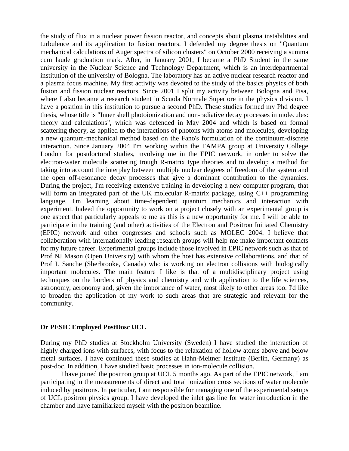the study of flux in a nuclear power fission reactor, and concepts about plasma instabilities and turbulence and its application to fusion reactors. I defended my degree thesis on "Quantum mechanical calculations of Auger spectra of silicon clusters" on October 2000 receiving a summa cum laude graduation mark. After, in January 2001, I became a PhD Student in the same university in the Nuclear Science and Technology Department, which is an interdepartmental institution of the university of Bologna. The laboratory has an active nuclear research reactor and a plasma focus machine. My first activity was devoted to the study of the basics physics of both fusion and fission nuclear reactors. Since 2001 I split my activity between Bologna and Pisa, where I also became a research student in Scuola Normale Superiore in the physics division. I have a position in this institution to pursue a second PhD. These studies formed my Phd degree thesis, whose title is "Inner shell photoionization and non-radiative decay processes in molecules: theory and calculations", which was defended in May 2004 and which is based on formal scattering theory, as applied to the interactions of photons with atoms and molecules, developing a new quantum-mechanical method based on the Fano's formulation of the continuum-discrete interaction. Since January 2004 I'm working within the TAMPA group at University College London for postdoctoral studies, involving me in the EPIC network, in order to solve the electron-water molecule scattering trough R-matrix type theories and to develop a method for taking into account the interplay between multiple nuclear degrees of freedom of the system and the open off-resonance decay processes that give a dominant contribution to the dynamics. During the project, I'm receiving extensive training in developing a new computer program, that will form an integrated part of the UK molecular R-matrix package, using C++ programming language. I'm learning about time-dependent quantum mechanics and interaction with experiment. Indeed the opportunity to work on a project closely with an experimental group is one aspect that particularly appeals to me as this is a new opportunity for me. I will be able to participate in the training (and other) activities of the Electron and Positron Initiated Chemistry (EPIC) network and other congresses and schools such as MOLEC 2004. I believe that collaboration with internationally leading research groups will help me make important contacts for my future career. Experimental groups include those involved in EPIC network such as that of Prof NJ Mason (Open University) with whom the host has extensive collaborations, and that of Prof L Sanche (Sherbrooke, Canada) who is working on electron collisions with biologically important molecules. The main feature I like is that of a multidisciplinary project using techniques on the borders of physics and chemistry and with application to the life sciences, astronomy, aeronomy and, given the importance of water, most likely to other areas too. I'd like to broaden the application of my work to such areas that are strategic and relevant for the community.

#### **Dr PESIC Employed PostDosc UCL**

During my PhD studies at Stockholm University (Sweden) I have studied the interaction of highly charged ions with surfaces, with focus to the relaxation of hollow atoms above and below metal surfaces. I have continued these studies at Hahn-Meitner Institute (Berlin, Germany) as post-doc. In addition, I have studied basic processes in ion-molecule collision.

I have joined the positron group at UCL 5 months ago. As part of the EPIC network, I am participating in the measurements of direct and total ionization cross sections of water molecule induced by positrons. In particular, I am responsible for managing one of the experimental setups of UCL positron physics group. I have developed the inlet gas line for water introduction in the chamber and have familiarized myself with the positron beamline.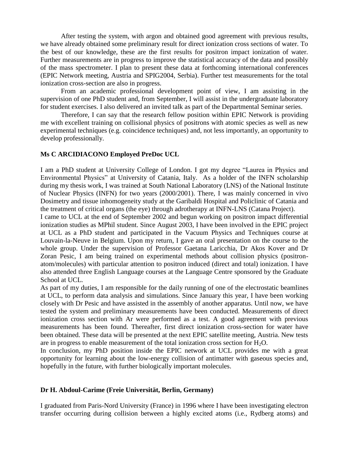After testing the system, with argon and obtained good agreement with previous results, we have already obtained some preliminary result for direct ionization cross sections of water. To the best of our knowledge, these are the first results for positron impact ionization of water. Further measurements are in progress to improve the statistical accuracy of the data and possibly of the mass spectrometer. I plan to present these data at forthcoming international conferences (EPIC Network meeting, Austria and SPIG2004, Serbia). Further test measurements for the total ionization cross-section are also in progress.

From an academic professional development point of view, I am assisting in the supervision of one PhD student and, from September, I will assist in the undergraduate laboratory for student exercises. I also delivered an invited talk as part of the Departmental Seminar series.

Therefore, I can say that the research fellow position within EPIC Network is providing me with excellent training on collisional physics of positrons with atomic species as well as new experimental techniques (e.g. coincidence techniques) and, not less importantly, an opportunity to develop professionally.

#### **Ms C ARCIDIACONO Employed PreDoc UCL**

I am a PhD student at University College of London. I got my degree "Laurea in Physics and Environmental Physics" at University of Catania, Italy. As a holder of the INFN scholarship during my thesis work, I was trained at South National Laboratory (LNS) of the National Institute of Nuclear Physics (INFN) for two years (2000/2001). There, I was mainly concerned in vivo Dosimetry and tissue inhomogeneity study at the Garibaldi Hospital and Policlinic of Catania and the treatment of critical organs (the eye) through adrotherapy at INFN-LNS (Catana Project).

I came to UCL at the end of September 2002 and begun working on positron impact differential ionization studies as MPhil student. Since August 2003, I have been involved in the EPIC project at UCL as a PhD student and participated in the Vacuum Physics and Techniques course at Louvain-la-Neuve in Belgium. Upon my return, I gave an oral presentation on the course to the whole group. Under the supervision of Professor Gaetana Laricchia, Dr Akos Kover and Dr Zoran Pesic, I am being trained on experimental methods about collision physics (positronatom/molecules) with particular attention to positron induced (direct and total) ionization. I have also attended three English Language courses at the Language Centre sponsored by the Graduate School at UCL.

As part of my duties, I am responsible for the daily running of one of the electrostatic beamlines at UCL, to perform data analysis and simulations. Since January this year, I have been working closely with Dr Pesic and have assisted in the assembly of another apparatus. Until now, we have tested the system and preliminary measurements have been conducted. Measurements of direct ionization cross section with Ar were performed as a test. A good agreement with previous measurements has been found. Thereafter, first direct ionization cross-section for water have been obtained. These data will be presented at the next EPIC satellite meeting, Austria. New tests are in progress to enable measurement of the total ionization cross section for  $H_2O$ .

In conclusion, my PhD position inside the EPIC network at UCL provides me with a great opportunity for learning about the low-energy collision of antimatter with gaseous species and, hopefully in the future, with further biologically important molecules.

#### **Dr H. Abdoul-Carime (Freie Universität, Berlin, Germany)**

I graduated from Paris-Nord University (France) in 1996 where I have been investigating electron transfer occurring during collision between a highly excited atoms (i.e., Rydberg atoms) and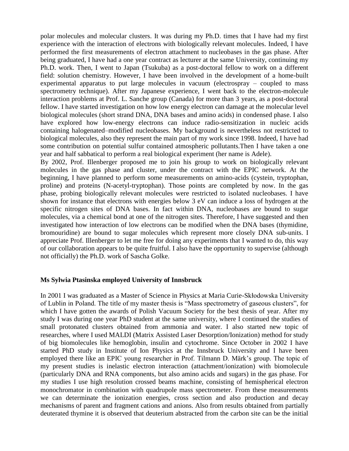polar molecules and molecular clusters. It was during my Ph.D. times that I have had my first experience with the interaction of electrons with biologically relevant molecules. Indeed, I have performed the first measurements of electron attachment to nucleobases in the gas phase. After being graduated, I have had a one year contract as lecturer at the same University, continuing my Ph.D. work. Then, I went to Japan (Tsukuba) as a post-doctoral fellow to work on a different field: solution chemistry. However, I have been involved in the development of a home-built experimental apparatus to put large molecules in vacuum (electrospray – coupled to mass spectrometry technique). After my Japanese experience, I went back to the electron-molecule interaction problems at Prof. L. Sanche group (Canada) for more than 3 years, as a post-doctoral fellow. I have started investigation on how low energy electron can damage at the molecular level biological molecules (short strand DNA, DNA bases and amino acids) in condensed phase. I also have explored how low-energy electrons can induce radio-sensitization in nucleic acids containing halogenated–modified nucleobases. My background is nevertheless not restricted to biological molecules, also they represent the main part of my work since 1998. Indeed, I have had some contribution on potential sulfur contained atmospheric pollutants.Then I have taken a one year and half sabbatical to perform a real biological experiment (her name is Adele).

By 2002, Prof. Illenberger proposed me to join his group to work on biologically relevant molecules in the gas phase and cluster, under the contract with the EPIC network. At the beginning, I have planned to perform some measurements on amino-acids (cystein, tryptophan, proline) and proteins (N-acetyl-tryptophan). Those points are completed by now. In the gas phase, probing biologically relevant molecules were restricted to isolated nucleobases. I have shown for instance that electrons with energies below 3 eV can induce a loss of hydrogen at the specific nitrogen sites of DNA bases. In fact within DNA, nucleobases are bound to sugar molecules, via a chemical bond at one of the nitrogen sites. Therefore, I have suggested and then investigated how interaction of low electrons can be modified when the DNA bases (thymidine, bromouridine) are bound to sugar molecules which represent more closely DNA sub-units. I appreciate Prof. Illenberger to let me free for doing any experiments that I wanted to do, this way of our collaboration appears to be quite fruitful. I also have the opportunity to supervise (although not officially) the Ph.D. work of Sascha Golke.

#### **Ms Sylwia Ptasinska employed University of Innsbruck**

In 2001 I was graduated as a Master of Science in Physics at Maria Curie-Skłodowska University of Lublin in Poland. The title of my master thesis is "Mass spectrometry of gaseous clusters", for which I have gotten the awards of Polish Vacuum Society for the best thesis of year. After my study I was during one year PhD student at the same university, where I continued the studies of small protonated clusters obtained from ammonia and water. I also started new topic of researches, where I used MALDI (Matrix Assisted Laser Desorption/Ionization) method for study of big biomolecules like hemoglobin, insulin and cytochrome. Since October in 2002 I have started PhD study in Institute of Ion Physics at the Innsbruck University and I have been employed there like an EPIC young researcher in Prof. Tilmann D. Märk's group. The topic of my present studies is inelastic electron interaction (attachment/ionization) with biomolecule (particularly DNA and RNA components, but also amino acids and sugars) in the gas phase. For my studies I use high resolution crossed beams machine, consisting of hemispherical electron monochromator in combination with quadrupole mass spectrometer. From these measurements we can determinate the ionization energies, cross section and also production and decay mechanisms of parent and fragment cations and anions. Also from results obtained from partially deuterated thymine it is observed that deuterium abstracted from the carbon site can be the initial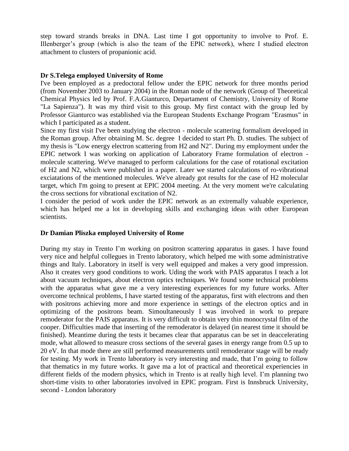step toward strands breaks in DNA. Last time I got opportunity to involve to Prof. E. Illenberger's group (which is also the team of the EPIC network), where I studied electron attachment to clusters of propanionic acid.

#### **Dr S.Telega employed University of Rome**

I've been employed as a predoctoral fellow under the EPIC network for three months period (from November 2003 to January 2004) in the Roman node of the network (Group of Theoretical Chemical Physics led by Prof. F.A.Gianturco, Departament of Chemistry, University of Rome "La Sapienza"). It was my third visit to this group. My first contact with the group led by Professor Gianturco was established via the European Students Exchange Program "Erasmus" in which I participated as a student.

Since my first visit I've been studying the electron - molecule scattering formalism developed in the Roman group. After obtaining M. Sc. degree I decided to start Ph. D. studies. The subject of my thesis is "Low energy electron scattering from H2 and N2". During my employment under the EPIC network I was working on application of Laboratory Frame formulation of electron molecule scattering. We've managed to perform calculations for the case of rotational excitation of H2 and N2, which were published in a paper. Later we started calculations of ro-vibrational exciatations of the mentioned molecules. We've already got results for the case of H2 molecular target, which I'm going to present at EPIC 2004 meeting. At the very moment we're calculating the cross sections for vibrational excitation of N2.

I consider the period of work under the EPIC network as an extremally valuable experience, which has helped me a lot in developing skills and exchanging ideas with other European scientists.

#### **Dr Damian Pliszka employed University of Rome**

During my stay in Trento I'm working on positron scattering apparatus in gases. I have found very nice and helpful collegues in Trento laboratory, which helped me with some administrative things and Italy. Laboratory in itself is very well equipped and makes a very good impression. Also it creates very good conditions to work. Uding the work with PAIS apparatus I teach a lot about vacuum techniques, about electron optics techniques. We found some technical problems with the apparatus what gave me a very interesting experiences for my future works. After overcome technical problems, I have started testing of the apparatus, first with electrons and then with positrons achieving more and more experience in settings of the electron optics and in optimizing of the positrons beam. Simoultaneously I was involved in work to prepare remoderator for the PAIS apparatus. It is very difficult to obtain very thin monocrystal film of the cooper. Difficulties made that inserting of the remoderator is delayed (in nearest time it should be finished). Meantime during the tests it becames clear that apparatus can be set in deaccelerating mode, what allowed to measure cross sections of the several gases in energy range from 0.5 up to 20 eV. In that mode there are still performed measurements until remoderator stage will be ready for testing. My work in Trento laboratory is very interesting and made, that I'm going to follow that thematics in my future works. It gave ma a lot of practical and theoretical experiencies in different fields of the modern physics, which in Trento is at really high level. I'm planning two short-time visits to other laboratories involved in EPIC program. First is Innsbruck University, second - London laboratory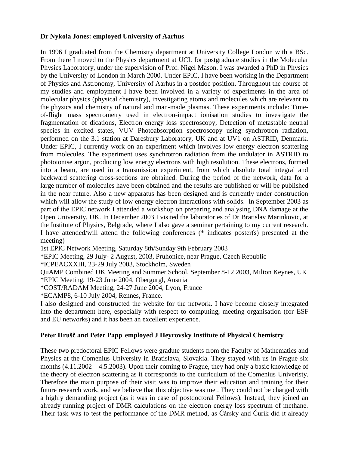#### **Dr Nykola Jones: employed University of Aarhus**

In 1996 I graduated from the Chemistry department at University College London with a BSc. From there I moved to the Physics department at UCL for postgraduate studies in the Molecular Physics Laboratory, under the supervision of Prof. Nigel Mason. I was awarded a PhD in Physics by the University of London in March 2000. Under EPIC, I have been working in the Department of Physics and Astronomy, University of Aarhus in a postdoc position. Throughout the course of my studies and employment I have been involved in a variety of experiments in the area of molecular physics (physical chemistry), investigating atoms and molecules which are relevant to the physics and chemistry of natural and man-made plasmas. These experiments include: Timeof-flight mass spectrometry used in electron-impact ionisation studies to investigate the fragmentation of dications, Electron energy loss spectroscopy, Detection of metastable neutral species in excited states, VUV Photoabsorption spectroscopy using synchrotron radiation, performed on the 3.1 station at Daresbury Laboratory, UK and at UV1 on ASTRID, Denmark. Under EPIC, I currently work on an experiment which involves low energy electron scattering from molecules. The experiment uses synchrotron radiation from the undulator in ASTRID to photoionise argon, producing low energy electrons with high resolution. These electrons, formed into a beam, are used in a transmission experiment, from which absolute total integral and backward scattering cross-sections are obtained. During the period of the network, data for a large number of molecules have been obtained and the results are published or will be published in the near future. Also a new apparatus has been designed and is currently under construction which will allow the study of low energy electron interactions with solids. In September 2003 as part of the EPIC network I attended a workshop on preparing and analysing DNA damage at the Open University, UK. In December 2003 I visited the laboratories of Dr Bratislav Marinkovic, at the Institute of Physics, Belgrade, where I also gave a seminar pertaining to my current research. I have attended/will attend the following conferences (\* indicates poster(s) presented at the meeting)

1st EPIC Network Meeting, Saturday 8th/Sunday 9th February 2003

\*EPIC Meeting, 29 July- 2 August, 2003, Pruhonice, near Prague, Czech Republic

\*ICPEACXXIII, 23-29 July 2003, Stockholm, Sweden

QuAMP Combined UK Meeting and Summer School, September 8-12 2003, Milton Keynes, UK \*EPIC Meeting, 19-23 June 2004, Obergurgl, Austria

\*COST/RADAM Meeting, 24-27 June 2004, Lyon, France

\*ECAMP8, 6-10 July 2004, Rennes, France.

I also designed and constructed the website for the network. I have become closely integrated into the department here, especially with respect to computing, meeting organisation (for ESF and EU networks) and it has been an excellent experience.

#### **Peter Hrušč and Peter Papp employed J Heyrovsky Institute of Physical Chemistry**

These two predoctoral EPIC Fellows were gradute students from the Faculty of Mathematics and Physics at the Comenius University in Bratislava, Slovakia. They stayed with us in Prague six months (4.11.2002 – 4.5.2003). Upon their coming to Prague, they had only a basic knowledge of the theory of electron scattering as it corresponds to the curriculum of the Comenius Univeristy. Therefore the main purpose of their visit was to improve their education and training for their future research work, and we believe that this objective was met. They could not be charged with a highly demanding project (as it was in case of postdoctoral Fellows). Instead, they joined an already running project of DMR calculations on the electron energy loss spectrum of methane. Their task was to test the performance of the DMR method, as Čársky and Čurík did it already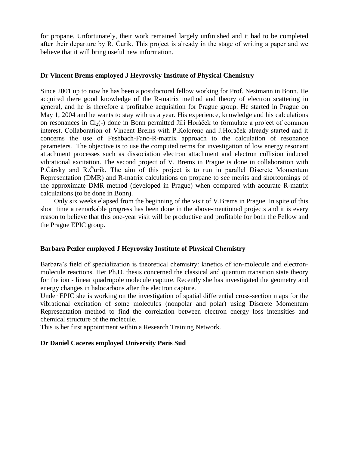for propane. Unfortunately, their work remained largely unfinished and it had to be completed after their departure by R. Čurík. This project is already in the stage of writing a paper and we believe that it will bring useful new information.

#### **Dr Vincent Brems employed J Heyrovsky Institute of Physical Chemistry**

Since 2001 up to now he has been a postdoctoral fellow working for Prof. Nestmann in Bonn. He acquired there good knowledge of the R-matrix method and theory of electron scattering in general, and he is therefore a profitable acquisition for Prague group. He started in Prague on May 1, 2004 and he wants to stay with us a year. His experience, knowledge and his calculations on resonances in  $Cl_2(\text{-})$  done in Bonn permitted Jiří Horáček to formulate a project of common interest. Collaboration of Vincent Brems with P.Kolorenc and J.Horáček already started and it concerns the use of Feshbach-Fano-R-matrix approach to the calculation of resonance parameters. The objective is to use the computed terms for investigation of low energy resonant attachment processes such as dissociation electron attachment and electron collision induced vibrational excitation. The second project of V. Brems in Prague is done in collaboration with P.Čársky and R.Čurík. The aim of this project is to run in parallel Discrete Momentum Representation (DMR) and R-matrix calculations on propane to see merits and shortcomings of the approximate DMR method (developed in Prague) when compared with accurate R-matrix calculations (to be done in Bonn).

 Only six weeks elapsed from the beginning of the visit of V.Brems in Prague. In spite of this short time a remarkable progress has been done in the above-mentioned projects and it is every reason to believe that this one-year visit will be productive and profitable for both the Fellow and the Prague EPIC group.

#### **Barbara Pezler employed J Heyrovsky Institute of Physical Chemistry**

Barbara's field of specialization is theoretical chemistry: kinetics of ion-molecule and electronmolecule reactions. Her Ph.D. thesis concerned the classical and quantum transition state theory for the ion - linear quadrupole molecule capture. Recently she has investigated the geometry and energy changes in halocarbons after the electron capture.

Under EPIC she is working on the investigation of spatial differential cross-section maps for the vibrational excitation of some molecules (nonpolar and polar) using Discrete Momentum Representation method to find the correlation between electron energy loss intensities and chemical structure of the molecule.

This is her first appointment within a Research Training Network.

#### **Dr Daniel Caceres employed University Paris Sud**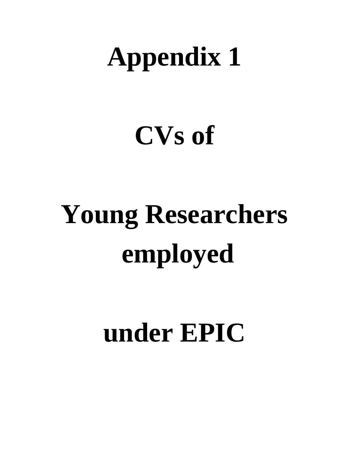# **Appendix 1**

# **CVs of**

# **Young Researchers employed**

# **under EPIC**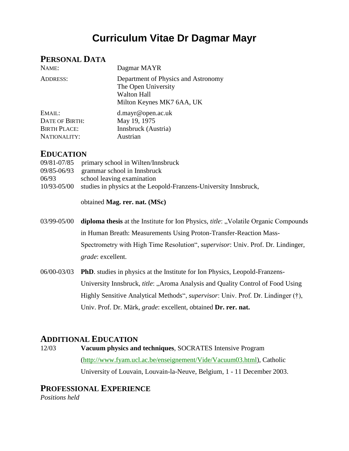# **Curriculum Vitae Dr Dagmar Mayr**

## **PERSONAL DATA**

| NAME:                 | Dagmar MAYR                                                                                                   |
|-----------------------|---------------------------------------------------------------------------------------------------------------|
| <b>ADDRESS:</b>       | Department of Physics and Astronomy<br>The Open University<br><b>Walton Hall</b><br>Milton Keynes MK7 6AA, UK |
| EMAIL:                | d.mayr@open.ac.uk                                                                                             |
| <b>DATE OF BIRTH:</b> | May 19, 1975                                                                                                  |
| <b>BIRTH PLACE:</b>   | Innsbruck (Austria)                                                                                           |
| NATIONALITY:          | Austrian                                                                                                      |

### **EDUCATION**

|             | 09/81-07/85 primary school in Wilten/Innsbruck                   |
|-------------|------------------------------------------------------------------|
|             | 09/85-06/93 grammar school in Innsbruck                          |
| 06/93       | school leaving examination                                       |
| 10/93-05/00 | studies in physics at the Leopold-Franzens-University Innsbruck, |
|             |                                                                  |

obtained **Mag. rer. nat. (MSc)**

- 03/99-05/00 **diploma thesis** at the Institute for Ion Physics, *title*: "Volatile Organic Compounds in Human Breath: Measurements Using Proton-Transfer-Reaction Mass-Spectrometry with High Time Resolution", s*upervisor*: Univ. Prof. Dr. Lindinger, *grade*: excellent.
- 06/00-03/03 **PhD**. studies in physics at the Institute for Ion Physics, Leopold-Franzens-University Innsbruck, *title*: "Aroma Analysis and Quality Control of Food Using Highly Sensitive Analytical Methods", *supervisor*: Univ. Prof. Dr. Lindinger (†), Univ. Prof. Dr. Märk, *grade*: excellent, obtained **Dr. rer. nat.**

### **ADDITIONAL EDUCATION**

12/03 **Vacuum physics and techniques**, SOCRATES Intensive Program [\(http://www.fyam.ucl.ac.be/enseignement/Vide/Vacuum03.html\)](http://www.fyam.ucl.ac.be/enseignement/Vide/Vacuum03.html), Catholic University of Louvain, Louvain-la-Neuve, Belgium, 1 - 11 December 2003.

## **PROFESSIONAL EXPERIENCE**

*Positions held*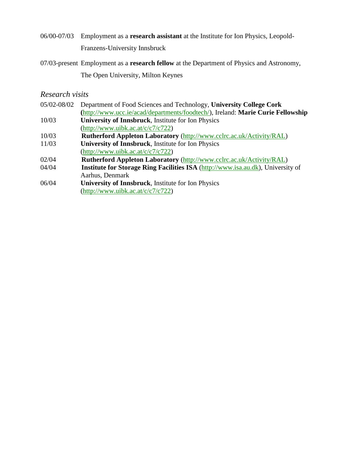- 06/00-07/03 Employment as a **research assistant** at the Institute for Ion Physics, Leopold-Franzens-University Innsbruck
- 07/03-present Employment as a **research fellow** at the Department of Physics and Astronomy, The Open University, Milton Keynes

#### *Research visits*

05/02-08/02 Department of Food Sciences and Technology, **University College Cork (**[http://www.ucc.ie/acad/departments/foodtech/\)](http://www.ucc.ie/acad/departments/foodtech/), Ireland: **Marie Curie Fellowship** 10/03 **University of Innsbruck**, Institute for Ion Physics [\(http://www.uibk.ac.at/c/c7/c722\)](http://www.uibk.ac.at/c/c7/c722) 10/03 **Rutherford Appleton Laboratory** [\(http://www.cclrc.ac.uk/Activity/RAL\)](http://www.cclrc.ac.uk/Activity/RAL) 11/03 **University of Innsbruck**, Institute for Ion Physics [\(http://www.uibk.ac.at/c/c7/c722\)](http://www.uibk.ac.at/c/c7/c722) 02/04 **Rutherford Appleton Laboratory** [\(http://www.cclrc.ac.uk/Activity/RAL\)](http://www.cclrc.ac.uk/Activity/RAL) 04/04 **Institute for Storage Ring Facilities ISA** [\(http://www.isa.au.dk\)](http://www.isa.au.dk/), University of Aarhus, Denmark 06/04 **University of Innsbruck**, Institute for Ion Physics [\(http://www.uibk.ac.at/c/c7/c722\)](http://www.uibk.ac.at/c/c7/c722)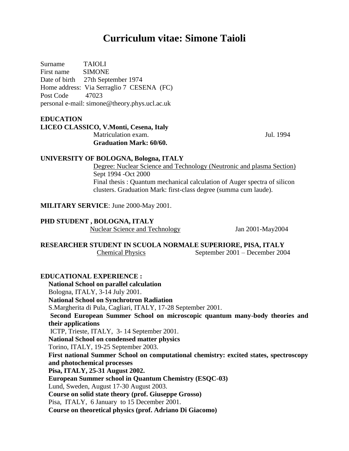# **Curriculum vitae: Simone Taioli**

Surname TAIOLI First name SIMONE Date of birth 27th September 1974 Home address: Via Serraglio 7 CESENA (FC) Post Code 47023 personal e-mail: simone@theory.phys.ucl.ac.uk

#### **EDUCATION**

#### **LICEO CLASSICO, V.Monti, Cesena, Italy** Matriculation exam. Jul. 1994  **Graduation Mark: 60/60.**

#### **UNIVERSITY OF BOLOGNA, Bologna, ITALY**

 Degree: Nuclear Science and Technology (Neutronic and plasma Section) Sept 1994 -Oct 2000 Final thesis : Quantum mechanical calculation of Auger spectra of silicon clusters. Graduation Mark: first-class degree (summa cum laude).

**MILITARY SERVICE**: June 2000-May 2001.

#### **PHD STUDENT , BOLOGNA, ITALY**

Nuclear Science and Technology Jan 2001-May2004

#### **RESEARCHER STUDENT IN SCUOLA NORMALE SUPERIORE, PISA, ITALY** Chemical Physics September 2001 – December 2004

#### **EDUCATIONAL EXPERIENCE :**

**National School on parallel calculation**  Bologna, ITALY, 3-14 July 2001. **National School on Synchrotron Radiation**  S.Margherita di Pula, Cagliari, ITALY, 17-28 September 2001. **Second European Summer School on microscopic quantum many-body theories and their applications** ICTP, Trieste, ITALY, 3- 14 September 2001. **National School on condensed matter physics**  Torino, ITALY, 19-25 September 2003. **First national Summer School on computational chemistry: excited states, spectroscopy and photochemical processes Pisa, ITALY, 25-31 August 2002. European Summer school in Quantum Chemistry (ESQC-03)**  Lund, Sweden, August 17-30 August 2003. **Course on solid state theory (prof. Giuseppe Grosso)** Pisa, ITALY, 6 January to 15 December 2001. **Course on theoretical physics (prof. Adriano Di Giacomo)**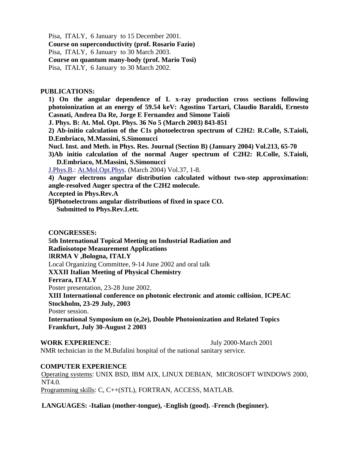Pisa, ITALY, 6 January to 15 December 2001.

**Course on superconductivity (prof. Rosario Fazio)**

Pisa, ITALY, 6 January to 30 March 2003.

**Course on quantum many-body (prof. Mario Tosi)** 

Pisa, ITALY, 6 January to 30 March 2002.

#### **PUBLICATIONS:**

**1) On the angular dependence of L x-ray production cross sections following photoionization at an energy of 59.54 keV: Agostino Tartari, Claudio Baraldi, Ernesto Casnati, Andrea Da Re, Jorge E Fernandez and Simone Taioli** 

**J. Phys. B: At. Mol. Opt. Phys. 36 No 5 (March 2003) 843-851** 

**2) Ab-initio calculation of the C1s photoelectron spectrum of C2H2: R.Colle, S.Taioli, D.Embriaco, M.Massini, S.Simonucci** 

- **Nucl. Inst. and Meth. in Phys. Res. Journal (Section B) (January 2004) Vol.213, 65-70**
- **3)Ab initio calculation of the normal Auger spectrum of C2H2: R.Colle, S.Taioli, D.Embriaco, M.Massini, S.Simonucci**

[J.Phys.B.](http://j.phys.b/): [At.Mol.Opt.Phys.](http://at.mol.opt.phys/) (March 2004) Vol.37, 1-8.

**4) Auger electrons angular distribution calculated without two-step approximation: angle-resolved Auger spectra of the C2H2 molecule.** 

**Accepted in Phys.Rev.A** 

**5)Photoelectrons angular distributions of fixed in space CO. Submitted to Phys.Rev.Lett.** 

#### **CONGRESSES:**

**5th International Topical Meeting on Industrial Radiation and** 

**Radioisotope Measurement Applications** 

I**RRMA V ,Bologna, ITALY** 

Local Organizing Committee, 9-14 June 2002 and oral talk

**XXXII Italian Meeting of Physical Chemistry** 

**Ferrara, ITALY**

Poster presentation, 23-28 June 2002.

**XIII International conference on photonic electronic and atomic collision**, **ICPEAC Stockholm, 23-29 July, 2003**

Poster session.

**International Symposium on (e,2e), Double Photoionization and Related Topics Frankfurt, July 30-August 2 2003** 

**WORK EXPERIENCE:** July 2000-March 2001

NMR technician in the M.Bufalini hospital of the national sanitary service.

#### **COMPUTER EXPERIENCE**

Operating systems: UNIX BSD, IBM AIX, LINUX DEBIAN, MICROSOFT WINDOWS 2000, NT4.0. Programming skills: C, C++(STL), FORTRAN, ACCESS, MATLAB.

**LANGUAGES: -Italian (mother-tongue), -English (good). -French (beginner).**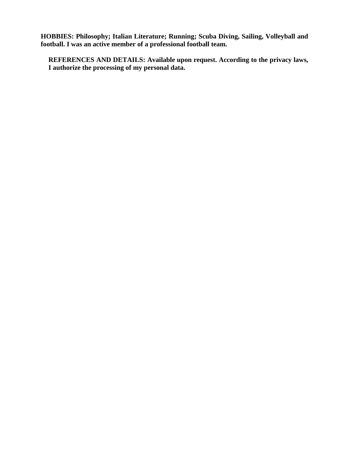**HOBBIES: Philosophy; Italian Literature; Running; Scuba Diving, Sailing, Volleyball and football. I was an active member of a professional football team.** 

**REFERENCES AND DETAILS: Available upon request. According to the privacy laws, I authorize the processing of my personal data.**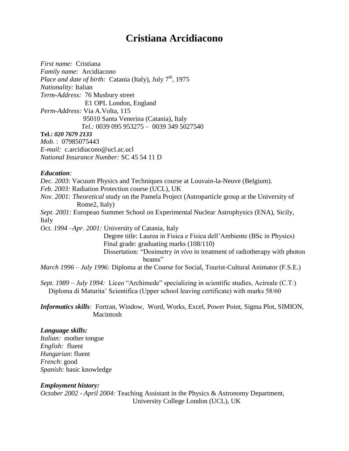# **Cristiana Arcidiacono**

*First name:* Cristiana *Family name:* Arcidiacono *Place and date of birth:* Catania (Italy), July  $7<sup>th</sup>$ , 1975 *Nationality:* Italian *Term-Address:* 76 Musbury street E1 OPL London, England *Perm-Address:* Via A.Volta, 115 95010 Santa Venerina (Catania), Italy *Tel.:* 0039 095 953275 – 0039 349 5027540 **Tel.:** *020 7679 2133 Mob.* : 07985075443 *E-mail:* c.arcidiacono@ucl.ac.ucl *National Insurance Number:* SC 45 54 11 D

#### *Education:*

*Dec. 2003*: Vacuum Physics and Techniques course at Louvain-la-Neuve (Belgium).

*Feb. 2003:* Radiation Protection course (UCL), UK

*Nov. 2001: Theoretical* study on the Pamela Project (Astroparticle group at the University of Rome2, Italy)

*Sept. 2001:* European Summer School on Experimental Nuclear Astrophysics (ENA), Sicily, Italy

*Oct. 1994 –Apr. 2001:* University of Catania, Italy

 Degree title: Laurea in Fisica e Fisica dell'Ambiente (BSc in Physics) Final grade: graduating marks (108/110) Dissertation: "Dosimetry *in vivo* in treatment of radiotherapy with photon beams"

*March 1996 – July 1996:* Diploma at the Course for Social, Tourist-Cultural Animator (F.S.E.)

*Sept. 1989 – July 1994:* Liceo "Archimede" specializing in scientific studies, Acireale (C.T:) Diploma di Maturita' Scientifica (Upper school leaving certificate) with marks 58/60

*Informatics skills:* Fortran, Window, Word, Works, Excel, Power Point, Sigma Plot, SIMION, Macintosh

#### *Language skills:*

*Italian:* mother tongue *English:* fluent *Hungarian*: fluent *French*: good *Spanish:* basic knowledge

#### *Employment history:*

*October 2002 - April 2004:* Teaching Assistant in the Physics & Astronomy Department, University College London (UCL), UK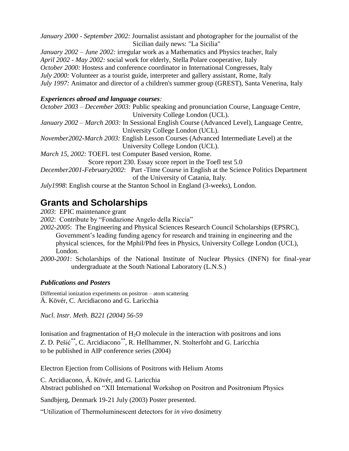*January 2000 - September 2002:* Journalist assistant and photographer for the journalist of the Sicilian daily news: "La Sicilia"

*January 2002 – June 2002:* irregular work as a Mathematics and Physics teacher, Italy *April 2002 - May 2002:* social work for elderly, Stella Polare cooperative, Italy *October 2000:* Hostess and conference coordinator in International Congresses, Italy *July 2000:* Volunteer as a tourist guide, interpreter and gallery assistant, Rome, Italy *July 1997:* Animator and director of a children's summer group (GREST), Santa Venerina, Italy

### *Experiences abroad and language courses:*

| October 2003 – December 2003: Public speaking and pronunciation Course, Language Centre,          |
|---------------------------------------------------------------------------------------------------|
| University College London (UCL).                                                                  |
| January 2002 – March 2003: In Sessional English Course (Advanced Level), Language Centre,         |
| University College London (UCL).                                                                  |
| November2002-March 2003: English Lesson Courses (Advanced Intermediate Level) at the              |
| University College London (UCL).                                                                  |
| March 15, 2002: TOEFL test Computer Based version, Rome.                                          |
| Score report 230. Essay score report in the Toefl test 5.0                                        |
| <i>December2001-February2002:</i> Part -Time Course in English at the Science Politics Department |
| of the University of Catania, Italy.                                                              |
| <i>July1998</i> : English course at the Stanton School in England (3-weeks), London.              |

# **Grants and Scholarships**

*2003*: EPIC maintenance grant

*2002*: Contribute by "Fondazione Angelo della Riccia"

*2002-2005*: The Engineering and Physical Sciences Research Council Scholarships (EPSRC), Government's leading funding agency for research and training in engineering and the physical sciences, for the Mphil/Phd fees in Physics, University College London (UCL), London.

*2000-2001*: Scholarships of the National Institute of Nuclear Physics (INFN) for final-year undergraduate at the South National Laboratory (L.N.S.)

### *Publications and Posters*

Differential ionization experiments on positron – atom scattering Á. Kövér, C. Arcidiacono and G. Laricchia

*Nucl. Instr. Meth. B221 (2004) 56-59*

Ionisation and fragmentation of  $H_2O$  molecule in the interaction with positrons and ions Z. D. Pešić*\*\**, C. Arcidiacono*\*\** , R. Hellhammer, N. Stolterfoht and G. Laricchia to be published in AIP conference series (2004)

Electron Ejection from Collisions of Positrons with Helium Atoms

C. Arcidiacono, Á. Kövér, and G. Laricchia

Abstract published on "XII International Workshop on Positron and Positronium Physics

Sandbjerg, Denmark 19-21 July (2003) Poster presented.

"Utilization of Thermoluminescent detectors for *in vivo* dosimetry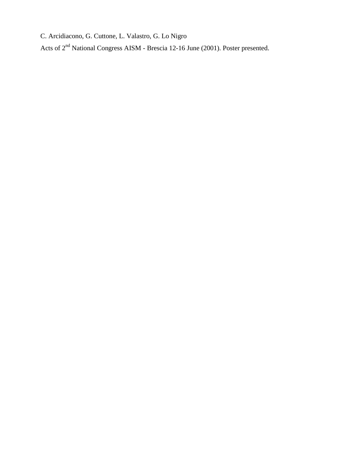C. Arcidiacono, G. Cuttone, L. Valastro, G. Lo Nigro

Acts of 2<sup>nd</sup> National Congress AISM - Brescia 12-16 June (2001). Poster presented.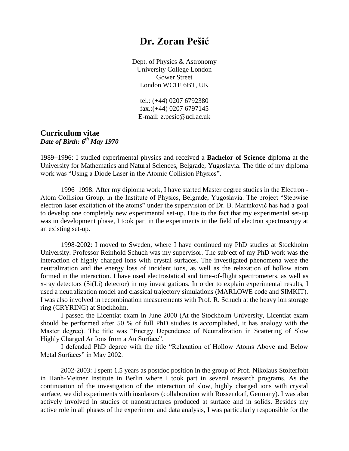# **Dr. Zoran Pešić**

Dept. of Physics & Astronomy University College London Gower Street London WC1E 6BT, UK

tel.: (+44) 0207 6792380 fax.: $(+44)$  0207 6797145 E-mail: z.pesic@ucl.ac.uk

#### **Curriculum vitae** *Date of Birth: 6th May 1970*

1989-1996: I studied experimental physics and received a **Bachelor of Science** diploma at the University for Mathematics and Natural Sciences, Belgrade, Yugoslavia. The title of my diploma work was "Using a Diode Laser in the Atomic Collision Physics".

1996–1998: After my diploma work, I have started Master degree studies in the Electron -Atom Collision Group, in the Institute of Physics, Belgrade, Yugoslavia. The project "Stepwise electron laser excitation of the atoms" under the supervision of Dr. B. Marinković has had a goal to develop one completely new experimental set-up. Due to the fact that my experimental set-up was in development phase, I took part in the experiments in the field of electron spectroscopy at an existing set-up.

1998-2002: I moved to Sweden, where I have continued my PhD studies at Stockholm University. Professor Reinhold Schuch was my supervisor. The subject of my PhD work was the interaction of highly charged ions with crystal surfaces. The investigated phenomena were the neutralization and the energy loss of incident ions, as well as the relaxation of hollow atom formed in the interaction. I have used electrostatical and time-of-flight spectrometers, as well as x-ray detectors (Si(Li) detector) in my investigations. In order to explain experimental results, I used a neutralization model and classical trajectory simulations (MARLOWE code and SIMKIT). I was also involved in recombination measurements with Prof. R. Schuch at the heavy ion storage ring (CRYRING) at Stockholm.

I passed the Licentiat exam in June 2000 (At the Stockholm University, Licentiat exam should be performed after 50 % of full PhD studies is accomplished, it has analogy with the Master degree). The title was "Energy Dependence of Neutralization in Scattering of Slow Highly Charged Ar Ions from a Au Surface".

I defended PhD degree with the title "Relaxation of Hollow Atoms Above and Below Metal Surfaces" in May 2002.

2002-2003: I spent 1.5 years as postdoc position in the group of Prof. Nikolaus Stolterfoht in Hanh-Meitner Institute in Berlin where I took part in several research programs. As the continuation of the investigation of the interaction of slow, highly charged ions with crystal surface, we did experiments with insulators (collaboration with Rossendorf, Germany). I was also actively involved in studies of nanostructures produced at surface and in solids. Besides my active role in all phases of the experiment and data analysis, I was particularly responsible for the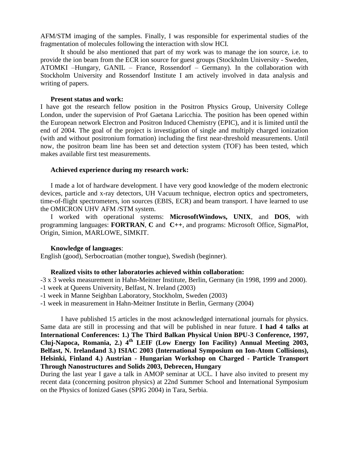AFM/STM imaging of the samples. Finally, I was responsible for experimental studies of the fragmentation of molecules following the interaction with slow HCI.

It should be also mentioned that part of my work was to manage the ion source, i.e. to provide the ion beam from the ECR ion source for guest groups (Stockholm University - Sweden, ATOMKI –Hungary, GANIL – France, Rossendorf – Germany). In the collaboration with Stockholm University and Rossendorf Institute I am actively involved in data analysis and writing of papers.

#### **Present status and work:**

I have got the research fellow position in the Positron Physics Group, University College London, under the supervision of Prof Gaetana Laricchia. The position has been opened within the European network Electron and Positron Induced Chemistry (EPIC), and it is limited until the end of 2004. The goal of the project is investigation of single and multiply charged ionization (with and without positronium formation) including the first near-threshold measurements. Until now, the positron beam line has been set and detection system (TOF) has been tested, which makes available first test measurements.

#### **Achieved experience during my research work:**

I made a lot of hardware development. I have very good knowledge of the modern electronic devices, particle and x-ray detectors, UH Vacuum technique, electron optics and spectrometers, time-of-flight spectrometers, ion sources (EBIS, ECR) and beam transport. I have learned to use the OMICRON UHV AFM /STM system.

I worked with operational systems: **MicrosoftWindows, UNIX**, and **DOS**, with programming languages: **FORTRAN**, **C** and **C++**, and programs: Microsoft Office, SigmaPlot, Origin, Simion, MARLOWE, SIMKIT.

#### **Knowledge of languages**:

English (good), Serbocroatian (mother tongue), Swedish (beginner).

#### **Realized visits to other laboratories achieved within collaboration:**

-3 x 3 weeks measurement in Hahn-Meitner Institute, Berlin, Germany (in 1998, 1999 and 2000).

- -1 week at Queens University, Belfast, N. Ireland (2003)
- -1 week in Manne Seighban Laboratory, Stockholm, Sweden (2003)
- -1 week in measurement in Hahn-Meitner Institute in Berlin, Germany (2004)

I have published 15 articles in the most acknowledged international journals for physics. Same data are still in processing and that will be published in near future. **I had 4 talks at International Conferences: 1.) The Third Balkan Physical Union BPU-3 Conference, 1997, Cluj-Napoca, Romania, 2.) 4th LEIF (Low Energy Ion Facility) Annual Meeting 2003, Belfast, N. Irelandand 3.) ISIAC 2003 (International Symposium on Ion-Atom Collisions), Helsinki, Finland 4.) Austrian - Hungarian Workshop on Charged - Particle Transport Through Nanostructures and Solids 2003, Debrecen, Hungary**

During the last year I gave a talk in AMOP seminar at UCL. I have also invited to present my recent data (concerning positron physics) at 22nd Summer School and International Symposium on the Physics of Ionized Gases (SPIG 2004) in Tara, Serbia.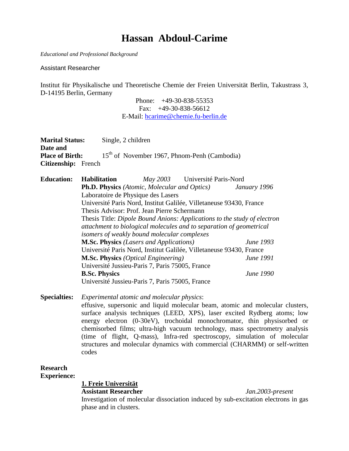# **Hassan Abdoul-Carime**

*Educational and Professional Background*

Assistant Researcher

Institut für Physikalische und Theoretische Chemie der Freien Universität Berlin, Takustrass 3, D-14195 Berlin, Germany

> Phone: +49-30-838-55353 Fax: +49-30-838-56612 E-Mail: hcarime@chemie.fu-berlin.de

| <b>Marital Status:</b> |                     | Single, 2 children                                  |                                       |              |
|------------------------|---------------------|-----------------------------------------------------|---------------------------------------|--------------|
| Date and               |                     |                                                     |                                       |              |
| <b>Place of Birth:</b> |                     | $15th$ of November 1967, Phnom-Penh (Cambodia)      |                                       |              |
| Citizenship: French    |                     |                                                     |                                       |              |
| <b>Education:</b>      | <b>Habilitation</b> |                                                     | <i>May 2003</i> Université Paris-Nord |              |
|                        |                     | <b>Ph.D. Physics</b> (Atomic, Molecular and Optics) |                                       | January 1996 |

Laboratoire de Physique des Lasers

Université Paris Nord, Institut Galilée, Villetaneuse 93430, France

Thesis Advisor: Prof. Jean Pierre Schermann Thesis Title: *Dipole Bound Anions: Applications to the study of electron attachment to biological molecules and to separation of geometrical isomers of weakly bound molecular complexes* **M.Sc. Physics** *(Lasers and Applications) June 1993* Université Paris Nord, Institut Galilée, Villetaneuse 93430, France **M.Sc. Physics** *(Optical Engineering) June 1991* Université Jussieu-Paris 7, Paris 75005, France

**B.Sc. Physics** *June 1990*

Université Jussieu-Paris 7, Paris 75005, France

**Specialties:** *Experimental atomic and molecular physics*:

effusive, supersonic and liquid molecular beam, atomic and molecular clusters, surface analysis techniques (LEED, XPS), laser excited Rydberg atoms; low energy electron (0-30eV), trochoidal monochromator, thin physisorbed or chemisorbed films; ultra-high vacuum technology, mass spectrometry analysis (time of flight, Q-mass), Infra-red spectroscopy, simulation of molecular structures and molecular dynamics with commercial (CHARMM) or self-written codes

**Research Experience:**

**1. Freie Universität**

**Assistant Researcher** *Jan.2003-present*

Investigation of molecular dissociation induced by sub-excitation electrons in gas phase and in clusters.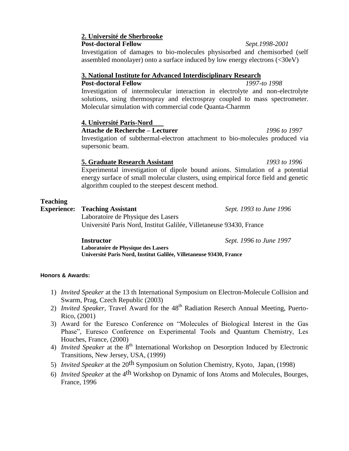#### **2. Université de Sherbrooke Post-doctoral Fellow** *Sept.1998-2001*

Investigation of damages to bio-molecules physisorbed and chemisorbed (self assembled monolayer) onto a surface induced by low energy electrons (<30eV)

#### **3. National Institute for Advanced Interdisciplinary Research**

**Post-doctoral Fellow** *1997-to 1998* Investigation of intermolecular interaction in electrolyte and non-electrolyte solutions, using thermospray and electrospray coupled to mass spectrometer. Molecular simulation with commercial code Quanta-Charmm

#### **4. Université Paris-Nord**

**Attache de Recherche – Lecturer** *1996 to 1997*

Investigation of subthermal-electron attachment to bio-molecules produced via supersonic beam.

#### **5. Graduate Research Assistant** *1993 to 1996*

Experimental investigation of dipole bound anions. Simulation of a potential energy surface of small molecular clusters, using empirical force field and genetic algorithm coupled to the steepest descent method.

#### **Teaching**

**Experience: Teaching Assistant** *Sept. 1993 to June 1996*

Laboratoire de Physique des Lasers Université Paris Nord, Institut Galilée, Villetaneuse 93430, France

**Instructor** *Sept. 1996 to June 1997*

**Laboratoire de Physique des Lasers Université Paris Nord, Institut Galilée, Villetaneuse 93430, France**

#### **Honors & Awards:**

- 1) *Invited Speaker* at the 13 th International Symposium on Electron-Molecule Collision and Swarm, Prag, Czech Republic (2003)
- 2) *Invited Speaker*, Travel Award for the 48<sup>th</sup> Radiation Reserch Annual Meeting, Puerto-Rico, (2001)
- 3) Award for the Euresco Conference on "Molecules of Biological Interest in the Gas Phase", Euresco Conference on Experimental Tools and Quantum Chemistry, Les Houches, France, (2000)
- 4) *Invited Speaker* at the 8<sup>th</sup> International Workshop on Desorption Induced by Electronic Transitions, New Jersey, USA, (1999)
- 5) *Invited Speaker* at the 20th Symposium on Solution Chemistry, Kyoto, Japan, (1998)
- 6) *Invited Speaker* at the 4th Workshop on Dynamic of Ions Atoms and Molecules, Bourges, France, 1996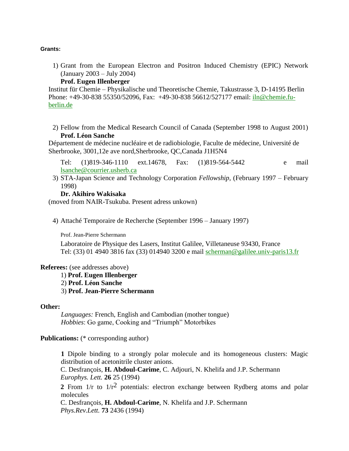#### **Grants:**

1) Grant from the European Electron and Positron Induced Chemistry (EPIC) Network (January 2003 – July 2004)

#### **Prof. Eugen Illenberger**

Institut für Chemie – Physikalische und Theoretische Chemie, Takustrasse 3, D-14195 Berlin Phone: +49-30-838 55350/52096, Fax: +49-30-838 56612/527177 email: [iln@chemie.fu](mailto:iln@chemie.fu-berlin.de)[berlin.de](mailto:iln@chemie.fu-berlin.de)

2) Fellow from the Medical Research Council of Canada (September 1998 to August 2001) **Prof. Léon Sanche** 

Département de médecine nucléaire et de radiobiologie, Faculte de médecine, Université de Sherbrooke, 3001,12e ave nord,Sherbrooke, QC,Canada J1H5N4

Tel: (1)819-346-1110 ext.14678, Fax: (1)819-564-5442 e mail [lsanche@courrier.usherb.ca](mailto:lsanche@courrier.usherb.ca)

3) STA-Japan Science and Technology Corporation *Fellowship*, (February 1997 – February 1998)

#### **Dr. Akihiro Wakisaka**

(moved from NAIR-Tsukuba. Present adress unkown)

4) Attaché Temporaire de Recherche (September 1996 – January 1997)

Prof. Jean-Pierre Schermann

Laboratoire de Physique des Lasers, Institut Galilee, Villetaneuse 93430, France Tel: (33) 01 4940 3816 fax (33) 014940 3200 e mail [scherman@galilee.univ-paris13.fr](mailto:scherman@galilee.univ-paris13.fr)

#### **Referees:** (see addresses above)

1) **Prof. Eugen Illenberger** 2) **Prof. Léon Sanche** 3) **Prof. Jean-Pierre Schermann**

#### **Other:**

*Languages:* French, English and Cambodian (mother tongue) *Hobbies*: Go game, Cooking and "Triumph" Motorbikes

**Publications:** (\* corresponding author)

**1** Dipole binding to a strongly polar molecule and its homogeneous clusters: Magic distribution of acetonitrile cluster anions.

C. Desfrançois, **H. Abdoul-Carime**, C. Adjouri, N. Khelifa and J.P. Schermann *Europhys. Lett.* **26** 25 (1994)

**2** From  $1/r$  to  $1/r^2$  potentials: electron exchange between Rydberg atoms and polar molecules

C. Desfrançois, **H. Abdoul-Carime**, N. Khelifa and J.P. Schermann *Phys.Rev.Lett.* **73** 2436 (1994)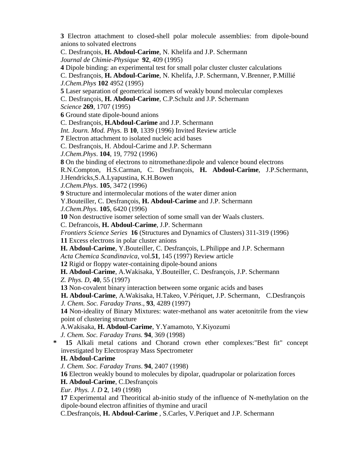**3** Electron attachment to closed-shell polar molecule assemblies: from dipole-bound anions to solvated electrons C. Desfrançois, **H. Abdoul-Carime**, N. Khelifa and J.P. Schermann *Journal de Chimie-Physique* **92**, 409 (1995) **4** Dipole binding: an experimental test for small polar cluster cluster calculations C. Desfrançois, **H. Abdoul-Carime**, N. Khelifa, J.P. Schermann, V.Brenner, P.Millié *J.Chem.Phys* **102** 4952 (1995) **5** Laser separation of geometrical isomers of weakly bound molecular complexes C. Desfrançois, **H. Abdoul-Carime**, C.P.Schulz and J.P. Schermann *Science* **269**, 1707 (1995) **6** Ground state dipole-bound anions C. Desfrançois, **H.Abdoul-Carime** and J.P. Schermann *Int. Journ. Mod. Phys.* B **10**, 1339 (1996) Invited Review article **7** Electron attachment to isolated nucleic acid bases C. Desfrançois, H. Abdoul-Carime and J.P. Schermann *J.Chem.Phys*. **104**, 19, 7792 (1996) **8** On the binding of electrons to nitromethane:dipole and valence bound electrons R.N.Compton, H.S.Carman, C. Desfrançois, **H. Abdoul-Carime**, J.P.Schermann, J.Hendricks,S.A.Lyapustina, K.H.Bowen *J.Chem.Phys*. **105**, 3472 (1996) **9** Structure and intermolecular motions of the water dimer anion Y.Bouteiller, C. Desfrançois, **H. Abdoul-Carime** and J.P. Schermann *J.Chem.Phys*. **105**, 6420 (1996) **10** Non destructive isomer selection of some small van der Waals clusters. C. Defrancois, **H. Abdoul-Carime**, J.P. Schermann *Frontiers Science Series* **16** (Structures and Dynamics of Clusters) 311-319 (1996) **11** Excess electrons in polar cluster anions **H. Abdoul-Carime**, Y.Bouteiller, C. Desfrançois, L.Philippe and J.P. Schermann *Acta Chemica Scandinavica*, vol.**51**, 145 (1997) Review article **12** Rigid or floppy water-containing dipole-bound anions **H. Abdoul-Carime**, A.Wakisaka, Y.Bouteiller, C. Desfrançois, J.P. Schermann *Z. Phys. D*, **40**, 55 (1997) **13** Non-covalent binary interaction between some organic acids and bases **H. Abdoul-Carime**, A.Wakisaka, H.Takeo, V.Périquet, J.P. Schermann, C.Desfrançois *J. Chem. Soc. Faraday Trans*., **93**, 4289 (1997) **14** Non-ideality of Binary Mixtures: water-methanol ans water acetonitrile from the view point of clustering structure A.Wakisaka, **H. Abdoul-Carime**, Y.Yamamoto, Y.Kiyozumi *J. Chem. Soc. Faraday Trans.* **94**, 369 (1998) **\* 15** Alkali metal cations and Chorand crown ether complexes:"Best fit" concept investigated by Electrospray Mass Spectrometer **H. Abdoul-Carime** *J. Chem. Soc. Faraday Trans*. **94**, 2407 (1998) **16** Electron weakly bound to molecules by dipolar, quadrupolar or polarization forces **H. Abdoul-Carime**, C.Desfrançois *Eur. Phys. J. D* **2**, 149 (1998) **17** Experimental and Theoritical ab-initio study of the influence of N-methylation on the dipole-bound electron affinities of thymine and uracil

C.Desfrançois, **H. Abdoul-Carime** , S.Carles, V.Periquet and J.P. Schermann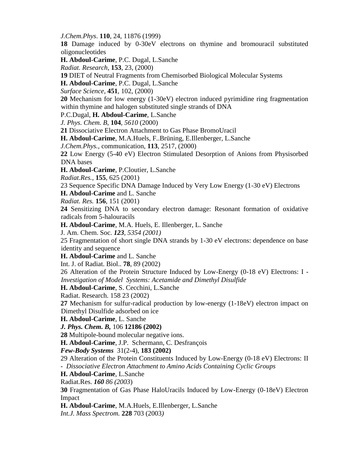*J.Chem.Phys*. **110**, 24, 11876 (1999)

**18** Damage induced by 0-30eV electrons on thymine and bromouracil substituted oligonucleotides

**H. Abdoul-Carime**, P.C. Dugal, L.Sanche

*Radiat. Research*, **153**, 23, (2000)

**19** DIET of Neutral Fragments from Chemisorbed Biological Molecular Systems

**H. Abdoul-Carime**, P.C. Dugal, L.Sanche

*Surface Science*, **451**, 102, (2000)

**20** Mechanism for low energy (1-30eV) electron induced pyrimidine ring fragmentation within thymine and halogen substituted single strands of DNA

P.C.Dugal, **H. Abdoul-Carime**, L.Sanche

*J. Phys. Chem. B,* **104***, 5610* (2000)

**21** Dissociative Electron Attachment to Gas Phase BromoUracil

**H. Abdoul-Carime**, M.A.Huels, F..Brüning, E.Illenberger, L.Sanche

*J.Chem.Phys.*, communication, **113**, 2517, (2000)

**22** Low Energy (5-40 eV) Electron Stimulated Desorption of Anions from Physisorbed DNA bases

**H. Abdoul-Carime**, P.Cloutier, L.Sanche

*Radiat.Res.,* **155**, 625 (2001)

23 Sequence Specific DNA Damage Induced by Very Low Energy (1-30 eV) Electrons

**H. Abdoul-Carime** and L. Sanche

*Radiat. Res.* **156**, 151 (2001)

**24** Sensitizing DNA to secondary electron damage: Resonant formation of oxidative radicals from 5-halouracils

**H. Abdoul-Carime**, M.A. Huels, E. Illenberger, L. Sanche

J. Am. Chem. Soc. *123, 5354 (2001)*

25 Fragmentation of short single DNA strands by 1-30 eV electrons: dependence on base identity and sequence

**H. Abdoul-Carime** and L. Sanche

Int. J. of Radiat. Biol.. **78**, 89 (2002)

26 Alteration of the Protein Structure Induced by Low-Energy (0-18 eV) Electrons: I - *Investigation of Model Systems: Acetamide and Dimethyl Disulfide*

**H. Abdoul-Carime**, S. Cecchini, L.Sanche

Radiat. Research. 158 23 (2002)

**27** Mechanism for sulfur-radical production by low-energy (1-18eV) electron impact on Dimethyl Disulfide adsorbed on ice

**H. Abdoul-Carime**, L. Sanche

*J. Phys. Chem. B,* 106 **12186 (2002)**

**28** Multipole-bound molecular negative ions.

**H. Abdoul-Carime**, J.P. Schermann, C. Desfrançois

*Few-Body Systems* 31(2-4), **183 (2002)**

29 Alteration of the Protein Constituents Induced by Low-Energy (0-18 eV) Electrons: II - *Dissociative Electron Attachment to Amino Acids Containing Cyclic Groups*

**H. Abdoul-Carime**, L.Sanche

Radiat.Res. *160 86 (2003*)

**30** Fragmentation of Gas Phase HaloUracils Induced by Low-Energy (0-18eV) Electron Impact

**H. Abdoul-Carime**, M.A.Huels, E.Illenberger, L.Sanche

*Int.J. Mass Spectrom.* **228** 703 (2003*)*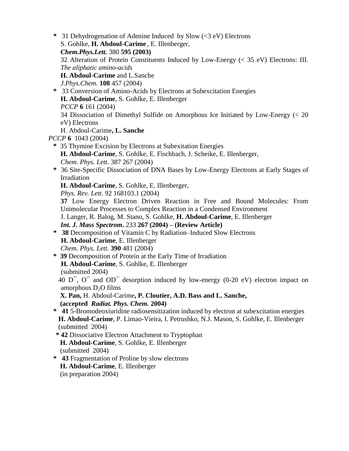**\*** 31 Dehydrogenation of Adenine Induced by Slow (<3 eV) Electrons S. Gohlke, **H. Abdoul-Carime** , E. Illenberger, *Chem.Phys.Lett.* 380 **595 (2003)** 32 Alteration of Protein Constituents Induced by Low-Energy (< 35 eV) Electrons: III. *The aliphatic amino-acids* **H. Abdoul-Carime** and L.Sanche *J.Phys.Chem.* **108** 457 (2004) **\*** 33 Conversion of Amino-Acids by Electrons at Subexcitation Energies **H. Abdoul-Carime**, S. Gohlke, E. Illenberger

*PCCP* **6** 161 (2004)

34 Dissociation of Dimethyl Sulfide on Amorphous Ice Initiated by Low-Energy (< 20 eV) Electrons

H. Abdoul-Carime**, L. Sanche**

*PCCP* **6** 1043 (2004)

- **\*** 35 Thymine Excision by Electrons at Subexitation Energies **H. Abdoul-Carime**, S. Gohlke, E. Fischbach, J. Scheike, E. Illenberger, *Chem. Phys. Lett*. 387 267 (2004)
- **\*** 36 Site-Specific Dissociation of DNA Bases by Low-Energy Electrons at Early Stages of Irradiation

**H. Abdoul-Carime**, S. Gohlke, E. Illenberger,

*Phys. Rev. Lett.* 92 168103.1 (2004)

**37** Low Energy Electron Driven Reaction in Free and Bound Molecules: From Unimolecular Processes to Complex Reaction in a Condensed Environment

J. Langer, R. Balog, M. Stano, S. Gohlke, **H. Abdoul-Carime**, E. Illenberger

*Int. J. Mass Spectrom***.** 233 **267 (2004) – (Review Article)**

- **\* 38** Decomposition of Vitamin C by Radiation–Induced Slow Electrons **H. Abdoul-Carime**, E. Illenberger *Chem. Phys. Lett.* **390** 481 (2004)
- **\* 39** Decomposition of Protein at the Early Time of Irradiation **H. Abdoul-Carime**, S. Gohlke, E. Illenberger (submitted 2004)

40  $D^-$ ,  $O^-$  and  $OD^-$  desorption induced by low-energy (0-20 eV) electron impact on amorphous  $D_2O$  films

**X. Pan,** H. Abdoul-Carime**, P. Cloutier, A.D. Bass and L. Sanche, (accepted** *Radiat. Phys. Chem.* **2004)** 

**\* 41** 5-Bromodeoxiuridine radiosensitization induced by electron at subexcitation energies **H. Abdoul-Carime**, P. Limao-Vieira, I. Petrushko, N.J. Mason, S. Gohlke, E. Illenberger (submitted 2004)

**\* 42** Dissociative Electron Attachment to Tryptophan **H. Abdoul-Carime**, S. Gohlke, E. Illenberger (submitted 2004)

**\* 43** Fragmentation of Proline by slow electrons **H. Abdoul-Carime**, E. Illenberger (in preparation 2004)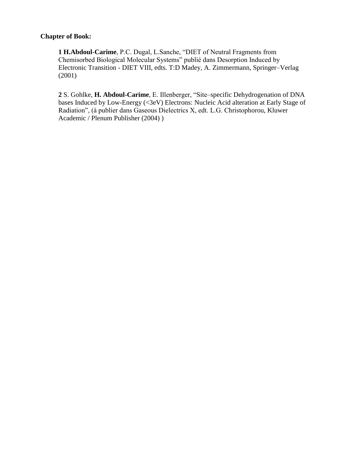#### **Chapter of Book:**

**1 H.Abdoul-Carime**, P.C. Dugal, L.Sanche, "DIET of Neutral Fragments from Chemisorbed Biological Molecular Systems" publié dans Desorption Induced by Electronic Transition - DIET VIII, edts. T:D Madey, A. Zimmermann, Springer–Verlag (2001)

**2** S. Gohlke, **H. Abdoul-Carime**, E. Illenberger, "Site–specific Dehydrogenation of DNA bases Induced by Low-Energy (<3eV) Electrons: Nucleic Acid alteration at Early Stage of Radiation", (à publier dans Gaseous Dielectrics X, edt. L.G. Christophorou, Kluwer Academic / Plenum Publisher (2004) )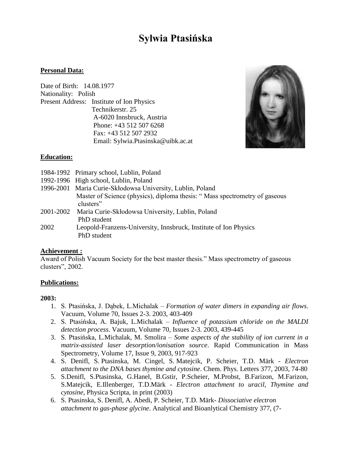# **Sylwia Ptasińska**

#### **Personal Data:**

Date of Birth: 14.08.1977 Nationality: Polish Present Address: Institute of Ion Physics Technikerstr. 25 A-6020 Innsbruck, Austria Phone: +43 512 507 6268 Fax: +43 512 507 2932 Email: [Sylwia.Ptasinska@uibk.ac.at](mailto:Sylwia.Ptasinska@uibk.ac.at)



#### **Education:**

|           | 1984-1992 Primary school, Lublin, Poland                                   |
|-----------|----------------------------------------------------------------------------|
|           | 1992-1996 High school, Lublin, Poland                                      |
|           | 1996-2001 Maria Curie-Skłodowsa University, Lublin, Poland                 |
|           | Master of Science (physics), diploma thesis: "Mass spectrometry of gaseous |
|           | clusters"                                                                  |
| 2001-2002 | Maria Curie-Skłodowsa University, Lublin, Poland                           |
|           | PhD student                                                                |
| 2002      | Leopold-Franzens-University, Innsbruck, Institute of Ion Physics           |
|           | PhD student                                                                |
|           |                                                                            |

#### **Achievement :**

Award of Polish Vacuum Society for the best master thesis." Mass spectrometry of gaseous clusters", 2002.

#### **Publications:**

#### **2003:**

- 1. S. Ptasińska, J. Dąbek, L.Michalak *Formation of water dimers in expanding air flows*. Vacuum, Volume 70, Issues 2-3. 2003, 403-409
- 2. S. Ptasińska, A. Bajuk, L.Michalak *Influence of potassium chloride on the MALDI detection process*. Vacuum, Volume 70, Issues 2-3. 2003, 439-445
- 3. S. Ptasińska, L.Michalak, M. Smolira *Some aspects of the stability of ion current in a matrix-assisted laser desorption/ionisation source*. Rapid Communication in Mass Spectrometry, Volume 17, Issue 9, 2003, 917-923
- 4. S. Denifl, S. Ptasinska, M. Cingel, S. Matejcik, P. Scheier, T.D. Märk *Electron attachment to the DNA bases thymine and cytosine*. Chem. Phys. Letters 377, 2003, 74-80
- 5. S.Denifl, S.Ptasinska, G.Hanel, B.Gstir, P.Scheier, M.Probst, B.Farizon, M.Farizon, S.Matejcik, E.Illenberger, T.D.Märk - *Electron attachment to uracil, Thymine and cytosine*, Physica Scripta, in print (2003)
- 6. S. Ptasinska, S. Denifl, A. Abedi, P. Scheier, T.D. Märk- *Dissociative electron attachment to gas-phase glycine*. Analytical and Bioanlytical Chemistry 377, (7-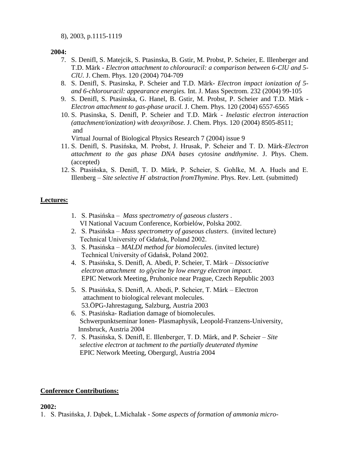8), 2003, p.1115-1119

**2004:**

- 7. S. Denifl, S. Matejcik, S. Ptasinska, B. Gstir, M. Probst, P. Scheier, E. Illenberger and T.D. Märk - *Electron attachment to chlorouracil: a comparison between 6-ClU and 5- ClU.* J. Chem. Phys. 120 (2004) 704-709
- 8. S. Denifl, S. Ptasinska, P. Scheier and T.D. Märk- *Electron impact ionization of 5 and 6-chlorouracil: appearance energies.* Int. J. Mass Spectrom. 232 (2004) 99-105
- 9. S. Denifl, S. Ptasinska, G. Hanel, B. Gstir, M. Probst, P. Scheier and T.D. Märk *Electron attachment to gas-phase uracil.* J. Chem. Phys. 120 (2004) 6557-6565
- 10. S. Ptasinska, S. Denifl, P. Scheier and T.D. Märk *Inelastic electron interaction (attachment/ionization) with deoxyribose.* J. Chem. Phys. 120 (2004) 8505-8511; and

Virtual Journal of Biological Physics Research 7 (2004) issue 9

- 11. S. Denifl, S. Ptasińska, M. Probst, J. Hrusak, P. Scheier and T. D. Märk-*Electron attachment to the gas phase DNA bases cytosine andthymine*. J. Phys. Chem. (accepted)
- 12. S. Ptasińska, S. Denifl, T. D. Märk, P. Scheier, S. Gohlke, M. A. Huels and E. Illenberg – *Site selective H-abstraction fromThymine*. Phys. Rev. Lett. (submitted)

#### **Lectures:**

- 1. S. Ptasińska *Mass spectrometry of gaseous clusters* . VI National Vacuum Conference, Korbielów, Polska 2002.
- 2. S. Ptasińska *Mass spectrometry of gaseous clusters*. (invited lecture) Technical University of Gdańsk, Poland 2002.
- 3. S. Ptasińska *MALDI method for biomolecules*. (invited lecture) Technical University of Gdańsk, Poland 2002.
- 4. S. Ptasińska, S. Denifl, A. Abedi, P. Scheier, T. Märk *– Dissociative electron attachment to glycine by low energy electron impact.*  EPIC Network Meeting, Pruhonice near Prague, Czech Republic 2003
- 5. S. Ptasińska, S. Denifl, A. Abedi, P. Scheier, T. Märk Electron attachment to biological relevant molecules. 53.ÖPG-Jahrestagung, Salzburg, Austria 2003
- 6. S. Ptasińska- Radiation damage of biomolecules. Schwerpunktseminar Ionen- Plasmaphysik, Leopold-Franzens-University, Innsbruck, Austria 2004
- 7. S. Ptasińska, S. Denifl, E. Illenberger, T. D. Märk, and P. Scheier *– Site selective electron at tachment to the partially deuterated thymine*  EPIC Network Meeting, Obergurgl, Austria 2004

#### **Conference Contributions:**

#### **2002:**

1. S. Ptasińska, J. Dąbek, L.Michalak - *Some aspects of formation of ammonia micro-*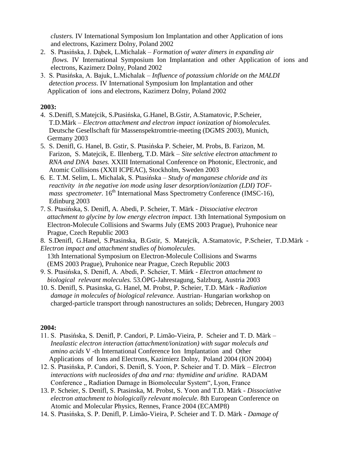*clusters.* IV International Symposium Ion Implantation and other Application of ions and electrons, Kazimerz Dolny, Poland 2002

- 2. S. Ptasińska, J. Dąbek, L.Michalak *Formation of water dimers in expanding air flows.* IV International Symposium Ion Implantation and other Application of ions and electrons, Kazimerz Dolny, Poland 2002
- 3. S. Ptasińska, A. Bajuk, L.Michalak *Influence of potassium chloride on the MALDI detection process*. IV International Symposium Ion Implantation and other Application of ions and electrons, Kazimerz Dolny, Poland 2002

#### **2003:**

- 4. S.Denifl, S.Matejcik, S.Ptasińska, G.Hanel, B.Gstir, A.Stamatovic, P.Scheier, T.D.Märk – *Electron attachment and electron impact ionization of biomolecules.* Deutsche Gesellschaft für Massenspektromtrie-meeting (DGMS 2003), Munich, Germany 2003
- 5. S. Denifl, G. Hanel, B. Gstir, S. Ptasińska P. Scheier, M. Probs, B. Farizon, M. Farizon, S. Matejcik, E. Illenberg, T.D. Märk – *Site selctive electron attachment to RNA and DNA bases.* XXIII International Conference on Photonic, Electronic, and Atomic Collisions (XXII ICPEAC), Stockholm, Sweden 2003
- 6. E. T.M. Selim, L. Michalak, S. Ptasińska *Study of manganese chloride and its reactivity in the negative ion mode using laser desorption/ionization (LDI) TOF mass spectrometer.* 16<sup>th</sup> International Mass Spectrometry Conference (IMSC-16), Edinburg 2003
- 7. S. Ptasińska, S. Denifl, A. Abedi, P. Scheier, T. Märk *- Dissociative electron attachment to glycine by low energy electron impact.* 13th International Symposium on Electron-Molecule Collisions and Swarms July (EMS 2003 Prague), Pruhonice near Prague, Czech Republic 2003
- 8. S.Denifl, G.Hanel, S.Ptasinska, B.Gstir, S. Matejcik, A.Stamatovic, P.Scheier, T.D.Märk *Electron impact and attachment studies of biomolecules*.

 13th International Symposium on Electron-Molecule Collisions and Swarms (EMS 2003 Prague), Pruhonice near Prague, Czech Republic 2003

- 9. S. Ptasińska, S. Denifl, A. Abedi, P. Scheier, T. Märk *Electron attachment to biological relevant molecules.* 53.ÖPG-Jahrestagung, Salzburg, Austria 2003
- 10. S. Denifl, S. Ptasinska, G. Hanel, M. Probst, P. Scheier, T.D. Märk *- Radiation damage in molecules of biological relevance.* Austrian- Hungarian workshop on charged-particle transport through nanostructures an solids; Debrecen, Hungary 2003

#### **2004:**

- 11. S. Ptasińska, S. Denifl, P. Candori, P. Limão-Vieira, P. Scheier and T. D. Märk *Inealastic electron interaction (attachment/ionization) with sugar moleculs and amino acids* V -th International Conference Ion Implantation and Other Applications of Ions and Electrons, Kazimierz Dolny, Poland 2004 (ION 2004)
- 12. S. Ptasińska, P. Candori, S. Denifl, S. Yoon, P. Scheier and T. D. Märk *Electron interactions with nucleosides of dna and rna: thymidine and uridine.* RADAM Conference ... Radiation Damage in Biomolecular System", Lyon, France
- 13. P. Scheier, S. Denifl, S. Ptasinska, M. Probst, S. Yoon and T.D. Märk *Dissociative electron attachment to biologically relevant molecule.* 8th European Conference on Atomic and Molecular Physics, Rennes, France 2004 (ECAMP8)
- 14. S. Ptasińska, S. P. Denifl, P. Limão-Vieira, P. Scheier and T. D. Märk *Damage of*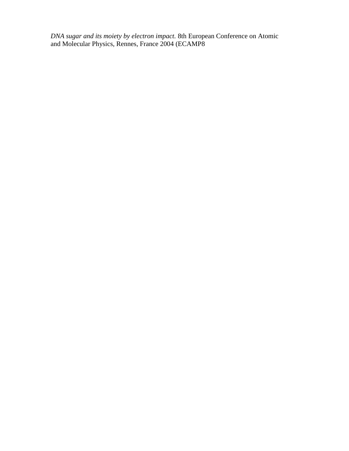*DNA sugar and its moiety by electron impact.* 8th European Conference on Atomic and Molecular Physics, Rennes, France 2004 (ECAMP8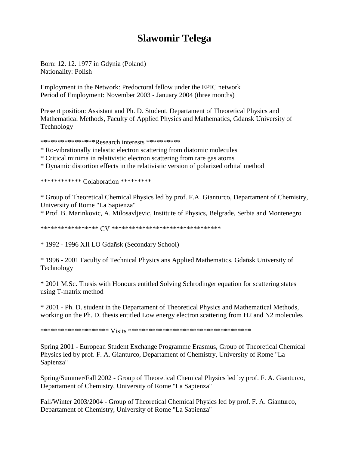# **Slawomir Telega**

Born: 12. 12. 1977 in Gdynia (Poland) Nationality: Polish

Employment in the Network: Predoctoral fellow under the EPIC network Period of Employment: November 2003 - January 2004 (three months)

Present position: Assistant and Ph. D. Student, Departament of Theoretical Physics and Mathematical Methods, Faculty of Applied Physics and Mathematics, Gdansk University of Technology

\*\*\*\*\*\*\*\*\*\*\*\*\*\*\*\*Research interests \*\*\*\*\*\*\*\*\*\*\*

\* Ro-vibrationally inelastic electron scattering from diatomic molecules

\* Critical minima in relativistic electron scattering from rare gas atoms

\* Dynamic distortion effects in the relativistic version of polarized orbital method

\*\*\*\*\*\*\*\*\*\*\*\* Colaboration \*\*\*\*\*\*\*\*\*

\* Group of Theoretical Chemical Physics led by prof. F.A. Gianturco, Departament of Chemistry, University of Rome "La Sapienza"

\* Prof. B. Marinkovic, A. Milosavljevic, Institute of Physics, Belgrade, Serbia and Montenegro

\*\*\*\*\*\*\*\*\*\*\*\*\*\*\*\*\* CV \*\*\*\*\*\*\*\*\*\*\*\*\*\*\*\*\*\*\*\*\*\*\*\*\*\*\*\*\*\*\*\*

\* 1992 - 1996 XII LO Gdañsk (Secondary School)

\* 1996 - 2001 Faculty of Technical Physics ans Applied Mathematics, Gdañsk University of Technology

\* 2001 M.Sc. Thesis with Honours entitled Solving Schrodinger equation for scattering states using T-matrix method

\* 2001 - Ph. D. student in the Departament of Theoretical Physics and Mathematical Methods, working on the Ph. D. thesis entitled Low energy electron scattering from H2 and N2 molecules

\*\*\*\*\*\*\*\*\*\*\*\*\*\*\*\*\*\*\*\* Visits \*\*\*\*\*\*\*\*\*\*\*\*\*\*\*\*\*\*\*\*\*\*\*\*\*\*\*\*\*\*\*\*\*\*\*\*

Spring 2001 - European Student Exchange Programme Erasmus, Group of Theoretical Chemical Physics led by prof. F. A. Gianturco, Departament of Chemistry, University of Rome "La Sapienza"

Spring/Summer/Fall 2002 - Group of Theoretical Chemical Physics led by prof. F. A. Gianturco, Departament of Chemistry, University of Rome "La Sapienza"

Fall/Winter 2003/2004 - Group of Theoretical Chemical Physics led by prof. F. A. Gianturco, Departament of Chemistry, University of Rome "La Sapienza"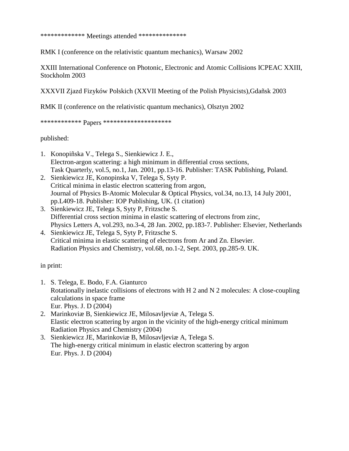\*\*\*\*\*\*\*\*\*\*\*\*\* Meetings attended \*\*\*\*\*\*\*\*\*\*\*\*\*\*

RMK I (conference on the relativistic quantum mechanics), Warsaw 2002

XXIII International Conference on Photonic, Electronic and Atomic Collisions ICPEAC XXIII, Stockholm 2003

XXXVII Zjazd Fizyków Polskich (XXVII Meeting of the Polish Physicists),Gdañsk 2003

RMK II (conference on the relativistic quantum mechanics), Olsztyn 2002

\*\*\*\*\*\*\*\*\*\*\*\* Papers \*\*\*\*\*\*\*\*\*\*\*\*\*\*\*\*\*\*\*\*

published:

- 1. Konopiñska V., Telega S., Sienkiewicz J. E., Electron-argon scattering: a high minimum in differential cross sections, Task Quarterly, vol.5, no.1, Jan. 2001, pp.13-16. Publisher: TASK Publishing, Poland.
- 2. Sienkiewicz JE, Konopinska V, Telega S, Syty P. Critical minima in elastic electron scattering from argon, Journal of Physics B-Atomic Molecular & Optical Physics, vol.34, no.13, 14 July 2001, pp.L409-18. Publisher: IOP Publishing, UK. (1 citation)
- 3. Sienkiewicz JE, Telega S, Syty P, Fritzsche S. Differential cross section minima in elastic scattering of electrons from zinc, Physics Letters A, vol.293, no.3-4, 28 Jan. 2002, pp.183-7. Publisher: Elsevier, Netherlands
- 4. Sienkiewicz JE, Telega S, Syty P, Fritzsche S. Critical minima in elastic scattering of electrons from Ar and Zn. Elsevier. Radiation Physics and Chemistry, vol.68, no.1-2, Sept. 2003, pp.285-9. UK.

in print:

- 1. S. Telega, E. Bodo, F.A. Gianturco Rotationally inelastic collisions of electrons with H 2 and N 2 molecules: A close-coupling calculations in space frame Eur. Phys. J. D (2004)
- 2. Marinkoviæ B, Sienkiewicz JE, Milosavljeviæ A, Telega S. Elastic electron scattering by argon in the vicinity of the high-energy critical minimum Radiation Physics and Chemistry (2004)
- 3. Sienkiewicz JE, Marinkoviæ B, Milosavljeviæ A, Telega S. The high-energy critical minimum in elastic electron scattering by argon Eur. Phys. J. D (2004)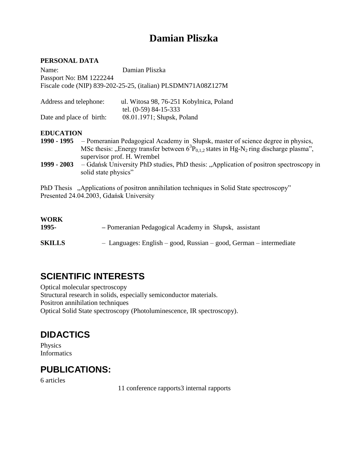# **Damian Pliszka**

#### **PERSONAL DATA**

| Name:                                                        | Damian Pliszka                          |  |
|--------------------------------------------------------------|-----------------------------------------|--|
| Passport No: BM 1222244                                      |                                         |  |
| Fiscale code (NIP) 839-202-25-25, (italian) PLSDMN71A08Z127M |                                         |  |
|                                                              |                                         |  |
| Address and telephone:                                       | ul. Witosa 98, 76-251 Kobylnica, Poland |  |
|                                                              | tel. (0-59) 84-15-333                   |  |
| Date and place of birth:                                     | 08.01.1971; Słupsk, Poland              |  |

#### **EDUCATION**

| 1990 - 1995        | - Pomeranian Pedagogical Academy in Słupsk, master of science degree in physics,                          |
|--------------------|-----------------------------------------------------------------------------------------------------------|
|                    | MSc thesis: "Energy transfer between $6^{3}P_{0,1,2}$ states in Hg-N <sub>2</sub> ring discharge plasma", |
|                    | supervisor prof. H. Wrembel                                                                               |
| 1000<br><b>MAN</b> | Capital University DLD studies DLD theories Application of negligen graphysecours:                        |

**1999 - 2003** – Gdańsk University PhD studies, PhD thesis: "Application of positron spectroscopy in solid state physics"

PhD Thesis "Applications of positron annihilation techniques in Solid State spectroscopy" Presented 24.04.2003, Gdańsk University

| <b>WORK</b><br>1995- | - Pomeranian Pedagogical Academy in Słupsk, assistant              |
|----------------------|--------------------------------------------------------------------|
| <b>SKILLS</b>        | - Languages: English – good, Russian – good, German – intermediate |

# **SCIENTIFIC INTERESTS**

Optical molecular spectroscopy Structural research in solids, especially semiconductor materials. Positron annihilation techniques Optical Solid State spectroscopy (Photoluminescence, IR spectroscopy).

# **DIDACTICS**

Physics Informatics

# **PUBLICATIONS:**

6 articles

11 conference rapports3 internal rapports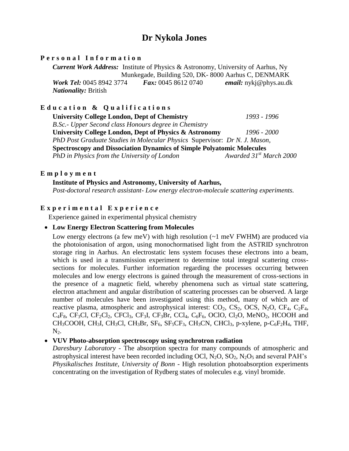## **Dr Nykola Jones**

#### **P e r s o n a l I n f o r m a t i o n**

*Current Work Address:* Institute of Physics & Astronomy, University of Aarhus, Ny Munkegade, Building 520, DK- 8000 Aarhus C, DENMARK *Work Tel:* 0045 8942 3774 *Fax:* 0045 8612 0740 *email:* nykj@phys.au.dk *Nationality:* British

#### **E d u c a t i o n & Q u a l i f i c a t i o n s**

**University College London, Dept of Chemistry** *1993 - 1996 B.Sc.- Upper Second class Honours degree in Chemistry*  **University College London, Dept of Physics & Astronomy** *1996 - 2000 PhD Post Graduate Studies in Molecular Physics* Supervisor: *Dr N. J. Mason,* **Spectroscopy and Dissociation Dynamics of Simple Polyatomic Molecules** *PhD in Physics from the University of London Awarded 31<sup>st</sup> March 2000* 

#### **E m p l o y m e n t**

#### **Institute of Physics and Astronomy, University of Aarhus,**

*Post-doctoral research assistant- Low energy electron-molecule scattering experiments.*

#### **E x p e r i m e n t a l E x p e r i e n c e**

Experience gained in experimental physical chemistry

#### **Low Energy Electron Scattering from Molecules**

Low energy electrons (a few meV) with high resolution  $(-1 \text{ meV FWHM})$  are produced via the photoionisation of argon, using monochormatised light from the ASTRID synchrotron storage ring in Aarhus. An electrostatic lens system focuses these electrons into a beam, which is used in a transmission experiment to determine total integral scattering crosssections for molecules. Further information regarding the processes occurring between molecules and low energy electrons is gained through the measurement of cross-sections in the presence of a magnetic field, whereby phenomena such as virtual state scattering, electron attachment and angular distribution of scattering processes can be observed. A large number of molecules have been investigated using this method, many of which are of reactive plasma, atmospheric and astrophysical interest:  $CO_2$ ,  $CS_2$ ,  $OCS$ ,  $N_2O$ ,  $CF_4$ ,  $C_2F_4$ ,  $C_4F_8$ , CF<sub>3</sub>Cl, CF<sub>2</sub>Cl<sub>2</sub>, CFCl<sub>3</sub>, CF<sub>3</sub>I, CF<sub>3</sub>Br, CCl<sub>4</sub>, C<sub>6</sub>F<sub>6</sub>, OClO, Cl<sub>2</sub>O, MeNO<sub>2</sub>, HCOOH and CH<sub>3</sub>COOH, CH<sub>3</sub>I, CH<sub>3</sub>Cl, CH<sub>3</sub>Br, SF<sub>6</sub>, SF<sub>5</sub>CF<sub>3</sub>, CH<sub>3</sub>CN, CHCl<sub>3</sub>, p-xylene, p-C<sub>6</sub>F<sub>2</sub>H<sub>4</sub>, THF,  $N<sub>2</sub>$ .

#### **VUV Photo-absorption spectroscopy using synchrotron radiation**

*Daresbury Laboratory -* The absorption spectra for many compounds of atmospheric and astrophysical interest have been recorded including OCl,  $N_2O$ ,  $SO_2$ ,  $N_2O_5$  and several PAH's *Physikalisches Institute, University of Bonn -* High resolution photoabsorption experiments concentrating on the investigation of Rydberg states of molecules e.g. vinyl bromide.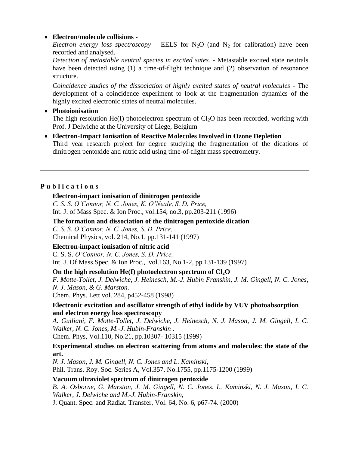#### **Electron/molecule collisions -**

*Electron energy loss spectroscopy* – EELS for  $N_2O$  (and  $N_2$  for calibration) have been recorded and analysed.

*Detection of metastable neutral species in excited sates.* - Metastable excited state neutrals have been detected using (1) a time-of-flight technique and (2) observation of resonance structure.

*Coincidence studies of the dissociation of highly excited states of neutral molecules* - The development of a coincidence experiment to look at the fragmentation dynamics of the highly excited electronic states of neutral molecules.

#### **Photoionisation**

The high resolution He(I) photoelectron spectrum of  $Cl<sub>2</sub>O$  has been recorded, working with Prof. J Delwiche at the University of Liege, Belgium

 **Electron-Impact Ionisation of Reactive Molecules Involved in Ozone Depletion** Third year research project for degree studying the fragmentation of the dications of dinitrogen pentoxide and nitric acid using time-of-flight mass spectrometry.

#### **P u b l i c a t i o n s**

#### **Electron-impact ionisation of dinitrogen pentoxide**

*C. S. S. O'Connor, N. C. Jones, K. O'Neale, S. D. Price,*  Int. J. of Mass Spec. & Ion Proc., vol.154, no.3, pp.203-211 (1996)

**The formation and dissociation of the dinitrogen pentoxide dication**

*C. S. S. O'Connor, N. C. Jones, S. D. Price,* 

Chemical Physics, vol. 214, No.1, pp.131-141 (1997)

#### **Electron-impact ionisation of nitric acid**

C. S. S. *O'Connor, N. C. Jones, S. D. Price,*  Int. J. Of Mass Spec. & Ion Proc., vol.163, No.1-2, pp.131-139 (1997)

#### **On the high resolution He(I) photoelectron spectrum of Cl2O**

*F. Motte-Tollet, J. Delwiche, J. Heinesch, M.-J. Hubin Franskin, J. M. Gingell, N. C. Jones, N. J. Mason, & G. Marston.* 

Chem. Phys. Lett vol. 284, p452-458 (1998)

#### **Electronic excitation and oscillator strength of ethyl iodide by VUV photoabsorption and electron energy loss spectroscopy**

*A. Guiliani, F. Motte-Tollet, J. Delwiche, J. Heinesch, N. J. Mason, J. M. Gingell, I. C. Walker, N. C. Jones, M.-J. Hubin-Franskin* .

Chem. Phys, Vol.110, No.21, pp.10307- 10315 (1999)

#### **Experimental studies on electron scattering from atoms and molecules: the state of the art.**

*N. J. Mason, J. M. Gingell, N. C. Jones and L. Kaminski,* Phil. Trans. Roy. Soc. Series A, Vol.357, No.1755, pp.1175-1200 (1999)

#### **Vacuum ultraviolet spectrum of dinitrogen pentoxide**

*B. A. Osborne, G. Marston, J. M. Gingell, N. C. Jones, L. Kaminski, N. J. Mason, I. C. Walker, J. Delwiche and M.-J. Hubin-Franskin,*

J. Quant. Spec. and Radiat. Transfer, Vol. 64, No. 6, p67-74. (2000)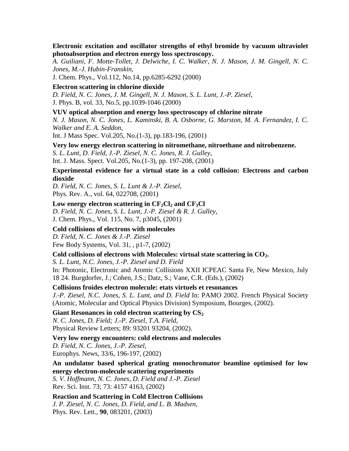**Electronic excitation and oscillator strengths of ethyl bromide by vacuum ultraviolet photoabsorption and electron energy loss spectroscopy.** 

*A. Guiliani, F. Motte-Tollet, J. Delwiche, I. C. Walker, N. J. Mason, J. M. Gingell, N. C. Jones, M.-J. Hubin-Franskin,* 

J. Chem. Phys., Vol.112, No.14, pp.6285-6292 (2000)

#### **Electron scattering in chlorine dioxide**

*D. Field, N. C. Jones, J. M. Gingell, N. J. Mason, S. L. Lunt, J.-P. Ziesel*, J. Phys. B, vol. 33, No.5, pp.1039-1046 (2000)

#### **VUV optical absorption and energy loss spectroscopy of chlorine nitrate**

*N. J. Mason, N. C. Jones, L. Kaminski, B. A. Osborne, G. Marston, M. A. Fernandez, I. C. Walker and E. A. Seddon,*

Int. J Mass Spec. Vol.205, No.(1-3), pp.183-196, (2001)

#### **Very low energy electron scattering in nitromethane, nitroethane and nitrobenzene.**

*S. L. Lunt, D. Field, J.-P. Ziesel, N. C. Jones, R. J. Gulley*, Int. J. Mass. Spect. Vol.205, No.(1-3), pp. 197-208, (2001)

#### **Experimental evidence for a virtual state in a cold collision: Electrons and carbon dioxide**

*D. Field, N. C. Jones, S. L. Lunt & J.-P. Ziesel*, Phys. Rev. A., vol. 64, 022708, (2001)

#### Low energy electron scattering in  $CF_2Cl_2$  and  $CF_3Cl$

*D. Field, N. C. Jones, S. L. Lunt, J.-P. Ziesel & R. J. Gulley*,

J. Chem. Phys., Vol. 115, No. 7, p3045, (2001)

#### **Cold collisions of electrons with molecules**

*D. Field, N. C. Jones & J.-P. Ziesel* Few Body Systems, Vol. 31, , p1-7, (2002)

#### **Cold collisions of electrons with Molecules: virtual state scattering in CO2.**

*S. L. Lunt, N.C. Jones, J.-P. Ziesel and D. Field* 

In: Photonic, Electronic and Atomic Collisions XXII ICPEAC Santa Fe, New Mexico, July 18 24. Burgdorfer, J.; Cohen, J.S.; Datz, S.; Vane, C.R. (Eds.), (2002)

#### **Collisions froides electron molecule: etats virtuels et resonances**

*J.-P. Ziesel, N.C. Jones, S. L. Lunt, and D. Field* In: PAMO 2002. French Physical Society (Atomic, Molecular and Optical Physics Division) Symposium, Bourges, (2002).

#### **Giant Resonances in cold electron scattering by CS<sup>2</sup>**

*N. C. Jones, D. Field; J.-P. Ziesel, T.A. Field,* Physical Review Letters; 89: 93201 93204, (2002).

#### **Very low energy encounters: cold electrons and molecules**

*D. Field, N. C. Jones, J.-P. Ziesel,*  Europhys. News, 33/6, 196-197, (2002)

#### **An undulator based spherical grating monochromator beamline optimised for low energy electron-molecule scattering experiments**

*S. V. Hoffmann, N. C. Jones, D. Field and J.-P. Ziesel* Rev. Sci. Inst. 73; 73: 4157 4163, (2002)

#### **Reaction and Scattering in Cold Electron Collisions**

*J. P. Ziesel, N. C. Jones, D. Field, and L. B. Madsen,*  Phys. Rev. Lett., **90**, 083201, (2003)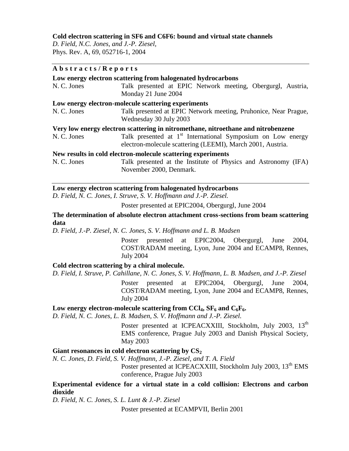#### **Cold electron scattering in SF6 and C6F6: bound and virtual state channels**

*D. Field, N.C. Jones, and J.-P. Ziesel,* Phys. Rev. A, 69, 052716-1, 2004

#### **A b s t r a c t s / R e p o r t s**

|             | Low energy electron scattering from halogenated hydrocarbons                                                                          |
|-------------|---------------------------------------------------------------------------------------------------------------------------------------|
| N. C. Jones | Talk presented at EPIC Network meeting, Obergurgl, Austria,                                                                           |
|             | Monday 21 June 2004                                                                                                                   |
|             | Low energy electron-molecule scattering experiments                                                                                   |
| N. C. Jones | Talk presented at EPIC Network meeting, Pruhonice, Near Prague,<br>Wednesday 30 July 2003                                             |
|             | Very low energy electron scattering in nitromethane, nitroethane and nitrobenzene                                                     |
| N. C. Jones | Talk presented at 1 <sup>st</sup> International Symposium on Low energy<br>electron-molecule scattering (LEEMI), March 2001, Austria. |
|             | New results in cold electron-molecule scattering experiments                                                                          |
| N. C. Jones | Talk presented at the Institute of Physics and Astronomy (IFA)<br>November 2000, Denmark.                                             |

#### **Low energy electron scattering from halogenated hydrocarbons**

*D. Field, N. C. Jones, I. Struve, S. V. Hoffmann and J.-P. Ziesel.*

Poster presented at EPIC2004, Obergurgl, June 2004

**The determination of absolute electron attachment cross-sections from beam scattering data**

*D. Field, J.-P. Ziesel, N. C. Jones, S. V. Hoffmann and L. B. Madsen*

Poster presented at EPIC2004, Obergurgl, June 2004, COST/RADAM meeting, Lyon, June 2004 and ECAMP8, Rennes, July 2004

#### **Cold electron scattering by a chiral molecule.**

*D. Field, I. Struve, P. Cahillane, N. C. Jones, S. V. Hoffmann, L. B. Madsen, and J.-P. Ziesel*

Poster presented at EPIC2004, Obergurgl, June 2004, COST/RADAM meeting, Lyon, June 2004 and ECAMP8, Rennes, July 2004

#### Low energy electron-molecule scattering from  $\text{CCI}_4$ ,  $\text{SF}_6$  and  $\text{C}_6\text{F}_6$ .

*D. Field, N. C. Jones, L. B. Madsen, S. V. Hoffmann and J.-P. Ziesel.*

Poster presented at ICPEACXXIII, Stockholm, July 2003, 13<sup>th</sup> EMS conference, Prague July 2003 and Danish Physical Society, May 2003

#### Giant resonances in cold electron scattering by  $CS_2$

*N. C. Jones, D. Field, S. V. Hoffmann, J.-P. Ziesel, and T. A. Field* Poster presented at ICPEACXXIII, Stockholm July 2003, 13<sup>th</sup> EMS conference, Prague July 2003

#### **Experimental evidence for a virtual state in a cold collision: Electrons and carbon dioxide**

*D. Field, N. C. Jones, S. L. Lunt & J.-P. Ziesel*

Poster presented at ECAMPVII, Berlin 2001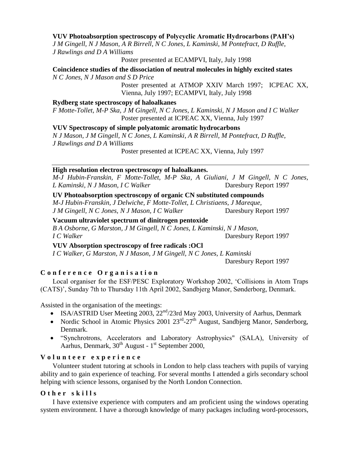#### **VUV Photoabsorption spectroscopy of Polycyclic Aromatic Hydrocarbons (PAH's)**

*J M Gingell, N J Mason, A R Birrell, N C Jones, L Kaminski, M Pontefract, D Ruffle, J Rawlings and D A Williams*

Poster presented at ECAMPVI, Italy, July 1998

**Coincidence studies of the dissociation of neutral molecules in highly excited states** *N C Jones, N J Mason and S D Price*

> Poster presented at ATMOP XXIV March 1997; ICPEAC XX, Vienna, July 1997; ECAMPVI, Italy, July 1998

#### **Rydberg state spectroscopy of haloalkanes**

*F Motte-Tollet, M-P Ska, J M Gingell, N C Jones, L Kaminski, N J Mason and I C Walker* Poster presented at ICPEAC XX, Vienna, July 1997

#### **VUV Spectroscopy of simple polyatomic aromatic hydrocarbons**

*N J Mason, J M Gingell, N C Jones, L Kaminski, A R Birrell, M Pontefract, D Ruffle, J Rawlings and D A Williams*

Poster presented at ICPEAC XX, Vienna, July 1997

#### **High resolution electron spectroscopy of haloalkanes.**

*M-J Hubin-Franskin, F Motte-Tollet, M-P Ska, A Giuliani, J M Gingell, N C Jones, L Kaminski, N J Mason, I C Walker* Daresbury Report 1997

**UV Photoabsorption spectroscopy of organic CN substituted compounds** *M-J Hubin-Franskin, J Delwiche, F Motte-Tollet, L Christiaens, J Mareque, J M Gingell, N C Jones, N J Mason, I C Walker* Daresbury Report 1997

**Vacuum ultraviolet spectrum of dinitrogen pentoxide**

*B A Osborne, G Marston, J M Gingell, N C Jones, L Kaminski, N J Mason, I C Walker* Daresbury Report 1997

#### **VUV Absorption spectroscopy of free radicals :OCl**

*I C Walker, G Marston, N J Mason, J M Gingell, N C Jones, L Kaminski* 

Daresbury Report 1997

#### **C o n f e r e n c e O r g a n i s a t i o n**

Local organiser for the ESF/PESC Exploratory Workshop 2002, 'Collisions in Atom Traps (CATS)', Sunday 7th to Thursday 11th April 2002, Sandbjerg Manor, Sønderborg, Denmark.

Assisted in the organisation of the meetings:

- ISA/ASTRID User Meeting 2003,  $22<sup>nd</sup>/23$ rd May 2003, University of Aarhus, Denmark
- Nordic School in Atomic Physics 2001  $23<sup>rd</sup>$ -27<sup>th</sup> August, Sandbjerg Manor, Sønderborg, Denmark.
- "Synchrotrons, Accelerators and Laboratory Astrophysics" (SALA), University of Aarhus, Denmark, 30<sup>th</sup> August - 1<sup>st</sup> September 2000,

#### **V o l u n t e e r e x p e r i e n c e**

Volunteer student tutoring at schools in London to help class teachers with pupils of varying ability and to gain experience of teaching. For several months I attended a girls secondary school helping with science lessons, organised by the North London Connection.

#### **O t h e r s k i l l s**

I have extensive experience with computers and am proficient using the windows operating system environment. I have a thorough knowledge of many packages including word-processors,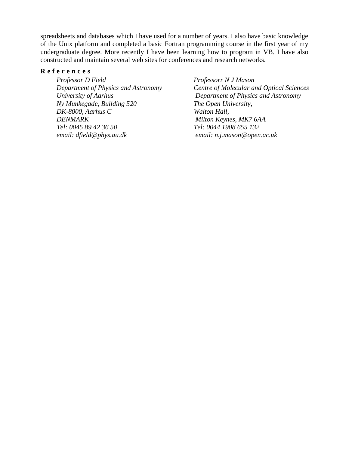spreadsheets and databases which I have used for a number of years. I also have basic knowledge of the Unix platform and completed a basic Fortran programming course in the first year of my undergraduate degree. More recently I have been learning how to program in VB. I have also constructed and maintain several web sites for conferences and research networks.

#### **R e f e r e n c e s**

*Professor D Field Department of Physics and Astronomy University of Aarhus Ny Munkegade, Building 520 DK-8000, Aarhus C DENMARK Tel: 0045 89 42 36 50 email: dfield@phys.au.dk*

*Professorr N J Mason Centre of Molecular and Optical Sciences Department of Physics and Astronomy The Open University, Walton Hall, Milton Keynes, MK7 6AA Tel: 0044 1908 655 132 email: n.j.mason@open.ac.uk*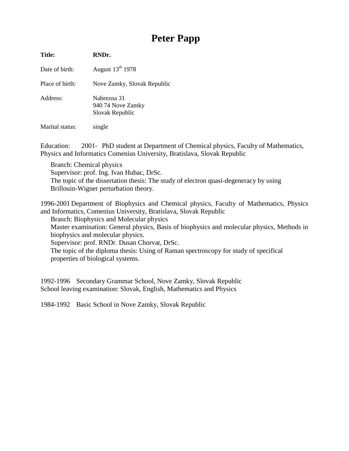# **Peter Papp**

**Title: RNDr.** Date of birth: August  $13<sup>th</sup> 1978$ Place of birth: Nove Zamky, Slovak Republic Address: Nabrezna 31 940 74 Nove Zamky Slovak Republic

Marital status: single

Education: 2001- PhD student at Department of Chemical physics, Faculty of Mathematics, Physics and Informatics Comenius University, Bratislava, Slovak Republic

Branch: Chemical physics Supervisor: prof. Ing. Ivan Hubac, DrSc. The topic of the dissertation thesis: The study of electron quasi-degeneracy by using Brillouin-Wigner perturbation theory.

1996-2001 Department of Biophysics and Chemical physics, Faculty of Mathematics, Physics and Informatics, Comenius University, Bratislava, Slovak Republic

Branch: Biophysics and Molecular physics

Master examination: General physics, Basis of biophysics and molecular physics, Methods in biophysics and molecular physics.

Supervisor: prof. RNDr. Dusan Chorvat, DrSc.

The topic of the diploma thesis: Using of Raman spectroscopy for study of specifical properties of biological systems.

1992-1996 Secondary Grammar School, Nove Zamky, Slovak Republic School leaving examination: Slovak, English, Mathematics and Physics

1984-1992 Basic School in Nove Zamky, Slovak Republic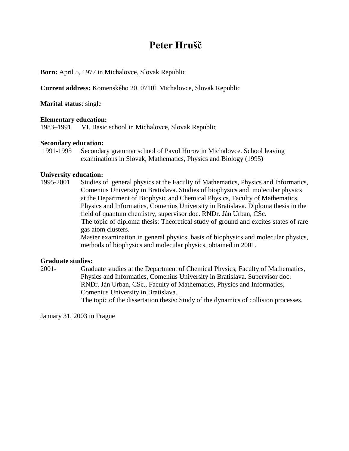## **Peter Hrušč**

#### **Born:** April 5, 1977 in Michalovce, Slovak Republic

**Current address:** Komenského 20, 07101 Michalovce, Slovak Republic

**Marital status**: single

#### **Elementary education:**

1983–1991 VI. Basic school in Michalovce, Slovak Republic

# **Secondary education:**<br>1991-1995 Secondar

Secondary grammar school of Pavol Horov in Michalovce. School leaving examinations in Slovak, Mathematics, Physics and Biology (1995)

#### **University education:**

1995-2001 Studies of general physics at the Faculty of Mathematics, Physics and Informatics, Comenius University in Bratislava. Studies of biophysics and molecular physics at the Department of Biophysic and Chemical Physics, Faculty of Mathematics, Physics and Informatics, Comenius University in Bratislava. Diploma thesis in the field of quantum chemistry, supervisor doc. RNDr. Ján Urban, CSc. The topic of diploma thesis: Theoretical study of ground and excites states of rare gas atom clusters. Master examination in general physics, basis of biophysics and molecular physics, methods of biophysics and molecular physics, obtained in 2001.

#### **Graduate studies:**

2001- Graduate studies at the Department of Chemical Physics, Faculty of Mathematics, Physics and Informatics, Comenius University in Bratislava. Supervisor doc. RNDr. Ján Urban, CSc., Faculty of Mathematics, Physics and Informatics, Comenius University in Bratislava. The topic of the dissertation thesis: Study of the dynamics of collision processes.

January 31, 2003 in Prague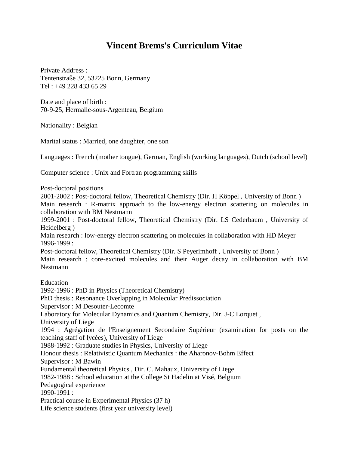### **Vincent Brems's Curriculum Vitae**

Private Address : Tentenstraße 32, 53225 Bonn, Germany Tel : +49 228 433 65 29

Date and place of birth : 70-9-25, Hermalle-sous-Argenteau, Belgium

Nationality : Belgian

Marital status : Married, one daughter, one son

Languages : French (mother tongue), German, English (working languages), Dutch (school level)

Computer science : Unix and Fortran programming skills

Post-doctoral positions

2001-2002 : Post-doctoral fellow, Theoretical Chemistry (Dir. H Köppel , University of Bonn ) Main research : R-matrix approach to the low-energy electron scattering on molecules in collaboration with BM Nestmann

1999-2001 : Post-doctoral fellow, Theoretical Chemistry (Dir. LS Cederbaum , University of Heidelberg )

Main research : low-energy electron scattering on molecules in collaboration with HD Meyer 1996-1999 :

Post-doctoral fellow, Theoretical Chemistry (Dir. S Peyerimhoff , University of Bonn ) Main research : core-excited molecules and their Auger decay in collaboration with BM Nestmann

Education

1992-1996 : PhD in Physics (Theoretical Chemistry) PhD thesis : Resonance Overlapping in Molecular Predissociation Supervisor : M Desouter-Lecomte Laboratory for Molecular Dynamics and Quantum Chemistry, Dir. J-C Lorquet , University of Liege 1994 : Agrégation de l'Enseignement Secondaire Supérieur (examination for posts on the teaching staff of lycées), University of Liege 1988-1992 : Graduate studies in Physics, University of Liege Honour thesis : Relativistic Quantum Mechanics : the Aharonov-Bohm Effect Supervisor : M Bawin Fundamental theoretical Physics , Dir. C. Mahaux, University of Liege 1982-1988 : School education at the College St Hadelin at Visé, Belgium Pedagogical experience 1990-1991 : Practical course in Experimental Physics (37 h) Life science students (first year university level)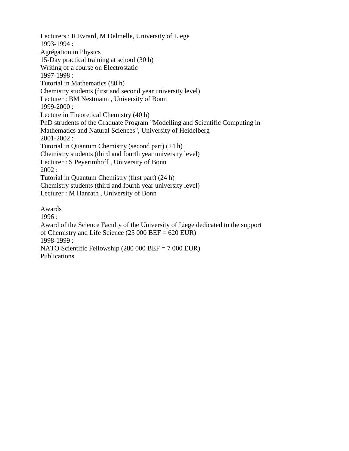Lecturers : R Evrard, M Delmelle, University of Liege 1993-1994 : Agrégation in Physics 15-Day practical training at school (30 h) Writing of a course on Electrostatic 1997-1998 : Tutorial in Mathematics (80 h) Chemistry students (first and second year university level) Lecturer : BM Nestmann , University of Bonn 1999-2000 : Lecture in Theoretical Chemistry (40 h) PhD strudents of the Graduate Program "Modelling and Scientific Computing in Mathematics and Natural Sciences", University of Heidelberg 2001-2002 : Tutorial in Quantum Chemistry (second part) (24 h) Chemistry students (third and fourth year university level) Lecturer : S Peyerimhoff , University of Bonn 2002 : Tutorial in Quantum Chemistry (first part) (24 h) Chemistry students (third and fourth year university level) Lecturer : M Hanrath , University of Bonn Awards 1996 : Award of the Science Faculty of the University of Liege dedicated to the support

of Chemistry and Life Science  $(25 000 \text{ BEF} = 620 \text{ EUR})$ 

1998-1999 :

NATO Scientific Fellowship (280 000 BEF = 7 000 EUR) Publications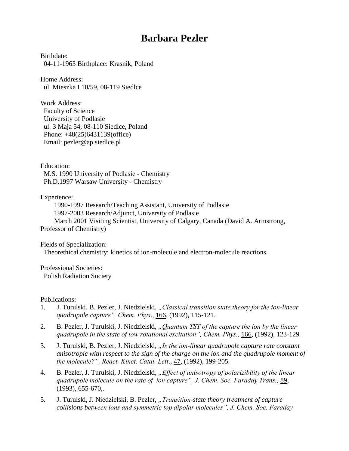### **Barbara Pezler**

Birthdate: 04-11-1963 Birthplace: Krasnik, Poland

Home Address: ul. Mieszka I 10/59, 08-119 Siedlce

Work Address: Faculty of Science University of Podlasie ul. 3 Maja 54, 08-110 Siedlce, Poland Phone: +48(25)6431139(office) Email: pezler@ap.siedlce.pl

Education:

 M.S. 1990 University of Podlasie - Chemistry Ph.D.1997 Warsaw University - Chemistry

Experience:

 1990-1997 Research/Teaching Assistant, University of Podlasie 1997-2003 Research/Adjunct, University of Podlasie March 2001 Visiting Scientist, University of Calgary, Canada (David A. Armstrong, Professor of Chemistry)

Fields of Specialization:

Theorethical chemistry: kinetics of ion-molecule and electron-molecule reactions.

Professional Societies: Polish Radiation Society

Publications:

- 1. J. Turulski, B. Pezler, J. Niedzielski, *"Classical transition state theory for the ion-linear quadrupole capture", Chem. Phys*., 166, (1992), 115-121.
- 2. B. Pezler, J. Turulski, J. Niedzielski, "Quantum TST of the capture the ion by the linear *quadrupole in the state of low rotational excitation", Chem. Phys.,* 166, (1992), 123-129*.*
- 3. J. Turulski, B. Pezler, J. Niedzielski, *"Is the ion-linear quadrupole capture rate constant anisotropic with respect to the sign of the charge on the ion and the quadrupole moment of the molecule?", React. Kinet. Catal. Lett*., 47, (1992), 199-205*.*
- 4. B. Pezler, J. Turulski, J. Niedzielski, "*Effect of anisotropy of polarizibility of the linear quadrupole molecule on the rate of ion capture", J. Chem. Soc. Faraday Trans.,* 89, (1993), 655-670,*.*
- 5. J. Turulski, J. Niedzielski, B. Pezler, *"Transition-state theory treatment of capture collisions between ions and symmetric top dipolar molecules", J. Chem. Soc. Faraday*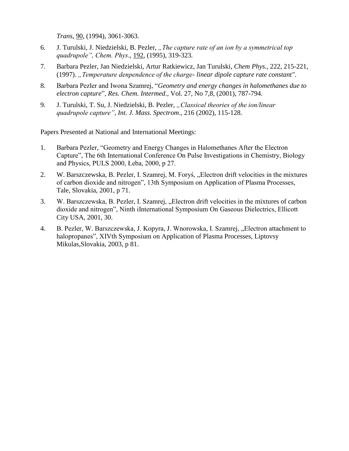*Trans*, 90, (1994), 3061-3063.

- 6. J. Turulski, J. Niedzielski, B. Pezler, *"The capture rate of an ion by a symmetrical top quadrupole", Chem. Phys*., 192, (1995), 319-323*.*
- 7. Barbara Pezler, Jan Niedzielski, Artur Ratkiewicz, Jan Turulski, *Chem Phys*., 222, 215-221, (1997). *"Temperature denpendence of the charge- linear dipole capture rate constant"*.
- 8. Barbara Pezler and Iwona Szamrej, "*Geometry and energy changes in halomethanes due to electron capture*", *Res. Chem. Intermed*., Vol. 27, No 7,8, (2001), 787-794.
- 9. J. Turulski, T. Su, J. Niedzielski, B. Pezler, *"Classical theories of the ion/linear quadrupole capture"*, *Int. J. Mass. Spectrom*., 216 (2002), 115-128.

Papers Presented at National and International Meetings:

- 1. Barbara Pezler, "Geometry and Energy Changes in Halomethanes After the Electron Capture", The 6th International Conference On Pulse Investigations in Chemistry, Biology and Physics, PULS 2000, Łeba, 2000, p 27.
- 2. W. Barszczewska, B. Pezler, I. Szamrej, M. Foryś, "Electron drift velocities in the mixtures of carbon dioxide and nitrogen", 13th Symposium on Application of Plasma Processes, Tale, Slovakia, 2001, p 71.
- 3. W. Barszczewska, B. Pezler, I. Szamrej, "Electron drift velocities in the mixtures of carbon dioxide and nitrogen", Ninth iInternational Symposium On Gaseous Dielectrics, Ellicott City USA, 2001, 30.
- 4. B. Pezler, W. Barszczewska, J. Kopyra, J. Wnorowska, I. Szamrej, "Electron attachment to halopropanes", XIVth Symposium on Application of Plasma Processes, Liptovsy Mikulas,Slovakia, 2003, p 81.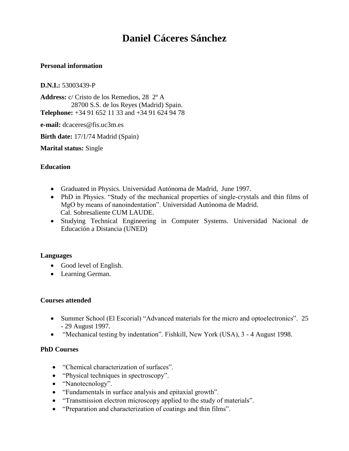### **Daniel Cáceres Sánchez**

#### **Personal information**

#### **D.N.I.:** 53003439-P

**Address:** c/ Cristo de los Remedios, 28 2º A 28700 S.S. de los Reyes (Madrid) Spain. **Telephone:** +34 91 652 11 33 and +34 91 624 94 78

**e-mail:** dcaceres@fis.uc3m.es

**Birth date:** 17/1/74 Madrid (Spain)

**Marital status:** Single

#### **Education**

- Graduated in Physics. Universidad Autónoma de Madrid, June 1997.
- PhD in Physics. "Study of the mechanical properties of single-crystals and thin films of MgO by means of nanoindentation". Universidad Autónoma de Madrid. Cal. Sobresaliente CUM LAUDE.
- Studying Technical Engineering in Computer Systems. Universidad Nacional de Educación a Distancia (UNED)

#### **Languages**

- Good level of English.
- Learning German.

#### **Courses attended**

- Summer School (El Escorial) "Advanced materials for the micro and optoelectronics". 25 - 29 August 1997.
- "Mechanical testing by indentation". Fishkill, New York (USA), 3 4 August 1998.

#### **PhD Courses**

- "Chemical characterization of surfaces".
- "Physical techniques in spectroscopy".
- "Nanotecnology".
- "Fundamentals in surface analysis and epitaxial growth".
- "Transmission electron microscopy applied to the study of materials".
- "Preparation and characterization of coatings and thin films".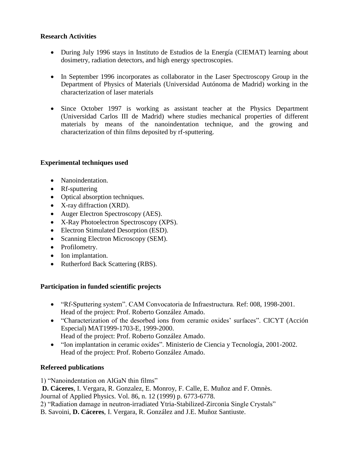#### **Research Activities**

- During July 1996 stays in Instituto de Estudios de la Energía (CIEMAT) learning about dosimetry, radiation detectors, and high energy spectroscopies.
- In September 1996 incorporates as collaborator in the Laser Spectroscopy Group in the Department of Physics of Materials (Universidad Autónoma de Madrid) working in the characterization of laser materials
- Since October 1997 is working as assistant teacher at the Physics Department (Universidad Carlos III de Madrid) where studies mechanical properties of different materials by means of the nanoindentation technique, and the growing and characterization of thin films deposited by rf-sputtering.

#### **Experimental techniques used**

- Nanoindentation.
- Rf-sputtering
- Optical absorption techniques.
- X-ray diffraction (XRD).
- Auger Electron Spectroscopy (AES).
- X-Ray Photoelectron Spectroscopy (XPS).
- Electron Stimulated Desorption (ESD).
- Scanning Electron Microscopy (SEM).
- Profilometry.
- Ion implantation.
- Rutherford Back Scattering (RBS).

#### **Participation in funded scientific projects**

- "Rf-Sputtering system". CAM Convocatoria de Infraestructura. Ref: 008, 1998-2001. Head of the project: Prof. Roberto González Amado.
- "Characterization of the desorbed ions from ceramic oxides' surfaces". CICYT (Acción Especial) MAT1999-1703-E, 1999-2000. Head of the project: Prof. Roberto González Amado.
- "Ion implantation in ceramic oxides". Ministerio de Ciencia y Tecnología, 2001-2002. Head of the project: Prof. Roberto González Amado.

#### **Refereed publications**

1) "Nanoindentation on AlGaN thin films"

**D. Cáceres**, I. Vergara, R. Gonzalez, E. Monroy, F. Calle, E. Muñoz and F. Omnès. Journal of Applied Physics. Vol. 86, n. 12 (1999) p. 6773-6778.

2) "Radiation damage in neutron-irradiated Ytria-Stabilized-Zirconia Single Crystals"

B. Savoini, **D. Cáceres**, I. Vergara, R. González and J.E. Muñoz Santiuste.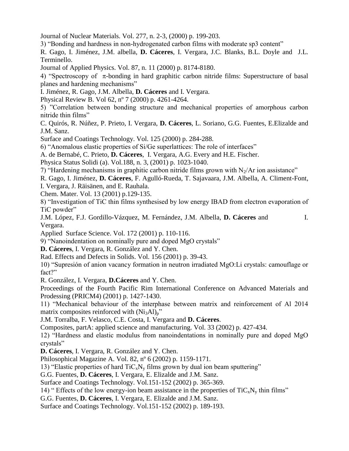Journal of Nuclear Materials. Vol. 277, n. 2-3, (2000) p. 199-203.

3) "Bonding and hardness in non-hydrogenated carbon films with moderate sp3 content"

R. Gago, I. Jiménez, J.M. albella, **D. Cáceres**, I. Vergara, J.C. Blanks, B.L. Doyle and J.L. Terminello.

Journal of Applied Physics. Vol. 87, n. 11 (2000) p. 8174-8180.

4) "Spectroscopy of  $\pi$ -bonding in hard graphitic carbon nitride films: Superstructure of basal planes and hardening mechanisms"

I. Jiménez, R. Gago, J.M. Albella, **D. Cáceres** and I. Vergara.

Physical Review B. Vol 62, nº 7 (2000) p. 4261-4264.

5) "Correlation between bonding structure and mechanical properties of amorphous carbon nitride thin films"

C. Quirós, R. Núñez, P. Prieto, I. Vergara, **D. Cáceres**, L. Soriano, G.G. Fuentes, E.Elizalde and J.M. Sanz.

Surface and Coatings Technology. Vol. 125 (2000) p. 284-288.

6) "Anomalous elastic properties of Si/Ge superlattices: The role of interfaces"

A. de Bernabé, C. Prieto, **D. Cáceres**, I. Vergara, A.G. Every and H.E. Fischer.

Physica Status Solidi (a). Vol.188, n. 3, (2001) p. 1023-1040.

7) "Hardening mechanisms in graphitic carbon nitride films grown with  $N_2/Ar$  ion assistance"

R. Gago, I. Jiménez, **D. Cáceres**, F. Agulló-Rueda, T. Sajavaara, J.M. Albella, A. Climent-Font,

I. Vergara, J. Räisänen, and E. Rauhala.

Chem. Mater. Vol. 13 (2001) p.129-135.

8) "Investigation of TiC thin films synthesised by low energy IBAD from electron evaporation of TiC powder"

J.M. López, F.J. Gordillo-Vázquez, M. Fernández, J.M. Albella, **D. Cáceres** and I. Vergara.

Applied Surface Science. Vol. 172 (2001) p. 110-116.

9) "Nanoindentation on nominally pure and doped MgO crystals"

**D. Cáceres**, I. Vergara, R. González and Y. Chen.

Rad. Effects and Defects in Solids. Vol. 156 (2001) p. 39-43.

10) "Supresión of anion vacancy formation in neutron irradiated MgO:Li crystals: camouflage or fact?"

R. González, I. Vergara, **D.Cáceres** and Y. Chen.

Proceedings of the Fourth Pacific Rim International Conference on Advanced Materials and Prodessing (PRICM4) (2001) p. 1427-1430.

11) "Mechanical behaviour of the interphase between matrix and reinforcement of Al 2014 matrix composites reinforced with  $(Ni<sub>3</sub>Al)<sub>p</sub>$ "

J.M. Torralba, F. Velasco, C.E. Costa, I. Vergara and **D. Cáceres**.

Composites, partA: applied science and manufacturing. Vol. 33 (2002) p. 427-434.

12) "Hardness and elastic modulus from nanoindentations in nominally pure and doped MgO crystals"

**D. Cáceres**, I. Vergara, R. González and Y. Chen.

Philosophical Magazine A. Vol. 82, nº 6 (2002) p. 1159-1171.

13) "Elastic properties of hard  $TiC_xN_y$  films grown by dual ion beam sputtering"

G.G. Fuentes, **D. Cáceres**, I. Vergara, E. Elizalde and J.M. Sanz.

Surface and Coatings Technology. Vol.151-152 (2002) p. 365-369.

14) " Effects of the low energy-ion beam assistance in the properties of  $TiC_xN_y$  thin films"

G.G. Fuentes, **D. Cáceres**, I. Vergara, E. Elizalde and J.M. Sanz.

Surface and Coatings Technology. Vol.151-152 (2002) p. 189-193.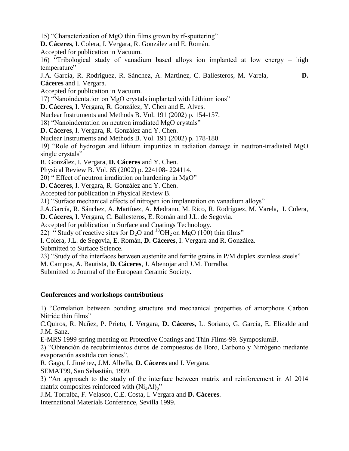15) "Characterization of MgO thin films grown by rf-sputtering"

**D. Cáceres**, I. Colera, I. Vergara, R. González and E. Román.

Accepted for publication in Vacuum.

16) "Tribological study of vanadium based alloys ion implanted at low energy – high temperature"

J.A. García, R. Rodriguez, R. Sánchez, A. Martinez, C. Ballesteros, M. Varela, **D. Cáceres** and I. Vergara.

Accepted for publication in Vacuum.

17) "Nanoindentation on MgO crystals implanted with Lithium ions"

**D. Cáceres**, I. Vergara, R. González, Y. Chen and E. Alves.

Nuclear Instruments and Methods B. Vol. 191 (2002) p. 154-157.

18) "Nanoindentation on neutron irradiated MgO crystals"

**D. Cáceres**, I. Vergara, R. González and Y. Chen.

Nuclear Instruments and Methods B. Vol. 191 (2002) p. 178-180.

19) "Role of hydrogen and lithium impurities in radiation damage in neutron-irradiated MgO single crystals"

R, González, I. Vergara, **D. Cáceres** and Y. Chen.

Physical Review B. Vol. 65 (2002) p. 224108- 224114.

20) " Effect of neutron irradiation on hardening in MgO"

**D. Cáceres**, I. Vergara, R. González and Y. Chen.

Accepted for publication in Physical Review B.

21) "Surface mechanical effects of nitrogen ion implantation on vanadium alloys"

J.A.García, R. Sánchez, A. Martínez, A. Medrano, M. Rico, R. Rodríguez, M. Varela, I. Colera,

**D. Cáceres**, I. Vergara, C. Ballesteros, E. Román and J.L. de Segovia.

Accepted for publication in Surface and Coatings Technology.

22) " Study of reactive sites for  $D_2O$  and  $^{18}OH_2$  on MgO (100) thin films"

I. Colera, J.L. de Segovia, E. Román, **D. Cáceres**, I. Vergara and R. González.

Submitted to Surface Science.

23) "Study of the interfaces between austenite and ferrite grains in P/M duplex stainless steels"

M. Campos, A. Bautista, **D. Cáceres**, J. Abenojar and J.M. Torralba.

Submitted to Journal of the European Ceramic Society.

#### **Conferences and workshops contributions**

1) "Correlation between bonding structure and mechanical properties of amorphous Carbon Nitride thin films"

C.Quiros, R. Nuñez, P. Prieto, I. Vergara, **D. Cáceres**, L. Soriano, G. García, E. Elizalde and J.M. Sanz.

E-MRS 1999 spring meeting on Protective Coatings and Thin Films-99. SymposiumB.

2) "Obtención de recubrimientos duros de compuestos de Boro, Carbono y Nitrógeno mediante evaporación asistida con iones".

R. Gago, I. Jiménez, J.M. Albella, **D. Cáceres** and I. Vergara.

SEMAT99, San Sebastián, 1999.

3) "An approach to the study of the interface between matrix and reinforcement in Al 2014 matrix composites reinforced with  $(Ni<sub>3</sub>Al)<sub>p</sub>$ "

J.M. Torralba, F. Velasco, C.E. Costa, I. Vergara and **D. Cáceres**.

International Materials Conference, Sevilla 1999.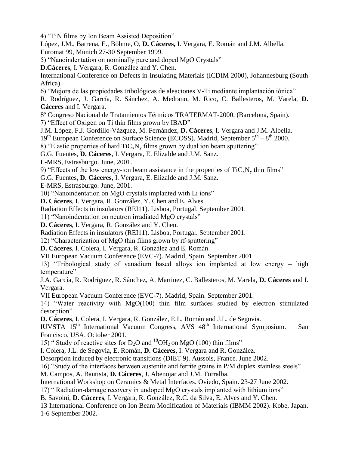4) "TiN films by Ion Beam Assisted Deposition"

López, J.M., Barrena, E., Böhme, O, **D. Cáceres,** I. Vergara, E. Román and J.M. Albella. Euromat 99, Munich 27-30 September 1999.

5) "Nanoindentation on nominally pure and doped MgO Crystals"

**D.Cáceres**, I. Vergara, R. González and Y. Chen.

International Conference on Defects in Insulating Materials (ICDIM 2000), Johannesburg (South Africa).

6) "Mejora de las propiedades tribológicas de aleaciones V-Ti mediante implantación iónica"

R. Rodríguez, J. García, R. Sánchez, A. Medrano, M. Rico, C. Ballesteros, M. Varela, **D. Cáceres** and I. Vergara.

8º Congreso Nacional de Tratamientos Térmicos TRATERMAT-2000. (Barcelona, Spain).

7) "Effect of Oxigen on Ti thin films grown by IBAD"

J.M. López, F.J. Gordillo-Vázquez, M. Fernández, **D. Cáceres**, I. Vergara and J.M. Albella.

 $19<sup>th</sup>$  European Conference on Surface Science (ECOSS). Madrid, September  $5<sup>th</sup> - 8<sup>th</sup>$  2000.

8) "Elastic properties of hard  $\text{TiC}_x\text{N}_y$  films grown by dual ion beam sputtering"

G.G. Fuentes, **D. Cáceres**, I. Vergara, E. Elizalde and J.M. Sanz.

E-MRS, Estrasburgo. June, 2001.

9) "Effects of the low energy-ion beam assistance in the properties of  $TiC_xN_y$  thin films"

G.G. Fuentes, **D. Cáceres**, I. Vergara, E. Elizalde and J.M. Sanz.

E-MRS, Estrasburgo. June, 2001.

10) "Nanoindentation on MgO crystals implanted with Li ions"

**D. Cáceres**, I. Vergara, R. González, Y. Chen and E. Alves.

Radiation Effects in insulators (REI11). Lisboa, Portugal. September 2001.

11) "Nanoindentation on neutron irradiated MgO crystals"

**D. Cáceres**, I. Vergara, R. González and Y. Chen.

Radiation Effects in insulators (REI11). Lisboa, Portugal. September 2001.

12) "Characterization of MgO thin films grown by rf-sputtering"

**D. Cáceres**, I. Colera, I. Vergara, R. González and E. Román.

VII European Vacuum Conference (EVC-7). Madrid, Spain. September 2001.

13) "Tribological study of vanadium based alloys ion implanted at low energy – high temperature"

J.A. García, R. Rodriguez, R. Sánchez, A. Martinez, C. Ballesteros, M. Varela, **D. Cáceres** and I. Vergara.

VII European Vacuum Conference (EVC-7). Madrid, Spain. September 2001.

14) "Water reactivity with MgO(100) thin film surfaces studied by electron stimulated desorption"

**D. Cáceres**, I. Colera, I. Vergara, R. González, E.L. Román and J.L. de Segovia.

IUVSTA 15<sup>th</sup> International Vacuum Congress, AVS 48<sup>th</sup> International Symposium. San Francisco, USA. October 2001.

15) " Study of reactive sites for  $D_2O$  and  $^{18}OH_2$  on MgO (100) thin films"

I. Colera, J.L. de Segovia, E. Román, **D. Cáceres**, I. Vergara and R. González.

Desorption induced by electronic transitions (DIET 9). Aussois, France. June 2002.

16) "Study of the interfaces between austenite and ferrite grains in P/M duplex stainless steels"

M. Campos, A. Bautista, **D. Cáceres**, J. Abenojar and J.M. Torralba.

International Workshop on Ceramics & Metal Interfaces. Oviedo, Spain. 23-27 June 2002.

17) " Radiation-damage recovery in undoped MgO crystals implanted with lithium ions"

B. Savoini, **D. Cáceres**, I. Vergara, R. González, R.C. da Silva, E. Alves and Y. Chen.

13 International Conference on Ion Beam Modification of Materials (IBMM 2002). Kobe, Japan. 1-6 September 2002.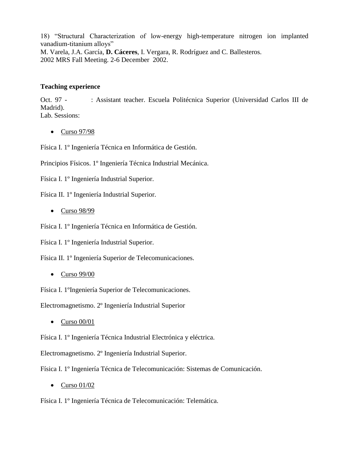18) "Structural Characterization of low-energy high-temperature nitrogen ion implanted vanadium-titanium alloys" M. Varela, J.A. García, **D. Cáceres**, I. Vergara, R. Rodríguez and C. Ballesteros. 2002 MRS Fall Meeting. 2-6 December 2002.

#### **Teaching experience**

Oct. 97 - : Assistant teacher. Escuela Politécnica Superior (Universidad Carlos III de Madrid). Lab. Sessions:

• Curso 97/98

Física I. 1º Ingeniería Técnica en Informática de Gestión.

Principios Físicos. 1º Ingeniería Técnica Industrial Mecánica.

Física I. 1º Ingeniería Industrial Superior.

Física II. 1º Ingeniería Industrial Superior.

• Curso 98/99

Física I. 1º Ingeniería Técnica en Informática de Gestión.

Física I. 1º Ingeniería Industrial Superior.

Física II. 1º Ingeniería Superior de Telecomunicaciones.

 $\bullet$  Curso 99/00

Física I. 1ºIngeniería Superior de Telecomunicaciones.

Electromagnetismo. 2º Ingeniería Industrial Superior

 $\bullet$  Curso 00/01

Física I. 1º Ingeniería Técnica Industrial Electrónica y eléctrica.

Electromagnetismo. 2º Ingeniería Industrial Superior.

Física I. 1º Ingeniería Técnica de Telecomunicación: Sistemas de Comunicación.

 $\bullet$  Curso 01/02

Física I. 1º Ingeniería Técnica de Telecomunicación: Telemática.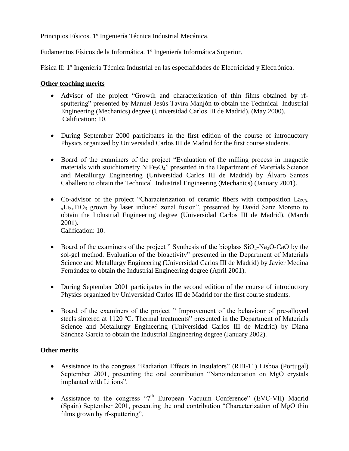Principios Físicos. 1º Ingeniería Técnica Industrial Mecánica.

Fudamentos Físicos de la Informática. 1º Ingeniería Informática Superior.

Física II: 1º Ingeniería Técnica Industrial en las especialidades de Electricidad y Electrónica.

#### **Other teaching merits**

- Advisor of the project "Growth and characterization of thin films obtained by rfsputtering" presented by Manuel Jesús Tavira Manjón to obtain the Technical Industrial Engineering (Mechanics) degree (Universidad Carlos III de Madrid). (May 2000). Calification: 10.
- During September 2000 participates in the first edition of the course of introductory Physics organized by Universidad Carlos III de Madrid for the first course students.
- Board of the examiners of the project "Evaluation of the milling process in magnetic materials with stoichiometry  $NiFe<sub>2</sub>O<sub>4</sub>$ " presented in the Department of Materials Science and Metallurgy Engineering (Universidad Carlos III de Madrid) by Álvaro Santos Caballero to obtain the Technical Industrial Engineering (Mechanics) (January 2001).
- Co-advisor of the project "Characterization of ceramic fibers with composition  $\text{L}a_{2/3}$ - $_{x}Li_{3x}TiO_{3}$  grown by laser induced zonal fusion", presented by David Sanz Moreno to obtain the Industrial Engineering degree (Universidad Carlos III de Madrid). (March 2001).

Calification: 10.

- Board of the examiners of the project " Synthesis of the bioglass  $SiO_2$ -Na<sub>2</sub>O-CaO by the sol-gel method. Evaluation of the bioactivity" presented in the Department of Materials Science and Metallurgy Engineering (Universidad Carlos III de Madrid) by Javier Medina Fernández to obtain the Industrial Engineering degree (April 2001).
- During September 2001 participates in the second edition of the course of introductory Physics organized by Universidad Carlos III de Madrid for the first course students.
- Board of the examiners of the project " Improvement of the behaviour of pre-alloyed steels sintered at 1120 ºC. Thermal treatments" presented in the Department of Materials Science and Metallurgy Engineering (Universidad Carlos III de Madrid) by Diana Sánchez García to obtain the Industrial Engineering degree (January 2002).

#### **Other merits**

- Assistance to the congress "Radiation Effects in Insulators" (REI-11) Lisboa (Portugal) September 2001, presenting the oral contribution "Nanoindentation on MgO crystals implanted with Li ions".
- Assistance to the congress "7<sup>th</sup> European Vacuum Conference" (EVC-VII) Madrid (Spain) September 2001, presenting the oral contribution "Characterization of MgO thin films grown by rf-sputtering".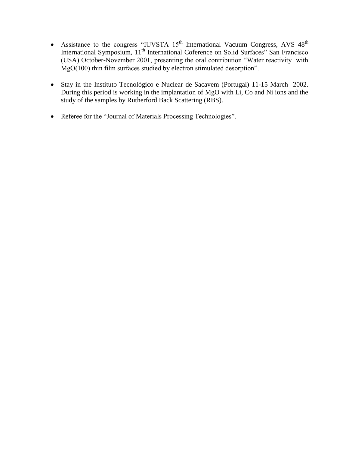- Assistance to the congress "IUVSTA  $15<sup>th</sup>$  International Vacuum Congress, AVS  $48<sup>th</sup>$ International Symposium, 11<sup>th</sup> International Coference on Solid Surfaces" San Francisco (USA) October-November 2001, presenting the oral contribution "Water reactivity with MgO(100) thin film surfaces studied by electron stimulated desorption".
- Stay in the Instituto Tecnológico e Nuclear de Sacavem (Portugal) 11-15 March 2002. During this period is working in the implantation of MgO with Li, Co and Ni ions and the study of the samples by Rutherford Back Scattering (RBS).
- Referee for the "Journal of Materials Processing Technologies".